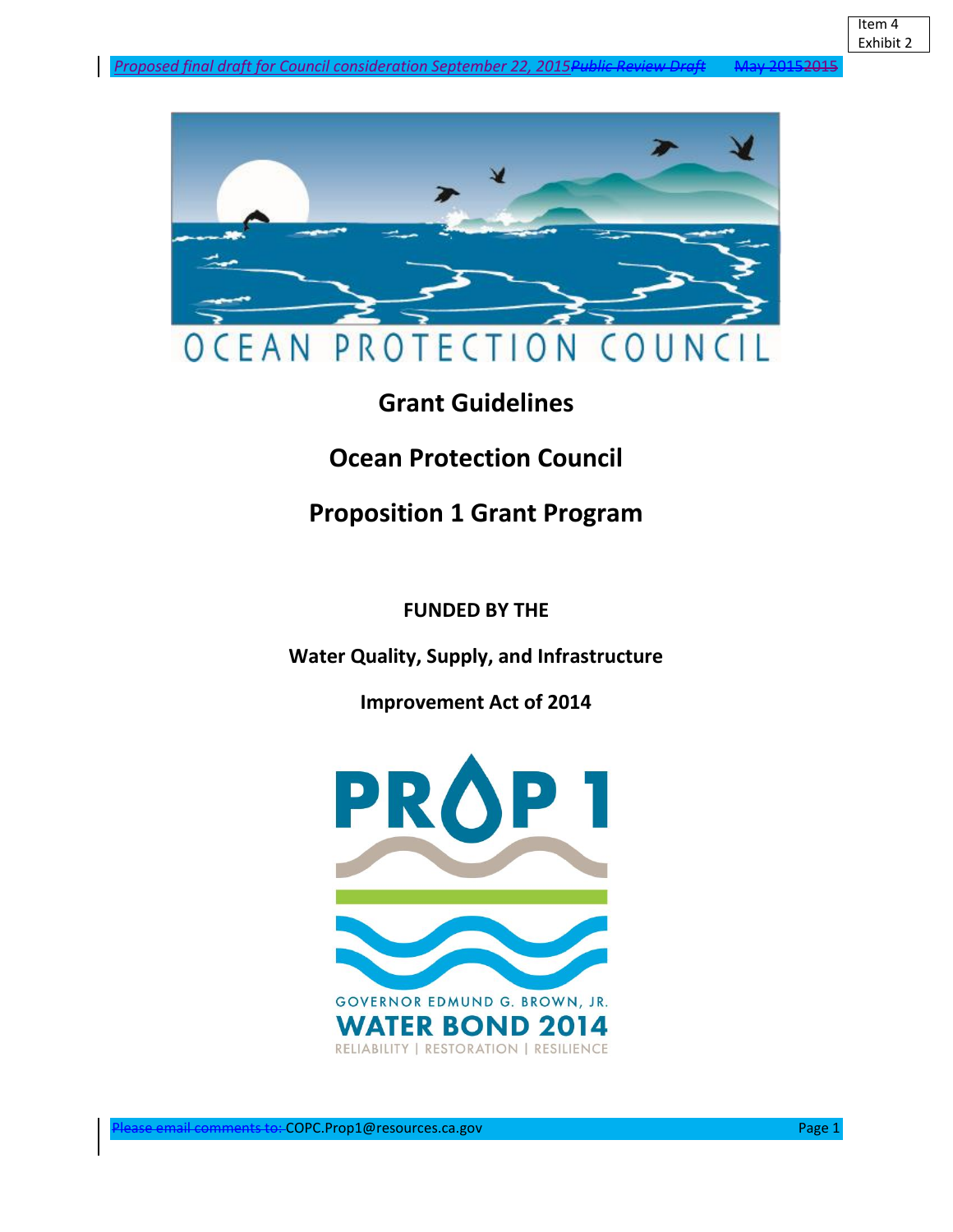

# **Grant Guidelines**

# **Ocean Protection Council**

# **Proposition 1 Grant Program**

# **FUNDED BY THE**

**Water Quality, Supply, and Infrastructure** 

**Improvement Act of 2014** 

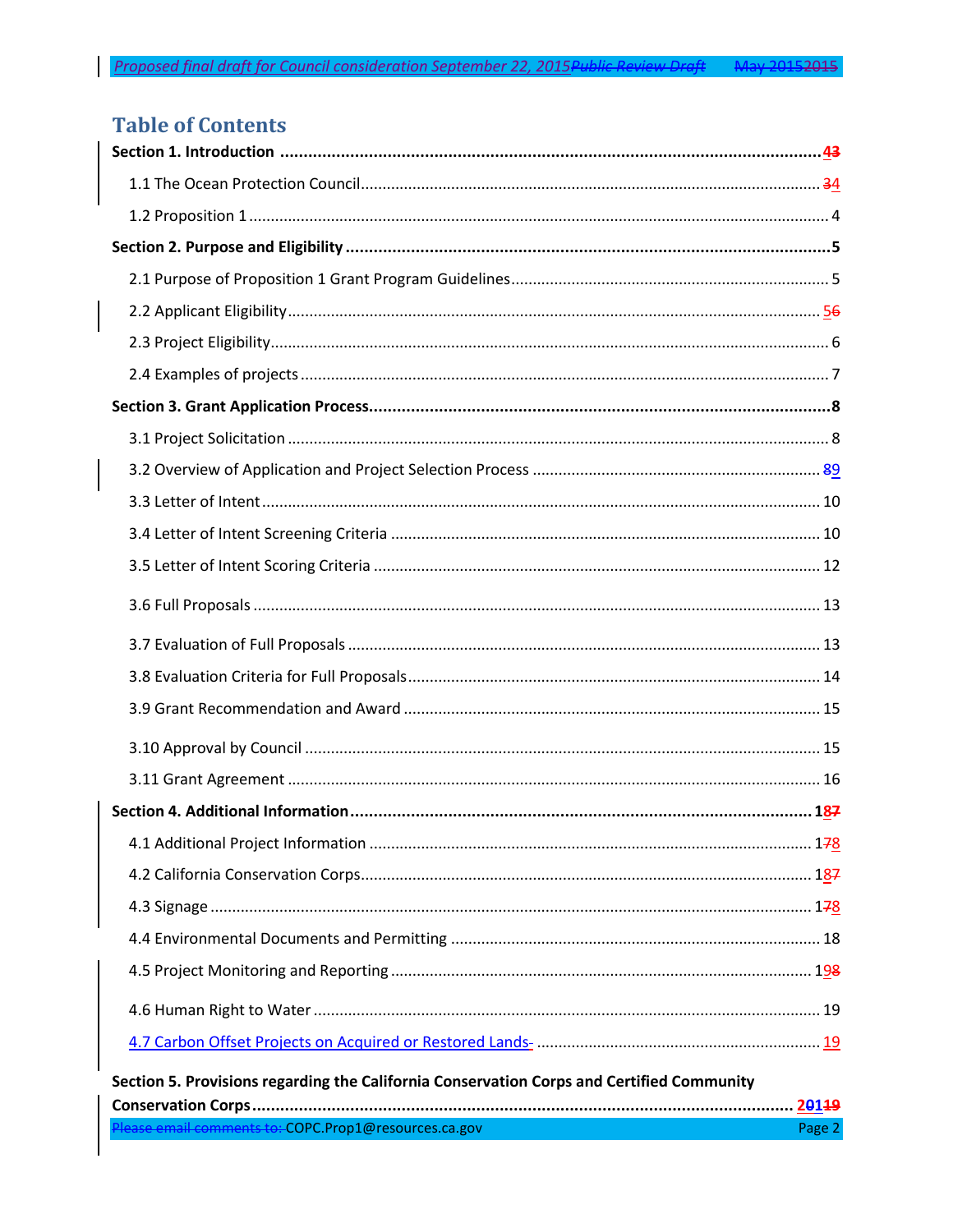# <span id="page-1-0"></span>**Table of Contents**

| Section 5. Provisions regarding the California Conservation Corps and Certified Community |        |
|-------------------------------------------------------------------------------------------|--------|
|                                                                                           |        |
| Please email comments to: COPC.Prop1@resources.ca.gov                                     | Page 2 |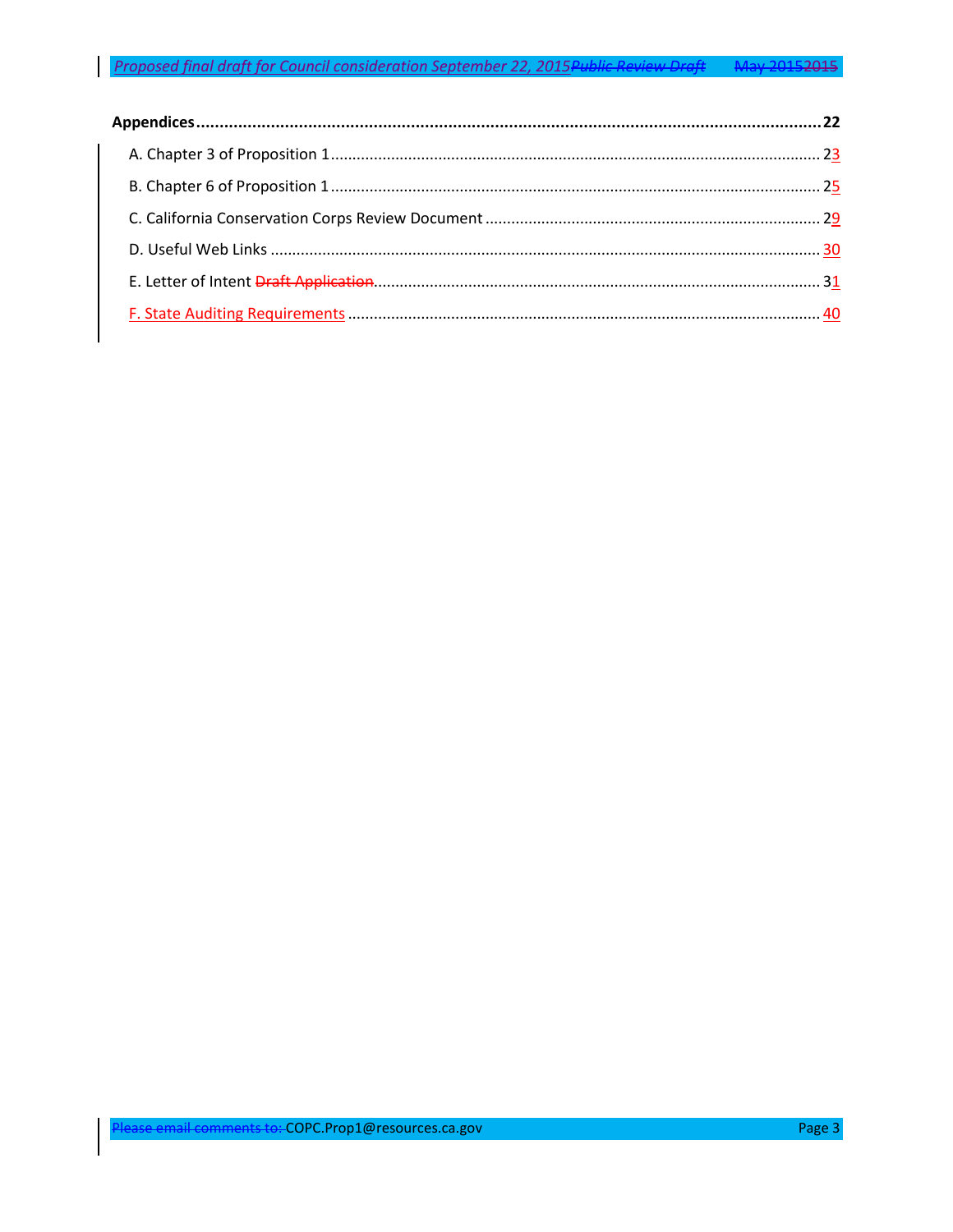# Proposed final draft for Council consideration September 22, 2015 Public Review Draft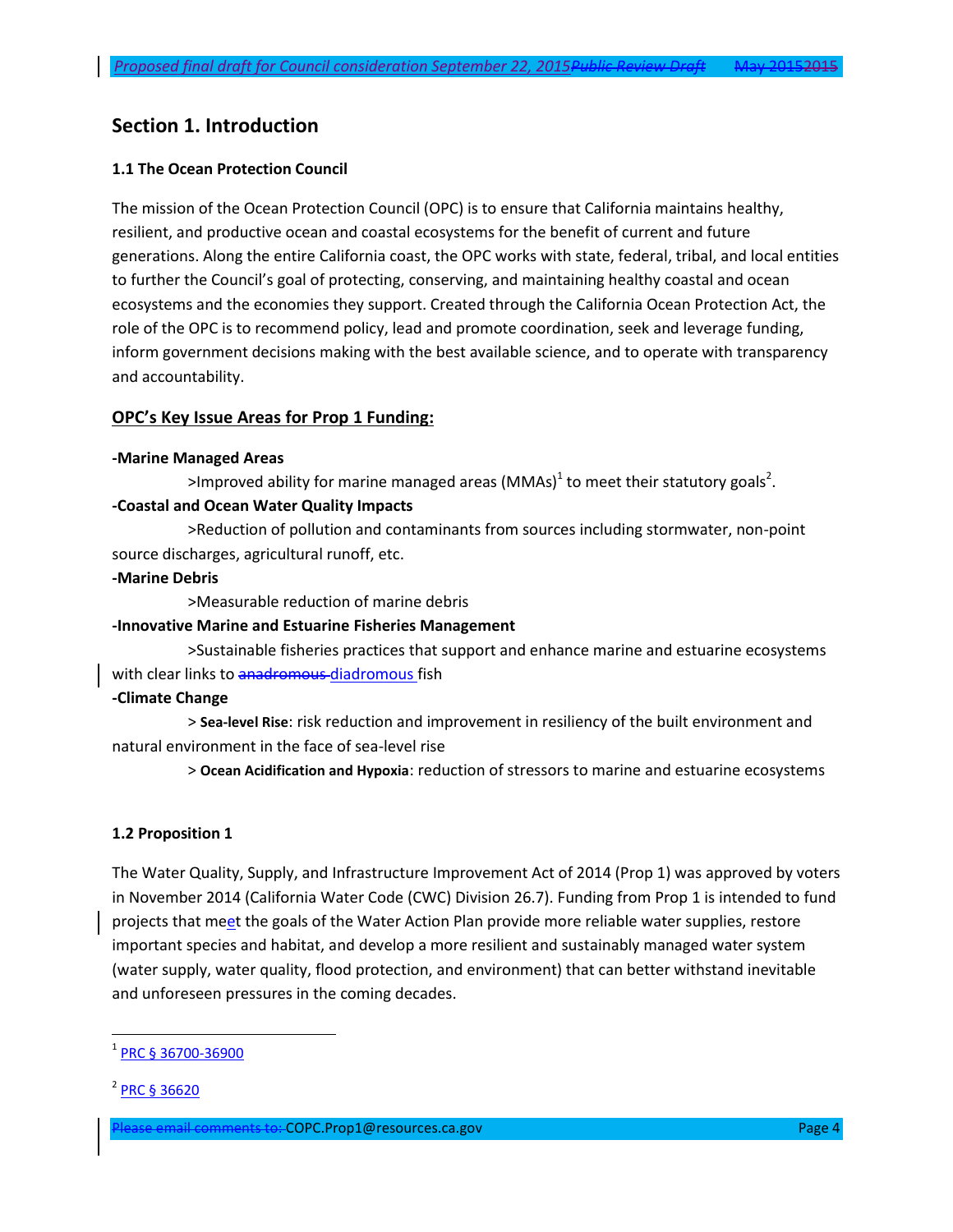# **Section 1. Introduction**

### **1.1 The Ocean Protection Council**

The mission of the Ocean Protection Council (OPC) is to ensure that California maintains healthy, resilient, and productive ocean and coastal ecosystems for the benefit of current and future generations. Along the entire California coast, the OPC works with state, federal, tribal, and local entities to further the Council's goal of protecting, conserving, and maintaining healthy coastal and ocean ecosystems and the economies they support. Created through the California Ocean Protection Act, the role of the OPC is to recommend policy, lead and promote coordination, seek and leverage funding, inform government decisions making with the best available science, and to operate with transparency and accountability.

#### **OPC's Key Issue Areas for Prop 1 Funding:**

#### **-Marine Managed Areas**

>Improved ability for marine managed areas (MMAs)<sup>1</sup> to meet their statutory goals<sup>2</sup>.

### **-Coastal and Ocean Water Quality Impacts**

>Reduction of pollution and contaminants from sources including stormwater, non-point source discharges, agricultural runoff, etc.

#### **-Marine Debris**

>Measurable reduction of marine debris

#### **-Innovative Marine and Estuarine Fisheries Management**

>Sustainable fisheries practices that support and enhance marine and estuarine ecosystems with clear links to anadromous-diadromous fish

#### **-Climate Change**

> **Sea-level Rise**: risk reduction and improvement in resiliency of the built environment and natural environment in the face of sea-level rise

> **Ocean Acidification and Hypoxia**: reduction of stressors to marine and estuarine ecosystems

#### **1.2 Proposition 1**

The Water Quality, Supply, and Infrastructure Improvement Act of 2014 (Prop 1) was approved by voters in November 2014 (California Water Code (CWC) Division 26.7). Funding from Prop 1 is intended to fund projects that meet the goals of the Water Action Plan provide more reliable water supplies, restore important species and habitat, and develop a more resilient and sustainably managed water system (water supply, water quality, flood protection, and environment) that can better withstand inevitable and unforeseen pressures in the coming decades.

 $\overline{a}$ 

<sup>1</sup> [PRC § 36700-36900](http://leginfo.legislature.ca.gov/faces/codes_displayText.xhtml?lawCode=PRC&division=27.&title=&part=&chapter=7.&article=2.)

<sup>2</sup> [PRC § 36620](http://www.leginfo.ca.gov/cgi-bin/displaycode?section=prc&group=36001-37000&file=36600-36620)

ease email comments to: COPC.Prop1@resources.ca.gov Page 4 Page 4 Page 4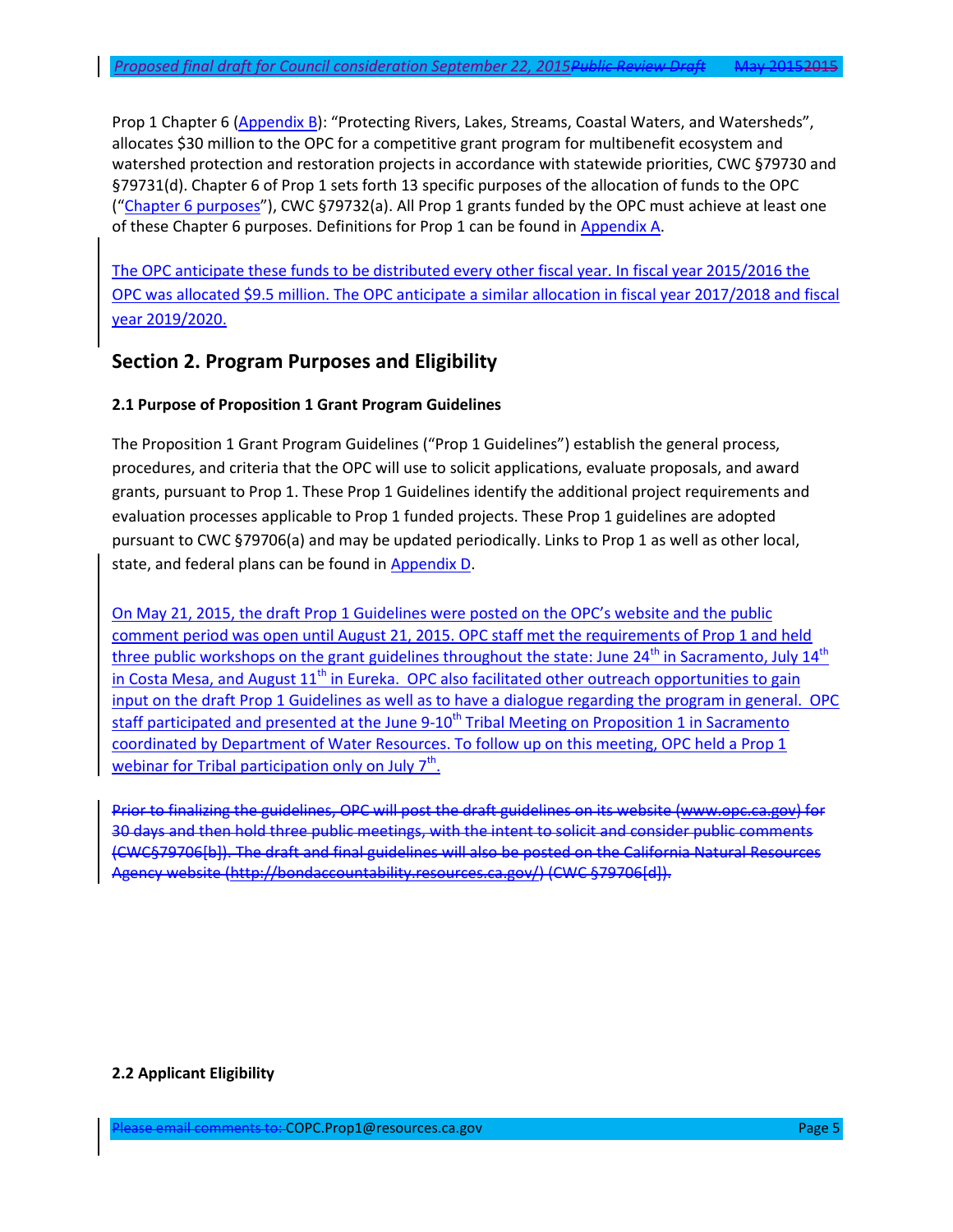Prop 1 Chapter 6 [\(Appendix B](#page-21-0)): "Protecting Rivers, Lakes, Streams, Coastal Waters, and Watersheds", allocates \$30 million to the OPC for a competitive grant program for multibenefit ecosystem and watershed protection and restoration projects in accordance with statewide priorities, CWC §79730 and §79731(d). Chapter 6 of Prop 1 sets forth 13 specific purposes of the allocation of funds to the OPC ("[Chapter 6 purposes](#page-25-0)"), CWC §79732(a). All Prop 1 grants funded by the OPC must achieve at least one of these Chapter 6 purposes. Definitions for Prop 1 can be found in [Appendix A.](#page-23-0)

The OPC anticipate these funds to be distributed every other fiscal year. In fiscal year 2015/2016 the OPC was allocated \$9.5 million. The OPC anticipate a similar allocation in fiscal year 2017/2018 and fiscal year 2019/2020.

# **Section 2. Program Purposes and Eligibility**

#### **2.1 Purpose of Proposition 1 Grant Program Guidelines**

The Proposition 1 Grant Program Guidelines ("Prop 1 Guidelines") establish the general process, procedures, and criteria that the OPC will use to solicit applications, evaluate proposals, and award grants, pursuant to Prop 1. These Prop 1 Guidelines identify the additional project requirements and evaluation processes applicable to Prop 1 funded projects. These Prop 1 guidelines are adopted pursuant to CWC §79706(a) and may be updated periodically. Links to Prop 1 as well as other local, state, and federal plans can be found in [Appendix D](#page-30-0).

On May 21, 2015, the draft Prop 1 Guidelines were posted on the OPC's website and the public comment period was open until August 21, 2015. OPC staff met the requirements of Prop 1 and held three public workshops on the grant guidelines throughout the state: June  $24<sup>th</sup>$  in Sacramento, July  $14<sup>th</sup>$ in Costa Mesa, and August  $11<sup>th</sup>$  in Eureka. OPC also facilitated other outreach opportunities to gain input on the draft Prop 1 Guidelines as well as to have a dialogue regarding the program in general. OPC staff participated and presented at the June 9-10<sup>th</sup> Tribal Meeting on Proposition 1 in Sacramento coordinated by Department of Water Resources. To follow up on this meeting, OPC held a Prop 1 webinar for Tribal participation only on July 7<sup>th</sup>.

Prior to finalizing the guidelines, OPC will post the draft guidelines on its website (www.opc.ca.gov) for 30 days and then hold three public meetings, with the intent to solicit and consider public comments (CWC§79706[b]). The draft and final guidelines will also be posted on the California Natural Resources Agency website (http://bondaccountability.resources.ca.gov/) (CWC §79706[d]).

#### **2.2 Applicant Eligibility**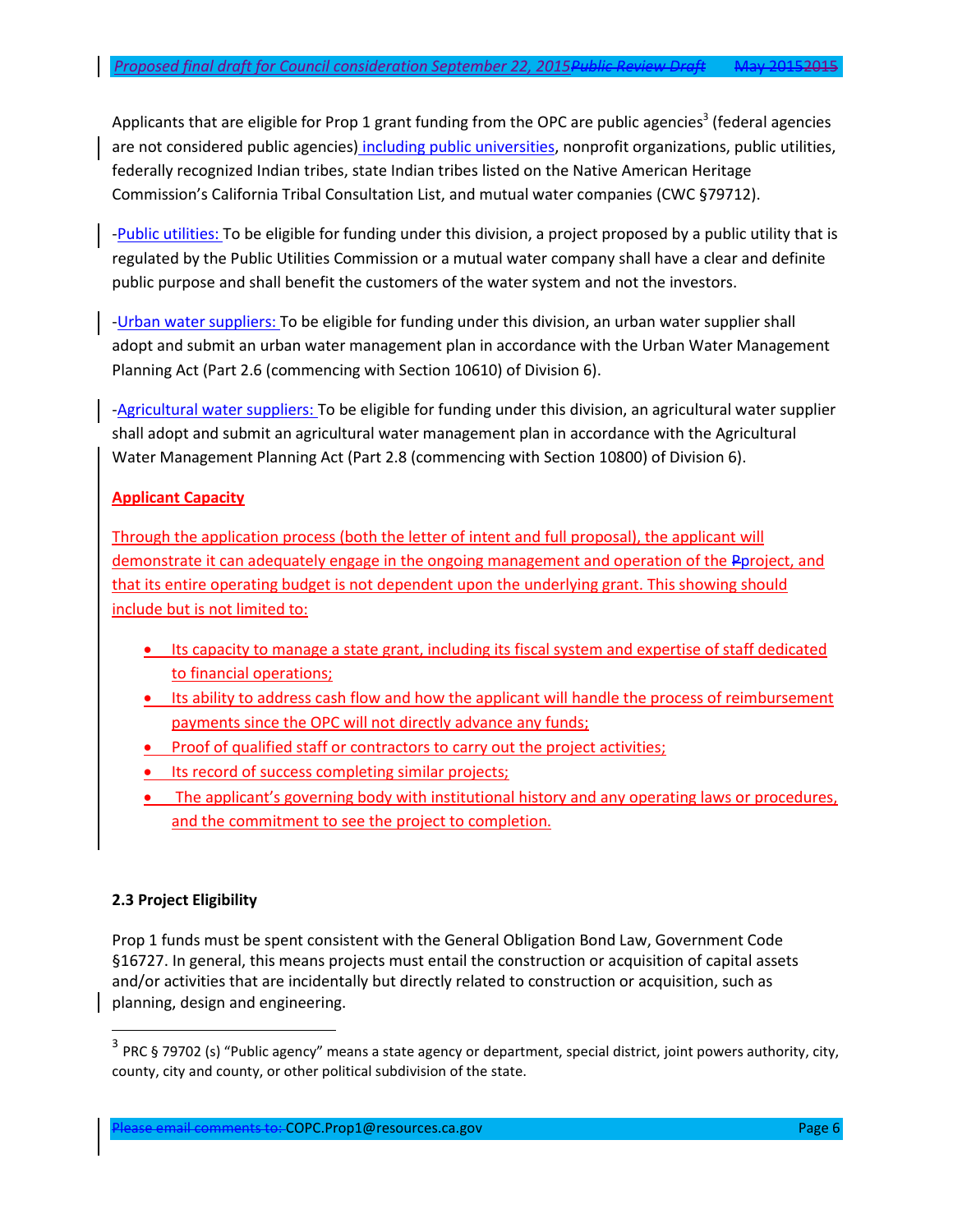Applicants that are eligible for Prop 1 grant funding from the OPC are public agencies<sup>3</sup> (federal agencies are not considered public agencies) including public universities, nonprofit organizations, public utilities, federally recognized Indian tribes, state Indian tribes listed on the Native American Heritage Commission's California Tribal Consultation List, and mutual water companies (CWC §79712).

-Public utilities: To be eligible for funding under this division, a project proposed by a public utility that is regulated by the Public Utilities Commission or a mutual water company shall have a clear and definite public purpose and shall benefit the customers of the water system and not the investors.

-Urban water suppliers: To be eligible for funding under this division, an urban water supplier shall adopt and submit an urban water management plan in accordance with the Urban Water Management Planning Act (Part 2.6 (commencing with Section 10610) of Division 6).

-Agricultural water suppliers: To be eligible for funding under this division, an agricultural water supplier shall adopt and submit an agricultural water management plan in accordance with the Agricultural Water Management Planning Act (Part 2.8 (commencing with Section 10800) of Division 6).

## **Applicant Capacity**

Through the application process (both the letter of intent and full proposal), the applicant will demonstrate it can adequately engage in the ongoing management and operation of the Pproject, and that its entire operating budget is not dependent upon the underlying grant. This showing should include but is not limited to:

- Its capacity to manage a state grant, including its fiscal system and expertise of staff dedicated to financial operations;
- Its ability to address cash flow and how the applicant will handle the process of reimbursement payments since the OPC will not directly advance any funds;
- Proof of qualified staff or contractors to carry out the project activities;
- Its record of success completing similar projects;
- The applicant's governing body with institutional history and any operating laws or procedures, and the commitment to see the project to completion.

## **2.3 Project Eligibility**

 $\overline{\phantom{a}}$ 

Prop 1 funds must be spent consistent with the General Obligation Bond Law, Government Code §16727. In general, this means projects must entail the construction or acquisition of capital assets and/or activities that are incidentally but directly related to construction or acquisition, such as planning, design and engineering.

 $^3$  PRC § 79702 (s) "Public agency" means a state agency or department, special district, joint powers authority, city, county, city and county, or other political subdivision of the state.

Please email comments to: COPC.Prop1@resources.ca.gov Page 6 Page 6 Page 6 Page 6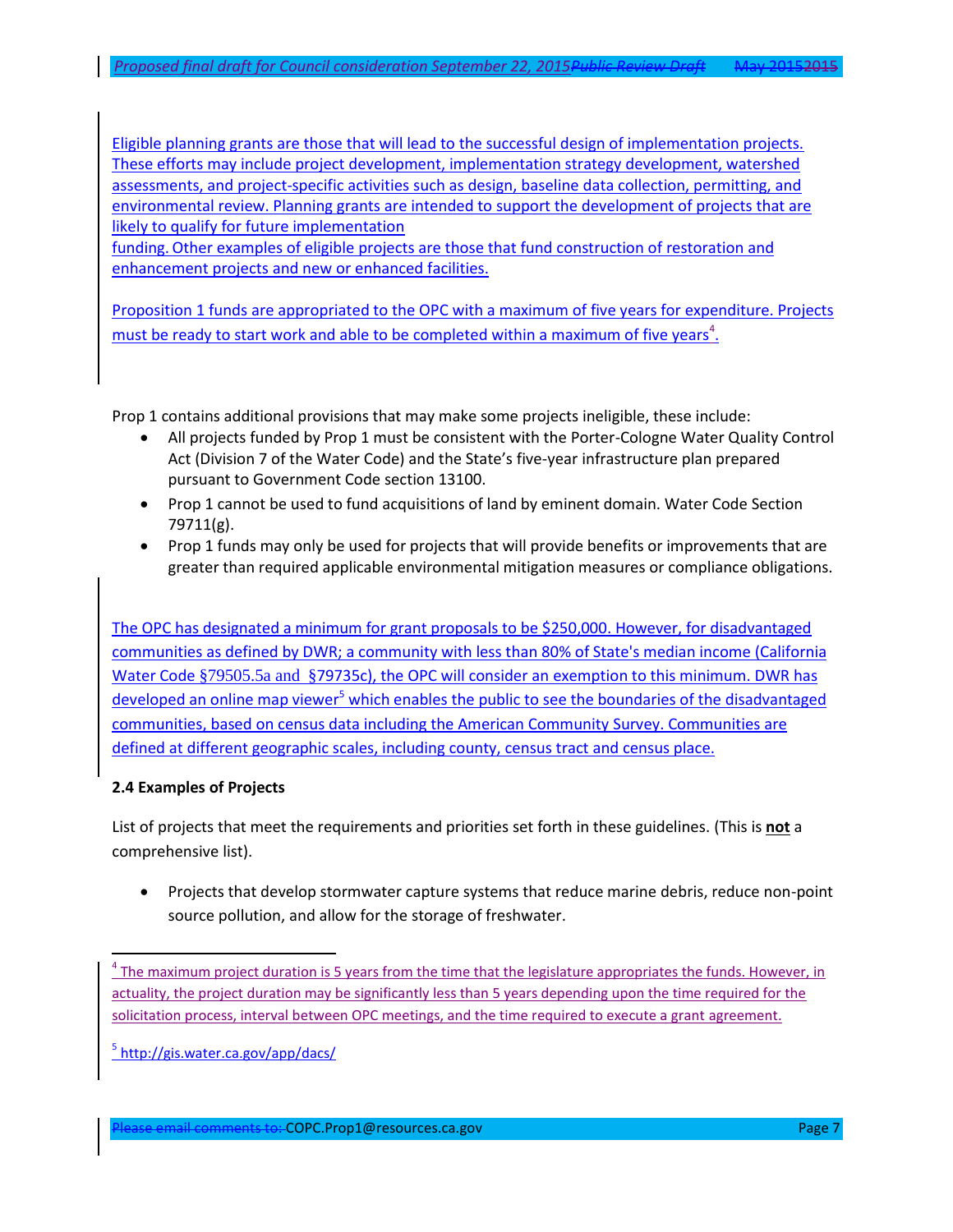Eligible planning grants are those that will lead to the successful design of implementation projects. These efforts may include project development, implementation strategy development, watershed assessments, and project-specific activities such as design, baseline data collection, permitting, and environmental review. Planning grants are intended to support the development of projects that are likely to qualify for future implementation

funding. Other examples of eligible projects are those that fund construction of restoration and enhancement projects and new or enhanced facilities.

Proposition 1 funds are appropriated to the OPC with a maximum of five years for expenditure. Projects must be ready to start work and able to be completed within a maximum of five years<sup>4</sup>.

Prop 1 contains additional provisions that may make some projects ineligible, these include:

- All projects funded by Prop 1 must be consistent with the Porter-Cologne Water Quality Control Act (Division 7 of the Water Code) and the State's five-year infrastructure plan prepared pursuant to Government Code section 13100.
- Prop 1 cannot be used to fund acquisitions of land by eminent domain. Water Code Section 79711(g).
- Prop 1 funds may only be used for projects that will provide benefits or improvements that are greater than required applicable environmental mitigation measures or compliance obligations.

The OPC has designated a minimum for grant proposals to be \$250,000. However, for disadvantaged communities as defined by DWR; a community with less than 80% of State's median income (California Water Code §79505.5a and §79735c), the OPC will consider an exemption to this minimum. DWR has developed an onlin[e map viewer](http://gis.water.ca.gov/app/dacs/)<sup>5</sup> which enables the public to see the boundaries of the disadvantaged communities, based on census data including the American Community Survey. Communities are defined at different geographic scales, including county, census tract and census place.

### **2.4 Examples of Projects**

l

List of projects that meet the requirements and priorities set forth in these guidelines. (This is **not** a comprehensive list).

 Projects that develop stormwater capture systems that reduce marine debris, reduce non-point source pollution, and allow for the storage of freshwater.

<sup>5</sup> <http://gis.water.ca.gov/app/dacs/>

ease email comments to: COPC.Prop1@resources.ca.gov Page 7 Page 7 Page 7

<sup>&</sup>lt;sup>4</sup> The maximum project duration is 5 years from the time that the legislature appropriates the funds. However, in actuality, the project duration may be significantly less than 5 years depending upon the time required for the solicitation process, interval between OPC meetings, and the time required to execute a grant agreement.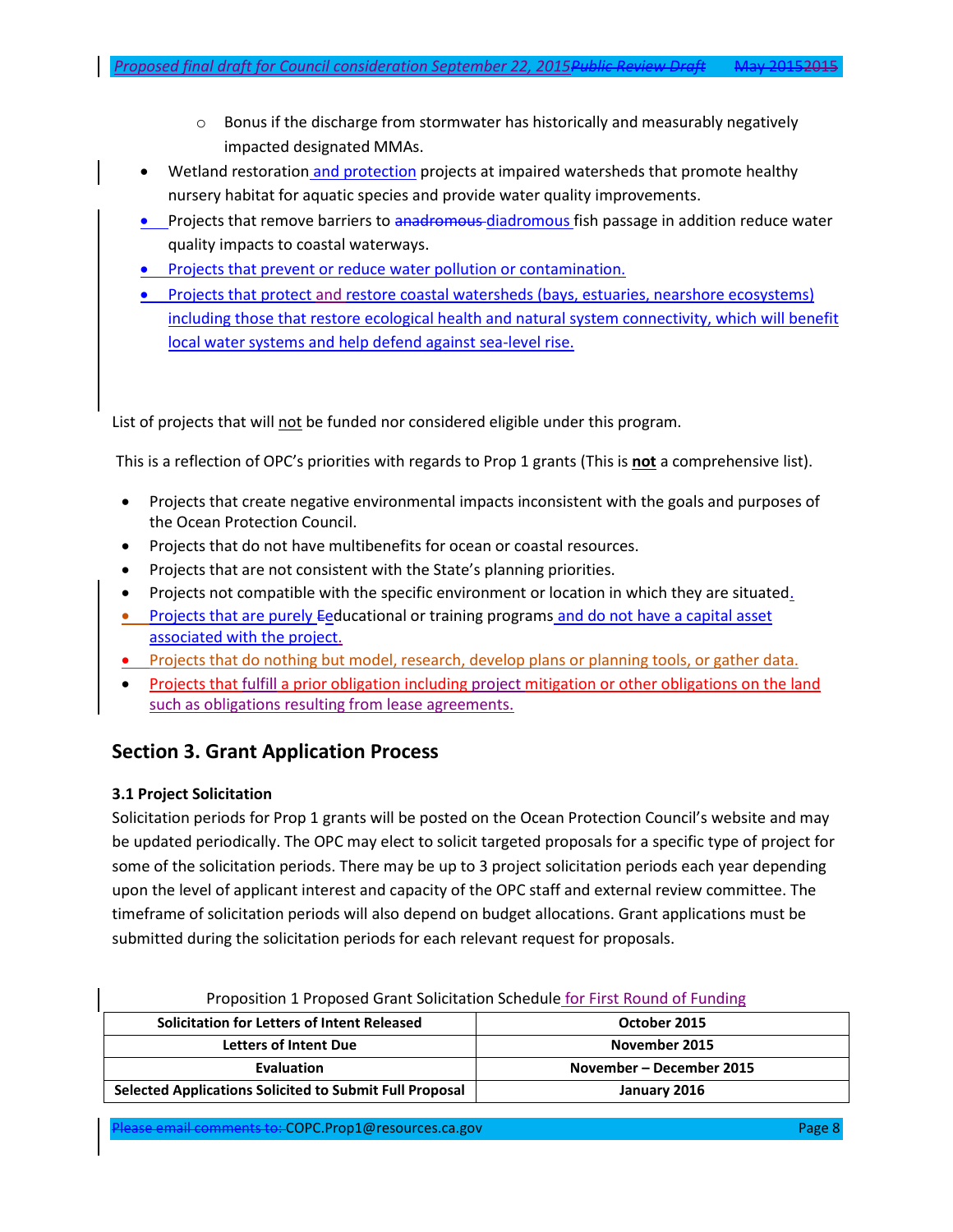- Wetland restoration and protection projects at impaired watersheds that promote healthy nursery habitat for aquatic species and provide water quality improvements.
- Projects that remove barriers to anadromous-diadromous fish passage in addition reduce water quality impacts to coastal waterways.
- Projects that prevent or reduce water pollution or contamination.
- Projects that protect and restore coastal watersheds (bays, estuaries, nearshore ecosystems) including those that restore ecological health and natural system connectivity, which will benefit local water systems and help defend against sea-level rise.

List of projects that will not be funded nor considered eligible under this program.

This is a reflection of OPC's priorities with regards to Prop 1 grants (This is **not** a comprehensive list).

- Projects that create negative environmental impacts inconsistent with the goals and purposes of the Ocean Protection Council.
- Projects that do not have multibenefits for ocean or coastal resources.
- Projects that are not consistent with the State's planning priorities.
- Projects not compatible with the specific environment or location in which they are situated.
- **Projects that are purely Eeducational or training programs and do not have a capital asset** associated with the project.
- Projects that do nothing but model, research, develop plans or planning tools, or gather data.
- Projects that fulfill a prior obligation including project mitigation or other obligations on the land such as obligations resulting from lease agreements.

# **Section 3. Grant Application Process**

## **3.1 Project Solicitation**

Solicitation periods for Prop 1 grants will be posted on the Ocean Protection Council's website and may be updated periodically. The OPC may elect to solicit targeted proposals for a specific type of project for some of the solicitation periods. There may be up to 3 project solicitation periods each year depending upon the level of applicant interest and capacity of the OPC staff and external review committee. The timeframe of solicitation periods will also depend on budget allocations. Grant applications must be submitted during the solicitation periods for each relevant request for proposals.

| <b>Solicitation for Letters of Intent Released</b>             | October 2015             |
|----------------------------------------------------------------|--------------------------|
| <b>Letters of Intent Due</b>                                   | November 2015            |
| Evaluation                                                     | November – December 2015 |
| <b>Selected Applications Solicited to Submit Full Proposal</b> | January 2016             |

#### Proposition 1 Proposed Grant Solicitation Schedule for First Round of Funding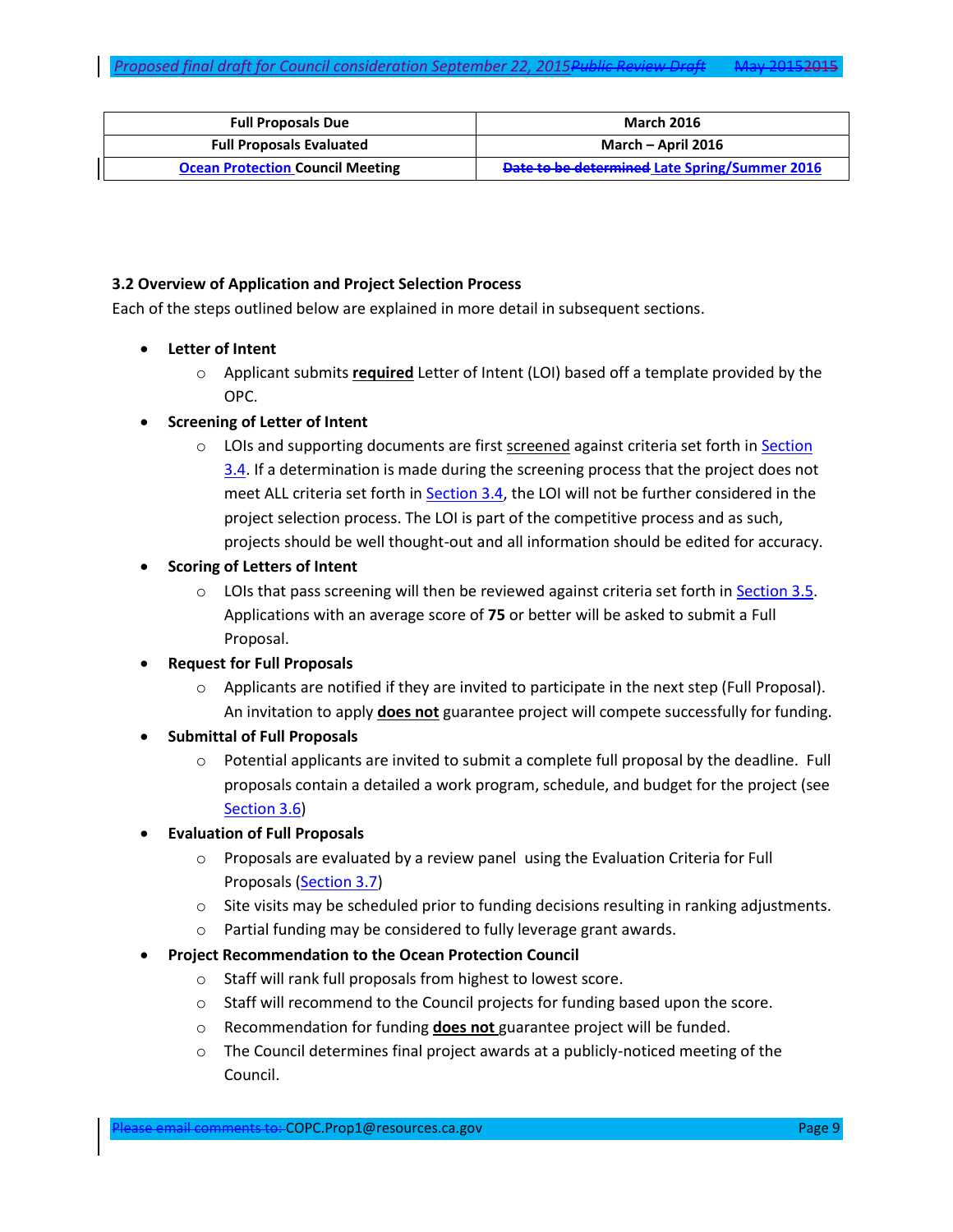| <b>Full Proposals Due</b>               | <b>March 2016</b>                             |
|-----------------------------------------|-----------------------------------------------|
| <b>Full Proposals Evaluated</b>         | March – April 2016                            |
| <b>Ocean Protection Council Meeting</b> | Date to be determined Late Spring/Summer 2016 |

### **3.2 Overview of Application and Project Selection Process**

Each of the steps outlined below are explained in more detail in subsequent sections.

- **Letter of Intent**
	- o Applicant submits **required** Letter of Intent (LOI) based off a template provided by the OPC.

### **Screening of Letter of Intent**

- $\circ$  LOIs and supporting documents are first screened against criteria set forth in Section [3.4.](#page-9-0) If a determination is made during the screening process that the project does not meet ALL criteria set forth in [Section 3.4,](#page-9-0) the LOI will not be further considered in the project selection process. The LOI is part of the competitive process and as such, projects should be well thought-out and all information should be edited for accuracy.
- **Scoring of Letters of Intent** 
	- $\circ$  LOIs that pass screening will then be reviewed against criteria set forth in [Section 3.5.](#page-11-0) Applications with an average score of **75** or better will be asked to submit a Full Proposal.
- **Request for Full Proposals** 
	- $\circ$  Applicants are notified if they are invited to participate in the next step (Full Proposal). An invitation to apply **does not** guarantee project will compete successfully for funding.
- **Submittal of Full Proposals** 
	- o Potential applicants are invited to submit a complete full proposal by the deadline. Full proposals contain a detailed a work program, schedule, and budget for the project (see [Section 3.6\)](#page-12-0)

## **Evaluation of Full Proposals**

- $\circ$  Proposals are evaluated by a review panel using the Evaluation Criteria for Full Proposals [\(Section 3.7\)](#page-12-1)
- $\circ$  Site visits may be scheduled prior to funding decisions resulting in ranking adjustments.
- o Partial funding may be considered to fully leverage grant awards.
- **Project Recommendation to the Ocean Protection Council**
	- o Staff will rank full proposals from highest to lowest score.
	- o Staff will recommend to the Council projects for funding based upon the score.
	- o Recommendation for funding **does not** guarantee project will be funded.
	- $\circ$  The Council determines final project awards at a publicly-noticed meeting of the Council.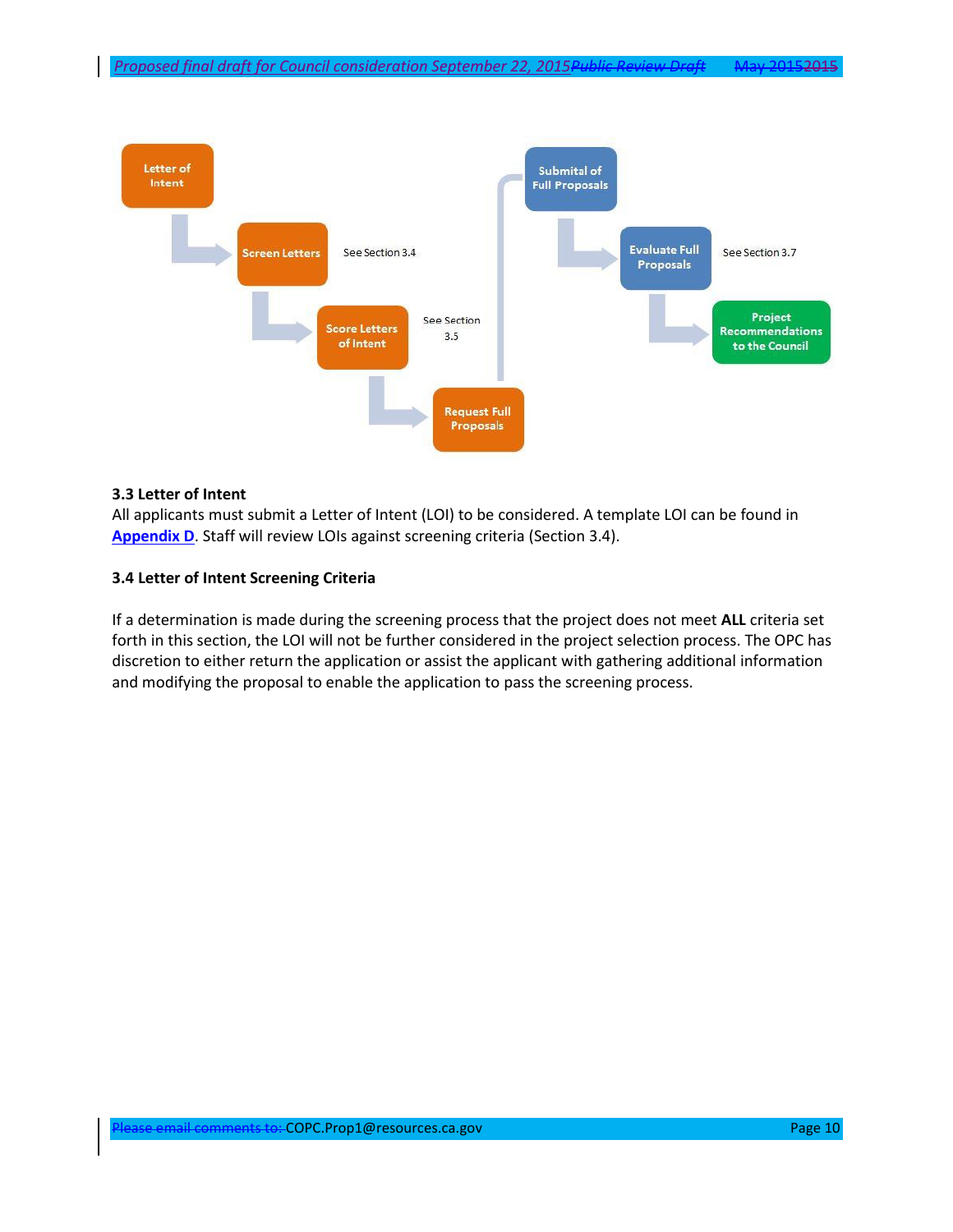

#### **3.3 Letter of Intent**

All applicants must submit a Letter of Intent (LOI) to be considered. A template LOI can be found in **[Appendix D](#page-30-0)**. Staff will review LOIs against screening criteria (Section 3.4).

#### <span id="page-9-0"></span>**3.4 Letter of Intent Screening Criteria**

If a determination is made during the screening process that the project does not meet **ALL** criteria set forth in this section, the LOI will not be further considered in the project selection process. The OPC has discretion to either return the application or assist the applicant with gathering additional information and modifying the proposal to enable the application to pass the screening process.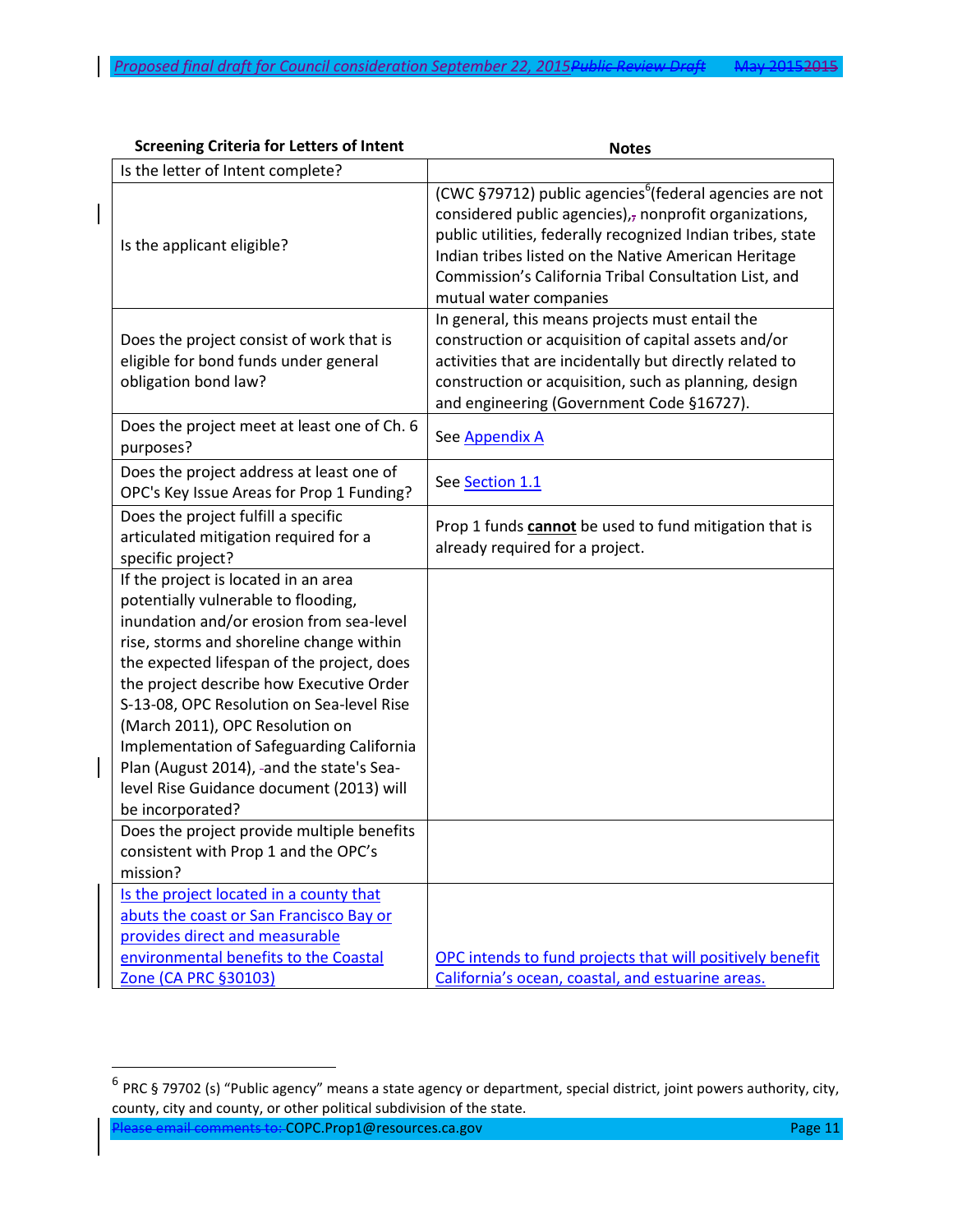| <b>Screening Criteria for Letters of Intent</b>                                                                                                                                                                                                                                                                                                                                                                                                                                                                                                                                                           | <b>Notes</b>                                                                                                                                                                                                                                                                                                                                  |
|-----------------------------------------------------------------------------------------------------------------------------------------------------------------------------------------------------------------------------------------------------------------------------------------------------------------------------------------------------------------------------------------------------------------------------------------------------------------------------------------------------------------------------------------------------------------------------------------------------------|-----------------------------------------------------------------------------------------------------------------------------------------------------------------------------------------------------------------------------------------------------------------------------------------------------------------------------------------------|
| Is the letter of Intent complete?                                                                                                                                                                                                                                                                                                                                                                                                                                                                                                                                                                         |                                                                                                                                                                                                                                                                                                                                               |
| Is the applicant eligible?                                                                                                                                                                                                                                                                                                                                                                                                                                                                                                                                                                                | (CWC §79712) public agencies <sup>6</sup> (federal agencies are not<br>considered public agencies) $_{i7}$ nonprofit organizations,<br>public utilities, federally recognized Indian tribes, state<br>Indian tribes listed on the Native American Heritage<br>Commission's California Tribal Consultation List, and<br>mutual water companies |
| Does the project consist of work that is<br>eligible for bond funds under general<br>obligation bond law?                                                                                                                                                                                                                                                                                                                                                                                                                                                                                                 | In general, this means projects must entail the<br>construction or acquisition of capital assets and/or<br>activities that are incidentally but directly related to<br>construction or acquisition, such as planning, design<br>and engineering (Government Code §16727).                                                                     |
| Does the project meet at least one of Ch. 6<br>purposes?                                                                                                                                                                                                                                                                                                                                                                                                                                                                                                                                                  | See Appendix A                                                                                                                                                                                                                                                                                                                                |
| Does the project address at least one of<br>OPC's Key Issue Areas for Prop 1 Funding?                                                                                                                                                                                                                                                                                                                                                                                                                                                                                                                     | See Section 1.1                                                                                                                                                                                                                                                                                                                               |
| Does the project fulfill a specific<br>articulated mitigation required for a<br>specific project?                                                                                                                                                                                                                                                                                                                                                                                                                                                                                                         | Prop 1 funds cannot be used to fund mitigation that is<br>already required for a project.                                                                                                                                                                                                                                                     |
| If the project is located in an area<br>potentially vulnerable to flooding,<br>inundation and/or erosion from sea-level<br>rise, storms and shoreline change within<br>the expected lifespan of the project, does<br>the project describe how Executive Order<br>S-13-08, OPC Resolution on Sea-level Rise<br>(March 2011), OPC Resolution on<br>Implementation of Safeguarding California<br>Plan (August 2014), -and the state's Sea-<br>level Rise Guidance document (2013) will<br>be incorporated?<br>Does the project provide multiple benefits<br>consistent with Prop 1 and the OPC's<br>mission? |                                                                                                                                                                                                                                                                                                                                               |
| Is the project located in a county that<br>abuts the coast or San Francisco Bay or<br>provides direct and measurable<br>environmental benefits to the Coastal<br>Zone (CA PRC §30103)                                                                                                                                                                                                                                                                                                                                                                                                                     | OPC intends to fund projects that will positively benefit<br>California's ocean, coastal, and estuarine areas.                                                                                                                                                                                                                                |

Please email comments to: COPC.Prop1@resources.ca.gov Page 11

 $\overline{\phantom{a}}$ 

 $\overline{\phantom{a}}$ 

<sup>&</sup>lt;sup>6</sup> PRC § 79702 (s) "Public agency" means a state agency or department, special district, joint powers authority, city, county, city and county, or other political subdivision of the state.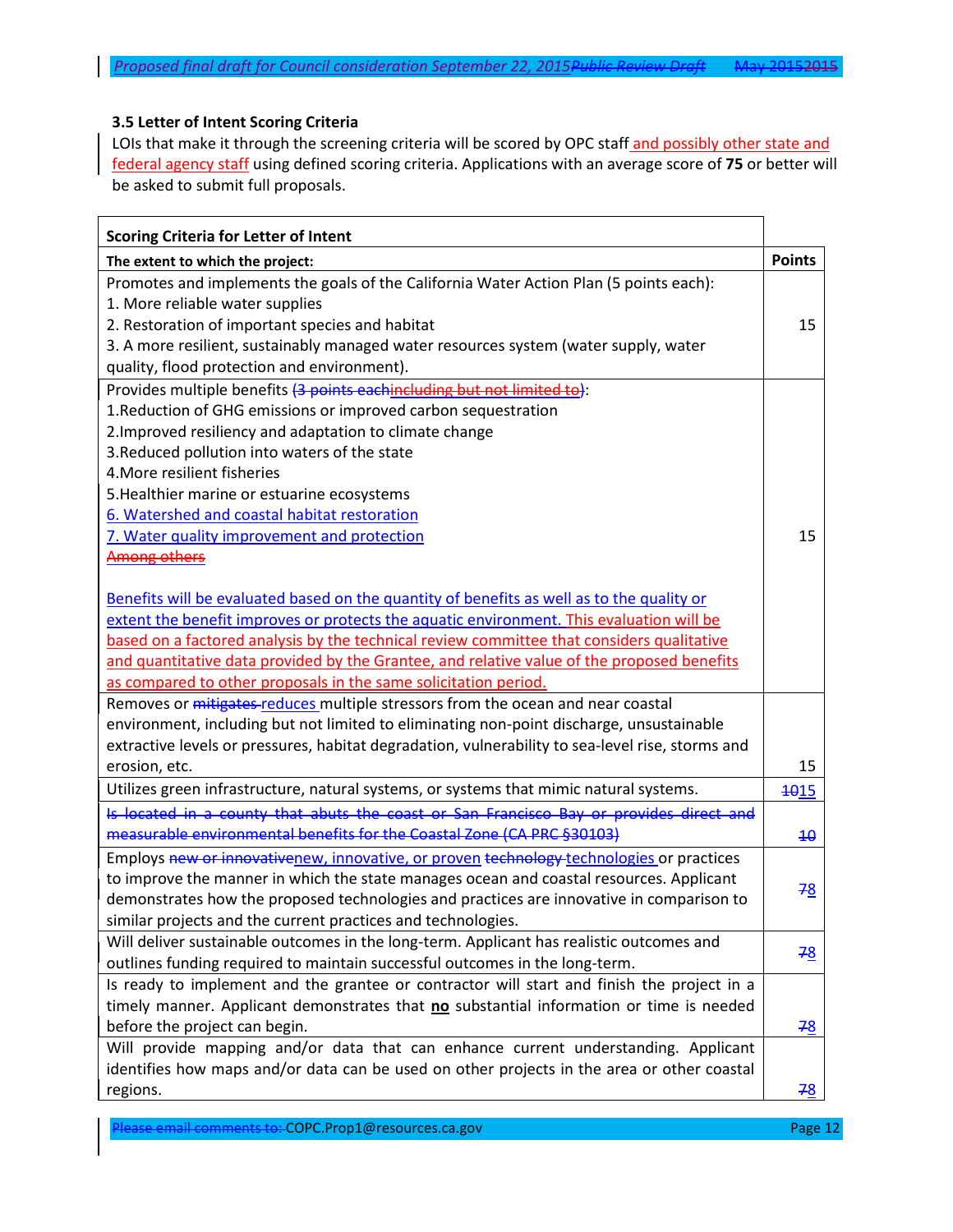### <span id="page-11-0"></span>**3.5 Letter of Intent Scoring Criteria**

LOIs that make it through the screening criteria will be scored by OPC staff and possibly other state and federal agency staff using defined scoring criteria. Applications with an average score of **75** or better will be asked to submit full proposals.

| <b>Scoring Criteria for Letter of Intent</b>                                                     |                 |
|--------------------------------------------------------------------------------------------------|-----------------|
| The extent to which the project:                                                                 | <b>Points</b>   |
| Promotes and implements the goals of the California Water Action Plan (5 points each):           |                 |
| 1. More reliable water supplies                                                                  |                 |
| 2. Restoration of important species and habitat                                                  | 15              |
| 3. A more resilient, sustainably managed water resources system (water supply, water             |                 |
| quality, flood protection and environment).                                                      |                 |
| Provides multiple benefits (3 points eachincluding but not limited to):                          |                 |
| 1. Reduction of GHG emissions or improved carbon sequestration                                   |                 |
| 2. Improved resiliency and adaptation to climate change                                          |                 |
| 3. Reduced pollution into waters of the state                                                    |                 |
| 4. More resilient fisheries                                                                      |                 |
| 5. Healthier marine or estuarine ecosystems                                                      |                 |
| 6. Watershed and coastal habitat restoration                                                     |                 |
| 7. Water quality improvement and protection                                                      | 15              |
| <b>Among others</b>                                                                              |                 |
|                                                                                                  |                 |
| Benefits will be evaluated based on the quantity of benefits as well as to the quality or        |                 |
| extent the benefit improves or protects the aquatic environment. This evaluation will be         |                 |
| based on a factored analysis by the technical review committee that considers qualitative        |                 |
| and quantitative data provided by the Grantee, and relative value of the proposed benefits       |                 |
| as compared to other proposals in the same solicitation period.                                  |                 |
| Removes or <i>mitigates-reduces</i> multiple stressors from the ocean and near coastal           |                 |
| environment, including but not limited to eliminating non-point discharge, unsustainable         |                 |
| extractive levels or pressures, habitat degradation, vulnerability to sea-level rise, storms and |                 |
| erosion, etc.                                                                                    | 15              |
| Utilizes green infrastructure, natural systems, or systems that mimic natural systems.           | <b>1015</b>     |
| Is located in a county that abuts the coast or San Francisco Bay or provides direct and          |                 |
| measurable environmental benefits for the Coastal Zone (CA PRC §30103)                           | $\overline{40}$ |
| Employs new or innovativenew, innovative, or proven technology technologies or practices         |                 |
| to improve the manner in which the state manages ocean and coastal resources. Applicant          |                 |
| demonstrates how the proposed technologies and practices are innovative in comparison to         | 78              |
| similar projects and the current practices and technologies.                                     |                 |
| Will deliver sustainable outcomes in the long-term. Applicant has realistic outcomes and         |                 |
| outlines funding required to maintain successful outcomes in the long-term.                      | 78              |
| Is ready to implement and the grantee or contractor will start and finish the project in a       |                 |
| timely manner. Applicant demonstrates that no substantial information or time is needed          |                 |
| before the project can begin.                                                                    | <u>78</u>       |
| Will provide mapping and/or data that can enhance current understanding. Applicant               |                 |
| identifies how maps and/or data can be used on other projects in the area or other coastal       |                 |
| regions.                                                                                         | 78              |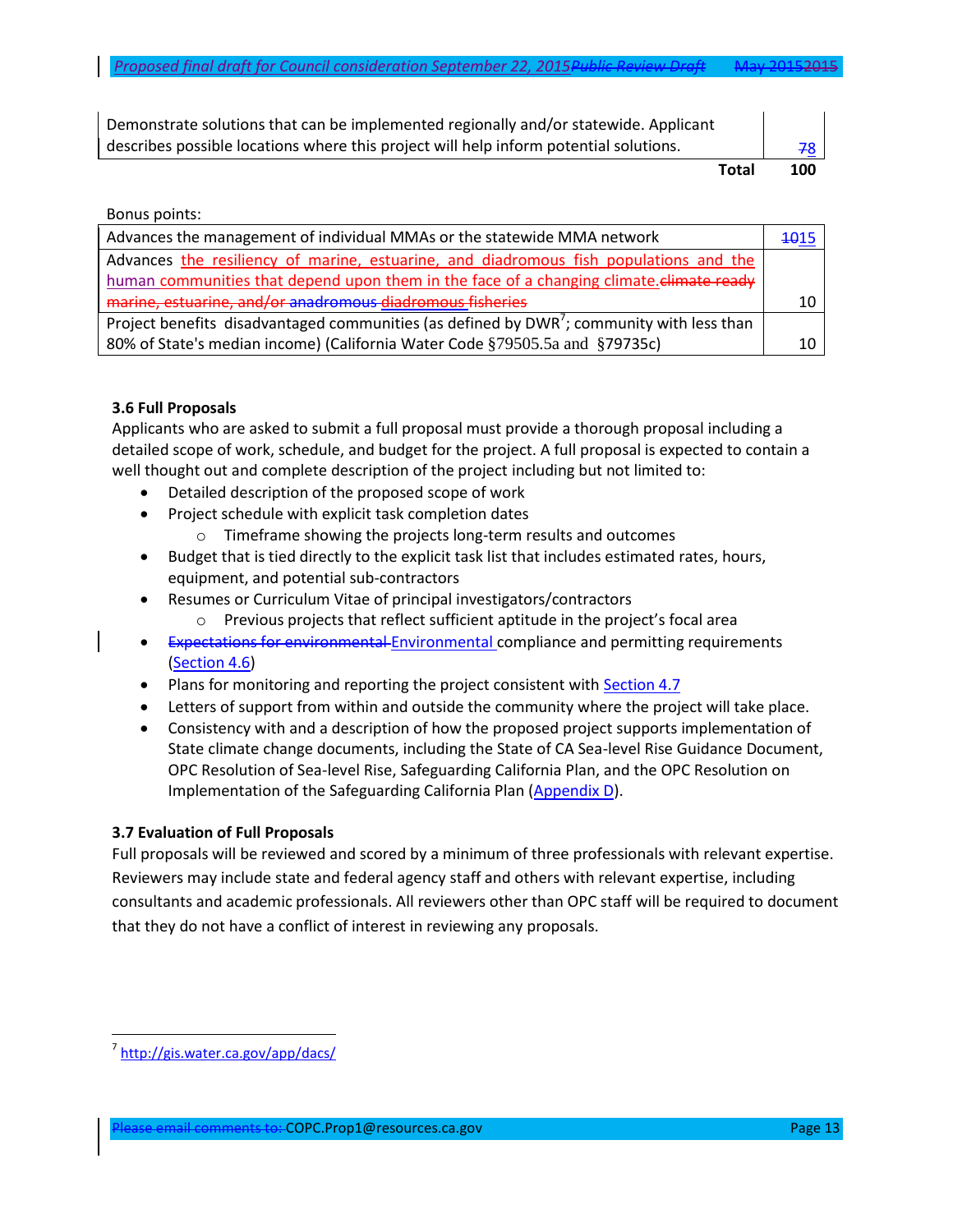| Demonstrate solutions that can be implemented regionally and/or statewide. Applicant  |                 |
|---------------------------------------------------------------------------------------|-----------------|
| describes possible locations where this project will help inform potential solutions. | 78 <sup>1</sup> |
| Total                                                                                 | 100             |

#### Bonus points:

| Advances the management of individual MMAs or the statewide MMA network                  | 4015 |
|------------------------------------------------------------------------------------------|------|
| Advances the resiliency of marine, estuarine, and diadromous fish populations and the    |      |
| human communities that depend upon them in the face of a changing climate climate ready  |      |
| marine, estuarine, and/or anadromous diadromous fisheries                                |      |
| Project benefits disadvantaged communities (as defined by DWR'; community with less than |      |
| 80% of State's median income) (California Water Code §79505.5a and §79735c)              |      |

#### <span id="page-12-0"></span>**3.6 Full Proposals**

Applicants who are asked to submit a full proposal must provide a thorough proposal including a detailed scope of work, schedule, and budget for the project. A full proposal is expected to contain a well thought out and complete description of the project including but not limited to:

- Detailed description of the proposed scope of work
- Project schedule with explicit task completion dates
	- o Timeframe showing the projects long-term results and outcomes
- Budget that is tied directly to the explicit task list that includes estimated rates, hours, equipment, and potential sub-contractors
- Resumes or Curriculum Vitae of principal investigators/contractors
	- o Previous projects that reflect sufficient aptitude in the project's focal area
- **Expectations for environmental Environmental compliance and permitting requirements** [\(Section 4.6\)](#page-18-0)
- Plans for monitoring and reporting the project consistent with **Section 4.7**
- Letters of support from within and outside the community where the project will take place.
- Consistency with and a description of how the proposed project supports implementation of State climate change documents, including the State of CA Sea-level Rise Guidance Document, OPC Resolution of Sea-level Rise, Safeguarding California Plan, and the OPC Resolution on Implementation of the Safeguarding California Plan [\(Appendix D](#page-30-0)).

### <span id="page-12-1"></span>**3.7 Evaluation of Full Proposals**

Full proposals will be reviewed and scored by a minimum of three professionals with relevant expertise. Reviewers may include state and federal agency staff and others with relevant expertise, including consultants and academic professionals. All reviewers other than OPC staff will be required to document that they do not have a conflict of interest in reviewing any proposals.

 $\overline{a}$ 

<sup>&</sup>lt;sup>7</sup><http://gis.water.ca.gov/app/dacs/>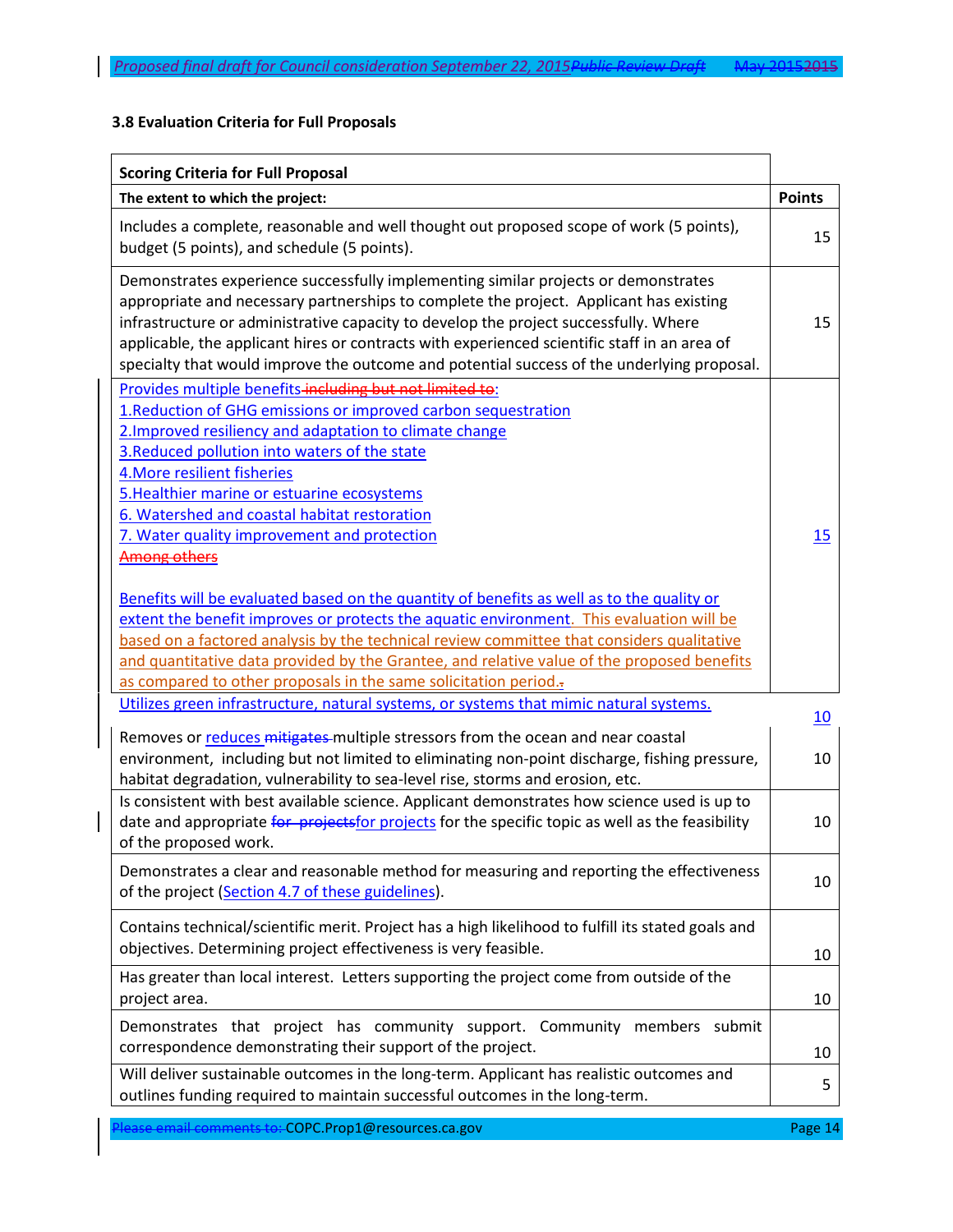# **3.8 Evaluation Criteria for Full Proposals**

| <b>Scoring Criteria for Full Proposal</b>                                                                                                                                                                                                                                                                                                                                                                                                                                                                                                                                                                                                                                                                                                                                                                                                                                                         |               |
|---------------------------------------------------------------------------------------------------------------------------------------------------------------------------------------------------------------------------------------------------------------------------------------------------------------------------------------------------------------------------------------------------------------------------------------------------------------------------------------------------------------------------------------------------------------------------------------------------------------------------------------------------------------------------------------------------------------------------------------------------------------------------------------------------------------------------------------------------------------------------------------------------|---------------|
| The extent to which the project:                                                                                                                                                                                                                                                                                                                                                                                                                                                                                                                                                                                                                                                                                                                                                                                                                                                                  | <b>Points</b> |
| Includes a complete, reasonable and well thought out proposed scope of work (5 points),<br>budget (5 points), and schedule (5 points).                                                                                                                                                                                                                                                                                                                                                                                                                                                                                                                                                                                                                                                                                                                                                            | 15            |
| Demonstrates experience successfully implementing similar projects or demonstrates<br>appropriate and necessary partnerships to complete the project. Applicant has existing<br>infrastructure or administrative capacity to develop the project successfully. Where<br>applicable, the applicant hires or contracts with experienced scientific staff in an area of<br>specialty that would improve the outcome and potential success of the underlying proposal.                                                                                                                                                                                                                                                                                                                                                                                                                                | 15            |
| Provides multiple benefits-including but not limited to:<br>1. Reduction of GHG emissions or improved carbon sequestration<br>2. Improved resiliency and adaptation to climate change<br>3. Reduced pollution into waters of the state<br>4. More resilient fisheries<br>5. Healthier marine or estuarine ecosystems<br>6. Watershed and coastal habitat restoration<br>7. Water quality improvement and protection<br><b>Among others</b><br>Benefits will be evaluated based on the quantity of benefits as well as to the quality or<br>extent the benefit improves or protects the aquatic environment. This evaluation will be<br>based on a factored analysis by the technical review committee that considers qualitative<br>and quantitative data provided by the Grantee, and relative value of the proposed benefits<br>as compared to other proposals in the same solicitation period. | 15            |
| Utilizes green infrastructure, natural systems, or systems that mimic natural systems.                                                                                                                                                                                                                                                                                                                                                                                                                                                                                                                                                                                                                                                                                                                                                                                                            | 10            |
| Removes or reduces mitigates multiple stressors from the ocean and near coastal<br>environment, including but not limited to eliminating non-point discharge, fishing pressure,<br>habitat degradation, vulnerability to sea-level rise, storms and erosion, etc.                                                                                                                                                                                                                                                                                                                                                                                                                                                                                                                                                                                                                                 | 10            |
| Is consistent with best available science. Applicant demonstrates how science used is up to<br>date and appropriate for projects for projects for the specific topic as well as the feasibility<br>of the proposed work.                                                                                                                                                                                                                                                                                                                                                                                                                                                                                                                                                                                                                                                                          | 10            |
| Demonstrates a clear and reasonable method for measuring and reporting the effectiveness<br>of the project (Section 4.7 of these guidelines).                                                                                                                                                                                                                                                                                                                                                                                                                                                                                                                                                                                                                                                                                                                                                     | 10            |
| Contains technical/scientific merit. Project has a high likelihood to fulfill its stated goals and<br>objectives. Determining project effectiveness is very feasible.                                                                                                                                                                                                                                                                                                                                                                                                                                                                                                                                                                                                                                                                                                                             | 10            |
| Has greater than local interest. Letters supporting the project come from outside of the<br>project area.                                                                                                                                                                                                                                                                                                                                                                                                                                                                                                                                                                                                                                                                                                                                                                                         | 10            |
| Demonstrates that project has community support. Community members submit<br>correspondence demonstrating their support of the project.                                                                                                                                                                                                                                                                                                                                                                                                                                                                                                                                                                                                                                                                                                                                                           | 10            |
| Will deliver sustainable outcomes in the long-term. Applicant has realistic outcomes and<br>outlines funding required to maintain successful outcomes in the long-term.                                                                                                                                                                                                                                                                                                                                                                                                                                                                                                                                                                                                                                                                                                                           | 5             |

Please email comments to: COPC.Prop1@resources.ca.gov Please email comments of Page 14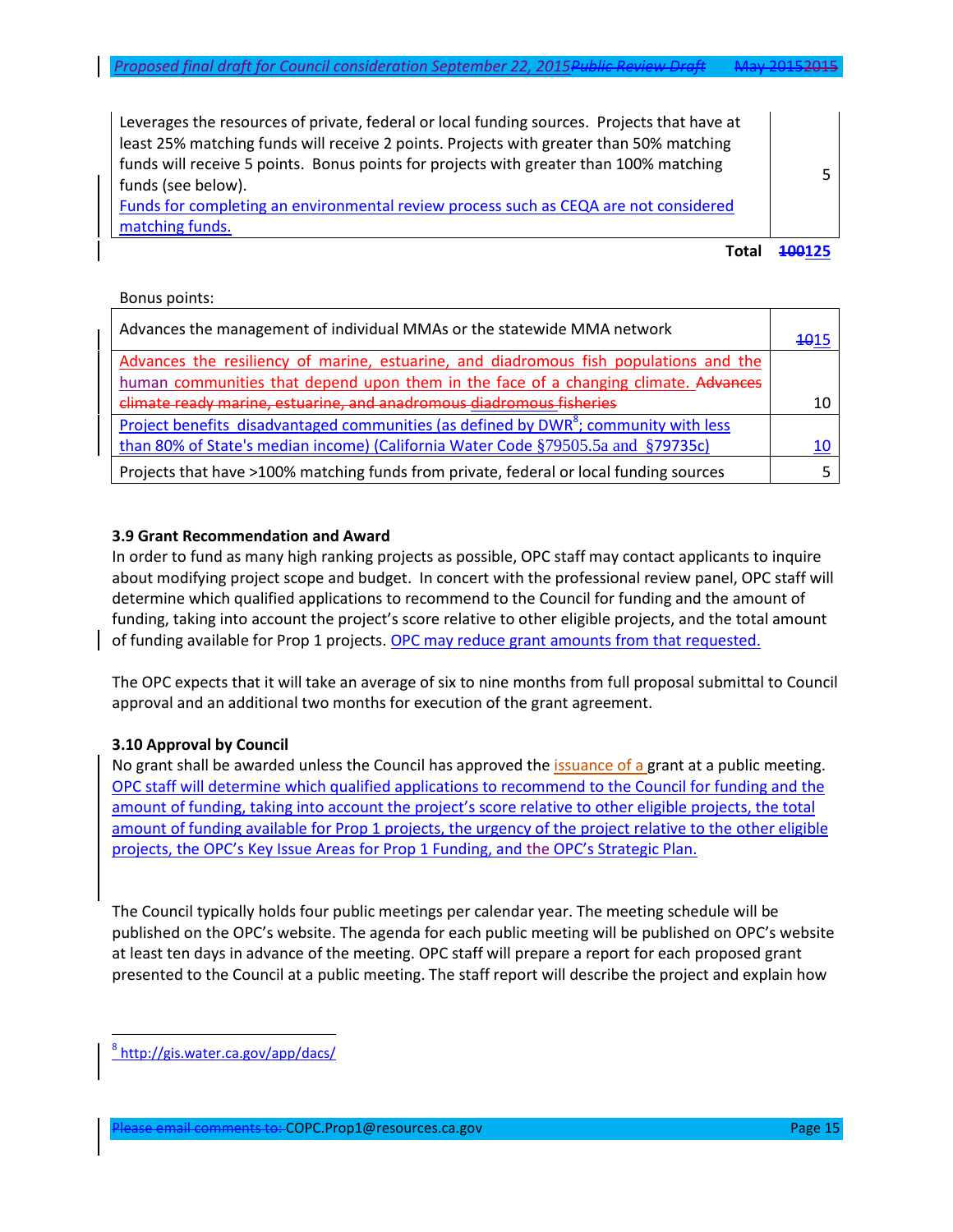Leverages the resources of private, federal or local funding sources. Projects that have at least 25% matching funds will receive 2 points. Projects with greater than 50% matching funds will receive 5 points. Bonus points for projects with greater than 100% matching funds (see below).

Funds for completing an environmental review process such as CEQA are not considered matching funds.

**Total 100125**

5

#### Bonus points:

| Advances the management of individual MMAs or the statewide MMA network                          | <del>10</del> 15 |
|--------------------------------------------------------------------------------------------------|------------------|
| Advances the resiliency of marine, estuarine, and diadromous fish populations and the            |                  |
| human communities that depend upon them in the face of a changing climate. Advances              |                  |
| climate ready marine, estuarine, and anadromous diadromous fisheries                             | 10               |
| Project benefits disadvantaged communities (as defined by DWR <sup>8</sup> ; community with less |                  |
| than 80% of State's median income) (California Water Code §79505.5a and §79735c)                 | 10               |
| Projects that have >100% matching funds from private, federal or local funding sources           |                  |

### **3.9 Grant Recommendation and Award**

In order to fund as many high ranking projects as possible, OPC staff may contact applicants to inquire about modifying project scope and budget. In concert with the professional review panel, OPC staff will determine which qualified applications to recommend to the Council for funding and the amount of funding, taking into account the project's score relative to other eligible projects, and the total amount of funding available for Prop 1 projects. OPC may reduce grant amounts from that requested.

The OPC expects that it will take an average of six to nine months from full proposal submittal to Council approval and an additional two months for execution of the grant agreement.

## **3.10 Approval by Council**

No grant shall be awarded unless the Council has approved the *issuance of a grant at a public meeting*. OPC staff will determine which qualified applications to recommend to the Council for funding and the amount of funding, taking into account the project's score relative to other eligible projects, the total amount of funding available for Prop 1 projects, the urgency of the project relative to the other eligible projects, the OPC's Key Issue Areas for Prop 1 Funding, and the OPC's Strategic Plan.

The Council typically holds four public meetings per calendar year. The meeting schedule will be published on the OPC's website. The agenda for each public meeting will be published on OPC's website at least ten days in advance of the meeting. OPC staff will prepare a report for each proposed grant presented to the Council at a public meeting. The staff report will describe the project and explain how

 $\overline{a}$ 

<sup>&</sup>lt;sup>8</sup><http://gis.water.ca.gov/app/dacs/>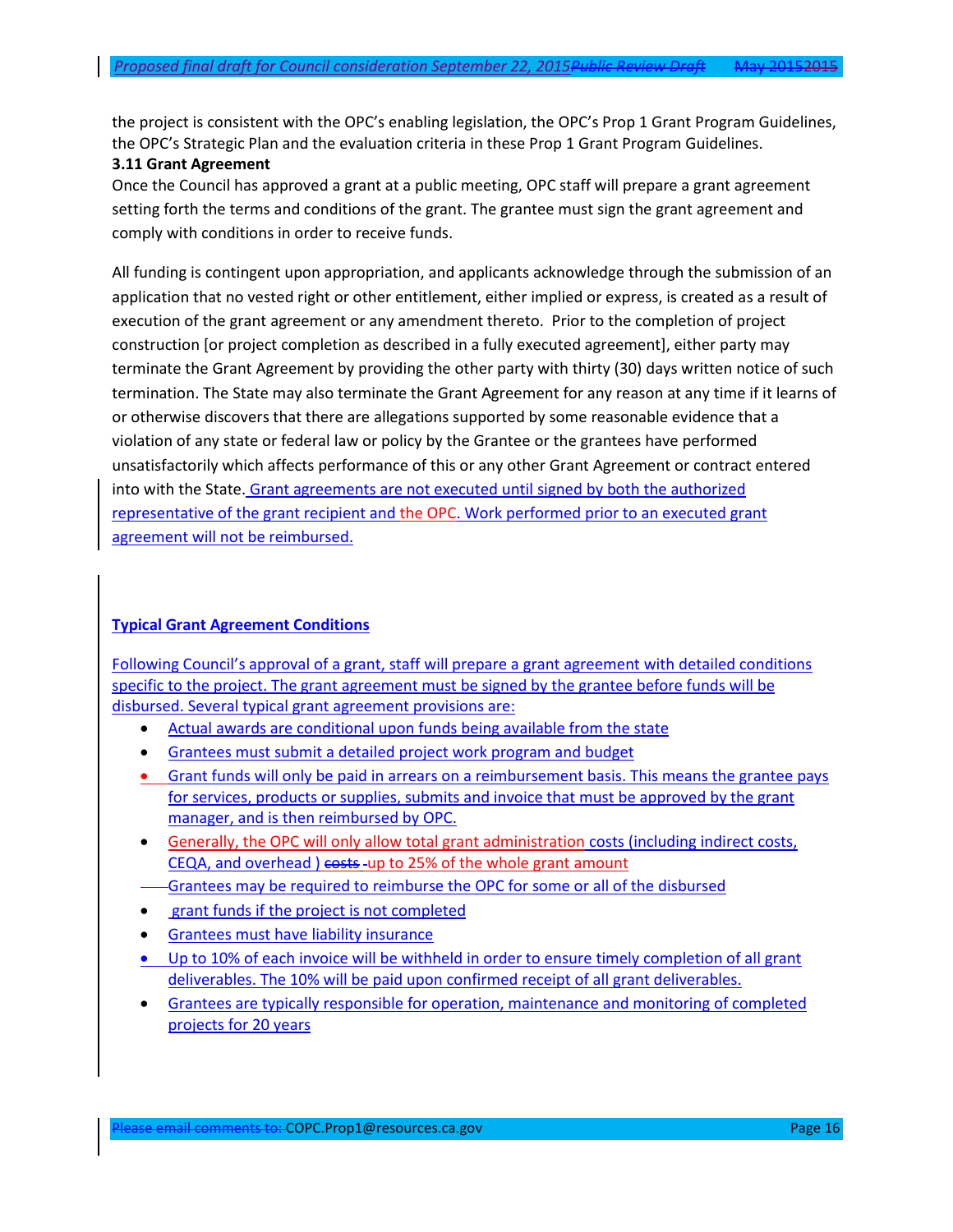the project is consistent with the OPC's enabling legislation, the OPC's Prop 1 Grant Program Guidelines, the OPC's Strategic Plan and the evaluation criteria in these Prop 1 Grant Program Guidelines.

#### **3.11 Grant Agreement**

Once the Council has approved a grant at a public meeting, OPC staff will prepare a grant agreement setting forth the terms and conditions of the grant. The grantee must sign the grant agreement and comply with conditions in order to receive funds.

All funding is contingent upon appropriation, and applicants acknowledge through the submission of an application that no vested right or other entitlement, either implied or express, is created as a result of execution of the grant agreement or any amendment thereto. Prior to the completion of project construction [or project completion as described in a fully executed agreement], either party may terminate the Grant Agreement by providing the other party with thirty (30) days written notice of such termination. The State may also terminate the Grant Agreement for any reason at any time if it learns of or otherwise discovers that there are allegations supported by some reasonable evidence that a violation of any state or federal law or policy by the Grantee or the grantees have performed unsatisfactorily which affects performance of this or any other Grant Agreement or contract entered into with the State. Grant agreements are not executed until signed by both the authorized representative of the grant recipient and the OPC. Work performed prior to an executed grant agreement will not be reimbursed.

### **Typical Grant Agreement Conditions**

Following Council's approval of a grant, staff will prepare a grant agreement with detailed conditions specific to the project. The grant agreement must be signed by the grantee before funds will be disbursed. Several typical grant agreement provisions are:

- Actual awards are conditional upon funds being available from the state
- Grantees must submit a detailed project work program and budget
- Grant funds will only be paid in arrears on a reimbursement basis. This means the grantee pays for services, products or supplies, submits and invoice that must be approved by the grant manager, and is then reimbursed by OPC.
- Generally, the OPC will only allow total grant administration costs (including indirect costs, CEQA, and overhead ) costs -up to 25% of the whole grant amount
- Grantees may be required to reimburse the OPC for some or all of the disbursed
- grant funds if the project is not completed
- Grantees must have liability insurance
- Up to 10% of each invoice will be withheld in order to ensure timely completion of all grant deliverables. The 10% will be paid upon confirmed receipt of all grant deliverables.
- Grantees are typically responsible for operation, maintenance and monitoring of completed projects for 20 years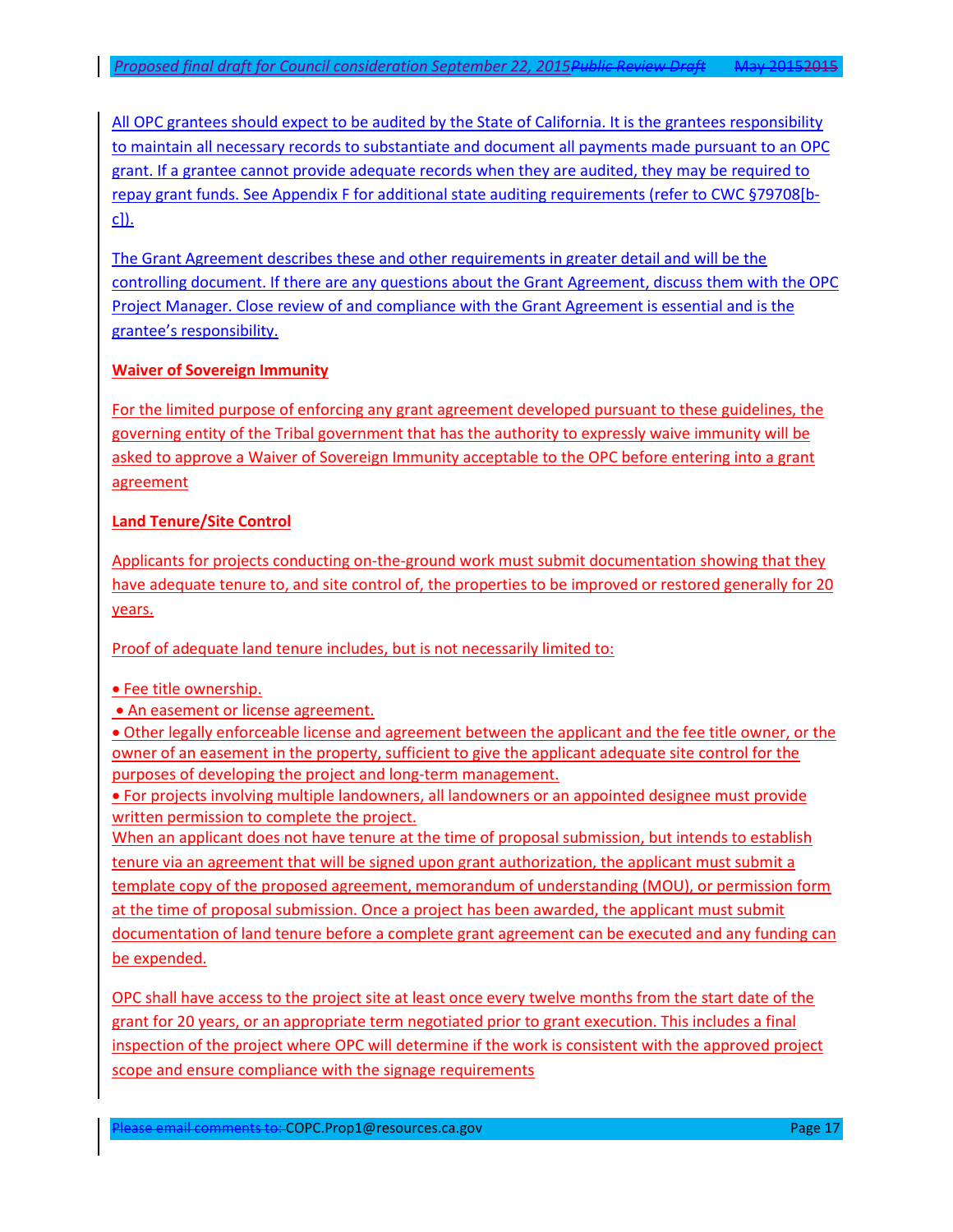All OPC grantees should expect to be audited by the State of California. It is the grantees responsibility to maintain all necessary records to substantiate and document all payments made pursuant to an OPC grant. If a grantee cannot provide adequate records when they are audited, they may be required to repay grant funds. See Appendix F for additional state auditing requirements (refer to CWC §79708[bc]).

The Grant Agreement describes these and other requirements in greater detail and will be the controlling document. If there are any questions about the Grant Agreement, discuss them with the OPC Project Manager. Close review of and compliance with the Grant Agreement is essential and is the grantee's responsibility.

### **Waiver of Sovereign Immunity**

For the limited purpose of enforcing any grant agreement developed pursuant to these guidelines, the governing entity of the Tribal government that has the authority to expressly waive immunity will be asked to approve a Waiver of Sovereign Immunity acceptable to the OPC before entering into a grant agreement

### **Land Tenure/Site Control**

Applicants for projects conducting on-the-ground work must submit documentation showing that they have adequate tenure to, and site control of, the properties to be improved or restored generally for 20 years.

Proof of adequate land tenure includes, but is not necessarily limited to:

• Fee title ownership.

. An easement or license agreement.

 Other legally enforceable license and agreement between the applicant and the fee title owner, or the owner of an easement in the property, sufficient to give the applicant adequate site control for the purposes of developing the project and long-term management.

 For projects involving multiple landowners, all landowners or an appointed designee must provide written permission to complete the project.

When an applicant does not have tenure at the time of proposal submission, but intends to establish tenure via an agreement that will be signed upon grant authorization, the applicant must submit a template copy of the proposed agreement, memorandum of understanding (MOU), or permission form at the time of proposal submission. Once a project has been awarded, the applicant must submit documentation of land tenure before a complete grant agreement can be executed and any funding can be expended.

OPC shall have access to the project site at least once every twelve months from the start date of the grant for 20 years, or an appropriate term negotiated prior to grant execution. This includes a final inspection of the project where OPC will determine if the work is consistent with the approved project scope and ensure compliance with the signage requirements

Please email comments to: COPC.Prop1@resources.ca.gov Page 17 Page 17 Page 17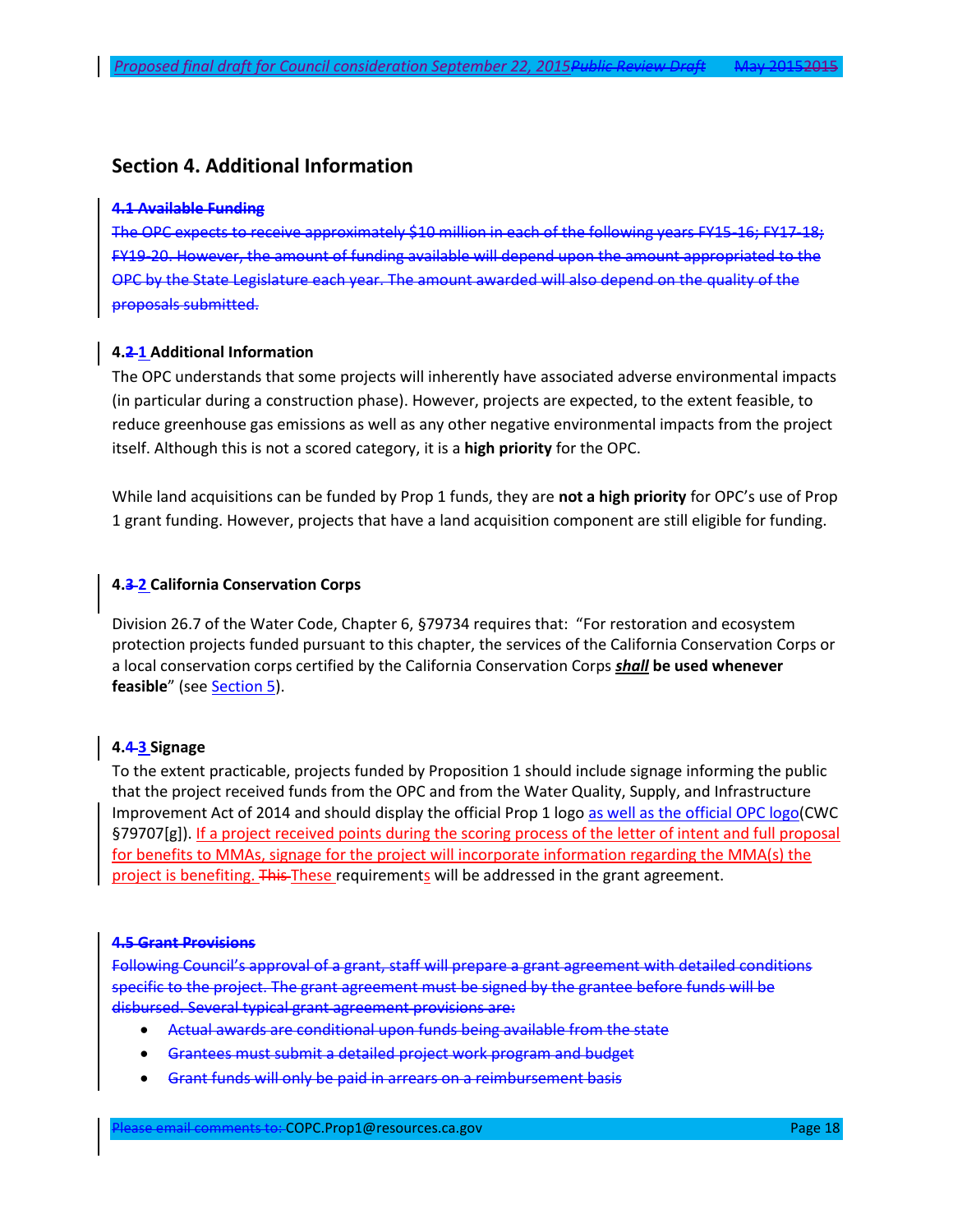### **Section 4. Additional Information**

#### **4.1 Available Funding**

The OPC expects to receive approximately \$10 million in each of the following years FY15-16; FY17-18; FY19-20. However, the amount of funding available will depend upon the amount appropriated to the OPC by the State Legislature each year. The amount awarded will also depend on the quality of the proposals submitted.

#### **4.2 1 Additional Information**

The OPC understands that some projects will inherently have associated adverse environmental impacts (in particular during a construction phase). However, projects are expected, to the extent feasible, to reduce greenhouse gas emissions as well as any other negative environmental impacts from the project itself. Although this is not a scored category, it is a **high priority** for the OPC.

While land acquisitions can be funded by Prop 1 funds, they are **not a high priority** for OPC's use of Prop 1 grant funding. However, projects that have a land acquisition component are still eligible for funding.

#### **4.3 2 California Conservation Corps**

Division 26.7 of the Water Code, Chapter 6, §79734 requires that: "For restoration and ecosystem protection projects funded pursuant to this chapter, the services of the California Conservation Corps or a local conservation corps certified by the California Conservation Corps *shall* **be used whenever**  feasible" (see **Section 5**).

#### **4.4 3 Signage**

To the extent practicable, projects funded by Proposition 1 should include signage informing the public that the project received funds from the OPC and from the Water Quality, Supply, and Infrastructure Improvement Act of 2014 and should display the official Prop 1 logo as well as the official OPC logo(CWC §79707[g]). If a project received points during the scoring process of the letter of intent and full proposal for benefits to MMAs, signage for the project will incorporate information regarding the MMA(s) the project is benefiting. This These requirements will be addressed in the grant agreement.

#### **4.5 Grant Provisions**

Following Council's approval of a grant, staff will prepare a grant agreement with detailed conditions specific to the project. The grant agreement must be signed by the grantee before funds will be disbursed. Several typical grant agreement provisions are:

- Actual awards are conditional upon funds being available from the state
- Grantees must submit a detailed project work program and budget
- Grant funds will only be paid in arrears on a reimbursement basis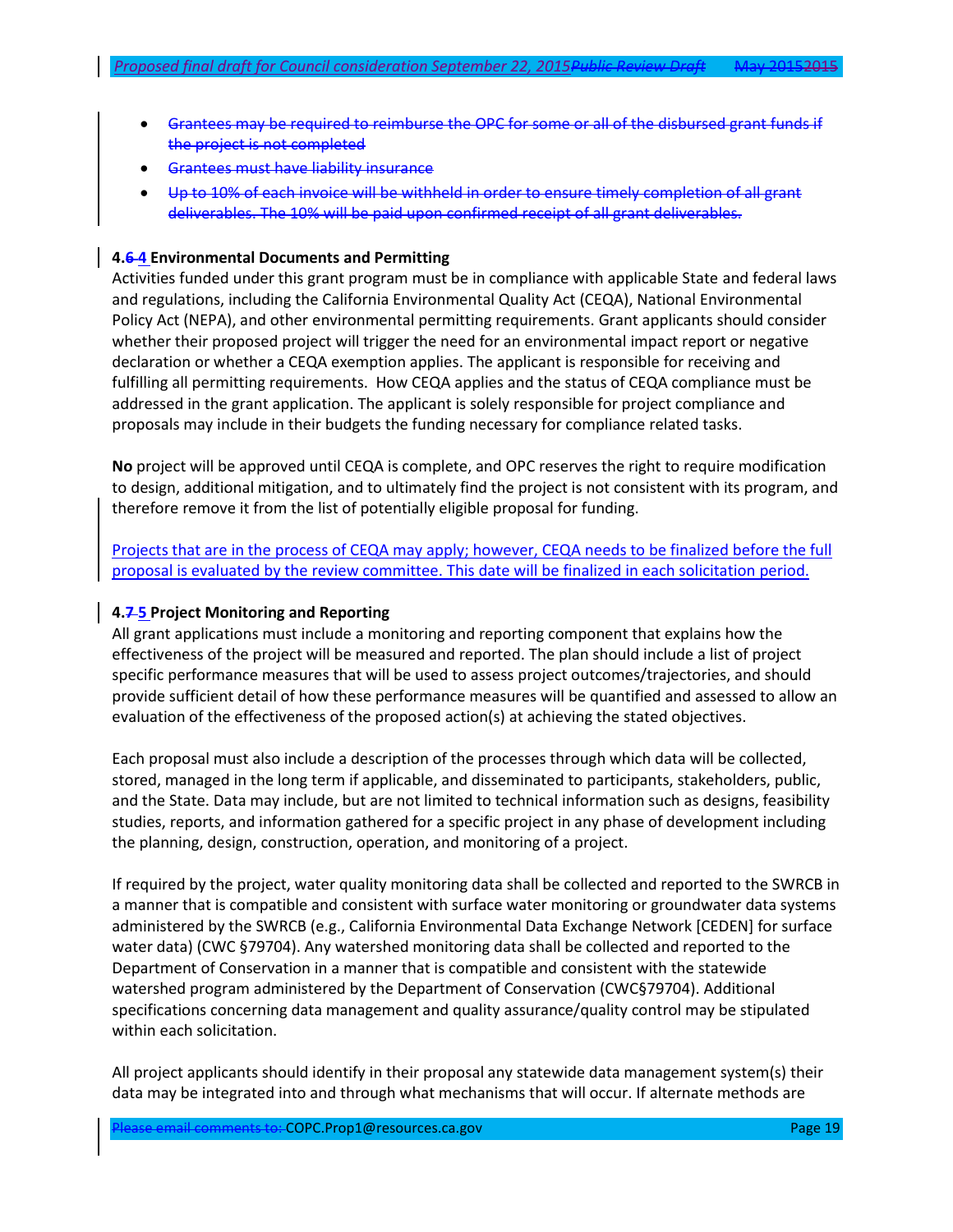- Grantees may be required to reimburse the OPC for some or all of the disbursed grant funds if the project is not completed
- Grantees must have liability insurance
- Up to 10% of each invoice will be withheld in order to ensure timely completion of all grant deliverables. The 10% will be paid upon confirmed receipt of all grant deliverables.

#### <span id="page-18-0"></span>**4.6 4 Environmental Documents and Permitting**

Activities funded under this grant program must be in compliance with applicable State and federal laws and regulations, including the California Environmental Quality Act (CEQA), National Environmental Policy Act (NEPA), and other environmental permitting requirements. Grant applicants should consider whether their proposed project will trigger the need for an environmental impact report or negative declaration or whether a CEQA exemption applies. The applicant is responsible for receiving and fulfilling all permitting requirements. How CEQA applies and the status of CEQA compliance must be addressed in the grant application. The applicant is solely responsible for project compliance and proposals may include in their budgets the funding necessary for compliance related tasks.

**No** project will be approved until CEQA is complete, and OPC reserves the right to require modification to design, additional mitigation, and to ultimately find the project is not consistent with its program, and therefore remove it from the list of potentially eligible proposal for funding.

Projects that are in the process of CEQA may apply; however, CEQA needs to be finalized before the full proposal is evaluated by the review committee. This date will be finalized in each solicitation period.

#### <span id="page-18-1"></span>**4.7 5 Project Monitoring and Reporting**

All grant applications must include a monitoring and reporting component that explains how the effectiveness of the project will be measured and reported. The plan should include a list of project specific performance measures that will be used to assess project outcomes/trajectories, and should provide sufficient detail of how these performance measures will be quantified and assessed to allow an evaluation of the effectiveness of the proposed action(s) at achieving the stated objectives.

Each proposal must also include a description of the processes through which data will be collected, stored, managed in the long term if applicable, and disseminated to participants, stakeholders, public, and the State. Data may include, but are not limited to technical information such as designs, feasibility studies, reports, and information gathered for a specific project in any phase of development including the planning, design, construction, operation, and monitoring of a project.

If required by the project, water quality monitoring data shall be collected and reported to the SWRCB in a manner that is compatible and consistent with surface water monitoring or groundwater data systems administered by the SWRCB (e.g., California Environmental Data Exchange Network [CEDEN] for surface water data) (CWC §79704). Any watershed monitoring data shall be collected and reported to the Department of Conservation in a manner that is compatible and consistent with the statewide watershed program administered by the Department of Conservation (CWC§79704). Additional specifications concerning data management and quality assurance/quality control may be stipulated within each solicitation.

All project applicants should identify in their proposal any statewide data management system(s) their data may be integrated into and through what mechanisms that will occur. If alternate methods are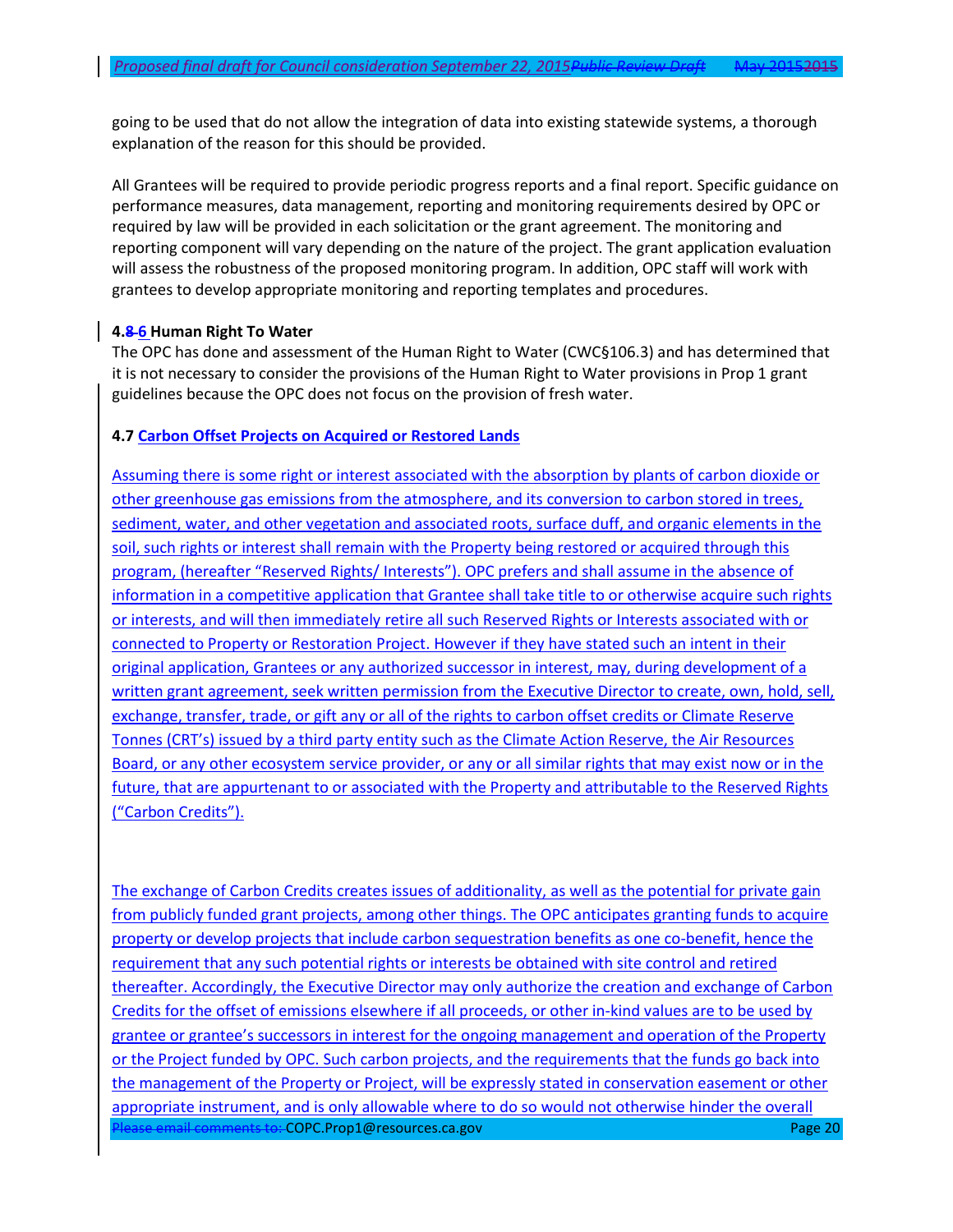going to be used that do not allow the integration of data into existing statewide systems, a thorough explanation of the reason for this should be provided.

All Grantees will be required to provide periodic progress reports and a final report. Specific guidance on performance measures, data management, reporting and monitoring requirements desired by OPC or required by law will be provided in each solicitation or the grant agreement. The monitoring and reporting component will vary depending on the nature of the project. The grant application evaluation will assess the robustness of the proposed monitoring program. In addition, OPC staff will work with grantees to develop appropriate monitoring and reporting templates and procedures.

#### **4.8 6 Human Right To Water**

The OPC has done and assessment of the Human Right to Water (CWC§106.3) and has determined that it is not necessary to consider the provisions of the Human Right to Water provisions in Prop 1 grant guidelines because the OPC does not focus on the provision of fresh water.

#### **4.7 Carbon Offset Projects on Acquired or Restored Lands**

Assuming there is some right or interest associated with the absorption by plants of carbon dioxide or other greenhouse gas emissions from the atmosphere, and its conversion to carbon stored in trees, sediment, water, and other vegetation and associated roots, surface duff, and organic elements in the soil, such rights or interest shall remain with the Property being restored or acquired through this program, (hereafter "Reserved Rights/ Interests"). OPC prefers and shall assume in the absence of information in a competitive application that Grantee shall take title to or otherwise acquire such rights or interests, and will then immediately retire all such Reserved Rights or Interests associated with or connected to Property or Restoration Project. However if they have stated such an intent in their original application, Grantees or any authorized successor in interest, may, during development of a written grant agreement, seek written permission from the Executive Director to create, own, hold, sell, exchange, transfer, trade, or gift any or all of the rights to carbon offset credits or Climate Reserve Tonnes (CRT's) issued by a third party entity such as the Climate Action Reserve, the Air Resources Board, or any other ecosystem service provider, or any or all similar rights that may exist now or in the future, that are appurtenant to or associated with the Property and attributable to the Reserved Rights ("Carbon Credits").

Please email comments to: COPC.Prop1@resources.ca.gov Page 20 Page 20 Page 20 Page 20 The exchange of Carbon Credits creates issues of additionality, as well as the potential for private gain from publicly funded grant projects, among other things. The OPC anticipates granting funds to acquire property or develop projects that include carbon sequestration benefits as one co-benefit, hence the requirement that any such potential rights or interests be obtained with site control and retired thereafter. Accordingly, the Executive Director may only authorize the creation and exchange of Carbon Credits for the offset of emissions elsewhere if all proceeds, or other in-kind values are to be used by grantee or grantee's successors in interest for the ongoing management and operation of the Property or the Project funded by OPC. Such carbon projects, and the requirements that the funds go back into the management of the Property or Project, will be expressly stated in conservation easement or other appropriate instrument, and is only allowable where to do so would not otherwise hinder the overall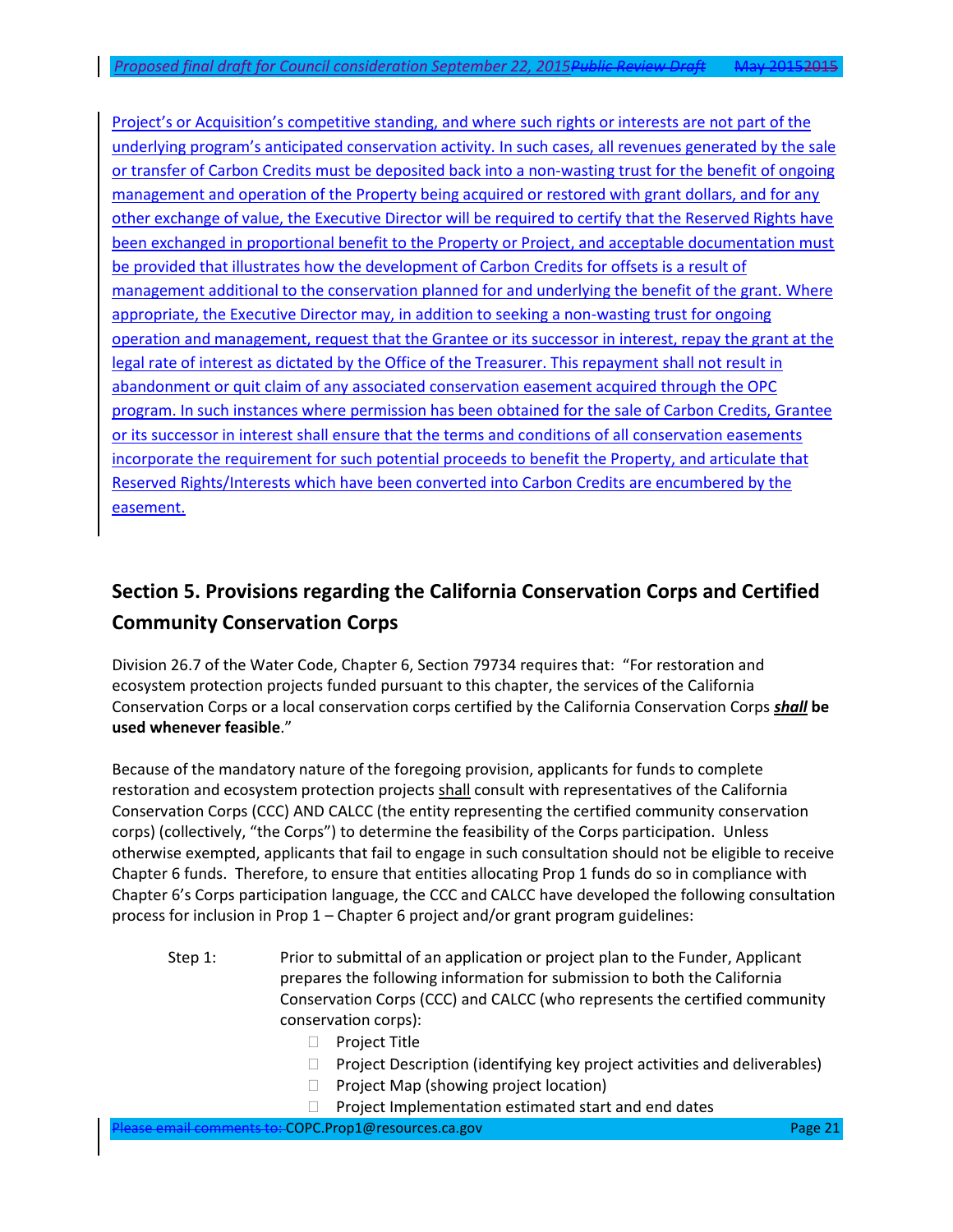Project's or Acquisition's competitive standing, and where such rights or interests are not part of the underlying program's anticipated conservation activity. In such cases, all revenues generated by the sale or transfer of Carbon Credits must be deposited back into a non-wasting trust for the benefit of ongoing management and operation of the Property being acquired or restored with grant dollars, and for any other exchange of value, the Executive Director will be required to certify that the Reserved Rights have been exchanged in proportional benefit to the Property or Project, and acceptable documentation must be provided that illustrates how the development of Carbon Credits for offsets is a result of management additional to the conservation planned for and underlying the benefit of the grant. Where appropriate, the Executive Director may, in addition to seeking a non-wasting trust for ongoing operation and management, request that the Grantee or its successor in interest, repay the grant at the legal rate of interest as dictated by the Office of the Treasurer. This repayment shall not result in abandonment or quit claim of any associated conservation easement acquired through the OPC program. In such instances where permission has been obtained for the sale of Carbon Credits, Grantee or its successor in interest shall ensure that the terms and conditions of all conservation easements incorporate the requirement for such potential proceeds to benefit the Property, and articulate that Reserved Rights/Interests which have been converted into Carbon Credits are encumbered by the easement.

# <span id="page-20-0"></span>**Section 5. Provisions regarding the California Conservation Corps and Certified Community Conservation Corps**

Division 26.7 of the Water Code, Chapter 6, Section 79734 requires that: "For restoration and ecosystem protection projects funded pursuant to this chapter, the services of the California Conservation Corps or a local conservation corps certified by the California Conservation Corps *shall* **be used whenever feasible**."

Because of the mandatory nature of the foregoing provision, applicants for funds to complete restoration and ecosystem protection projects shall consult with representatives of the California Conservation Corps (CCC) AND CALCC (the entity representing the certified community conservation corps) (collectively, "the Corps") to determine the feasibility of the Corps participation. Unless otherwise exempted, applicants that fail to engage in such consultation should not be eligible to receive Chapter 6 funds. Therefore, to ensure that entities allocating Prop 1 funds do so in compliance with Chapter 6's Corps participation language, the CCC and CALCC have developed the following consultation process for inclusion in Prop 1 – Chapter 6 project and/or grant program guidelines:

- Step 1: Prior to submittal of an application or project plan to the Funder, Applicant prepares the following information for submission to both the California Conservation Corps (CCC) and CALCC (who represents the certified community conservation corps):
	- D Project Title
	- $\Box$  Project Description (identifying key project activities and deliverables)
	- $\Box$  Project Map (showing project location)
	- $\Box$  Project Implementation estimated start and end dates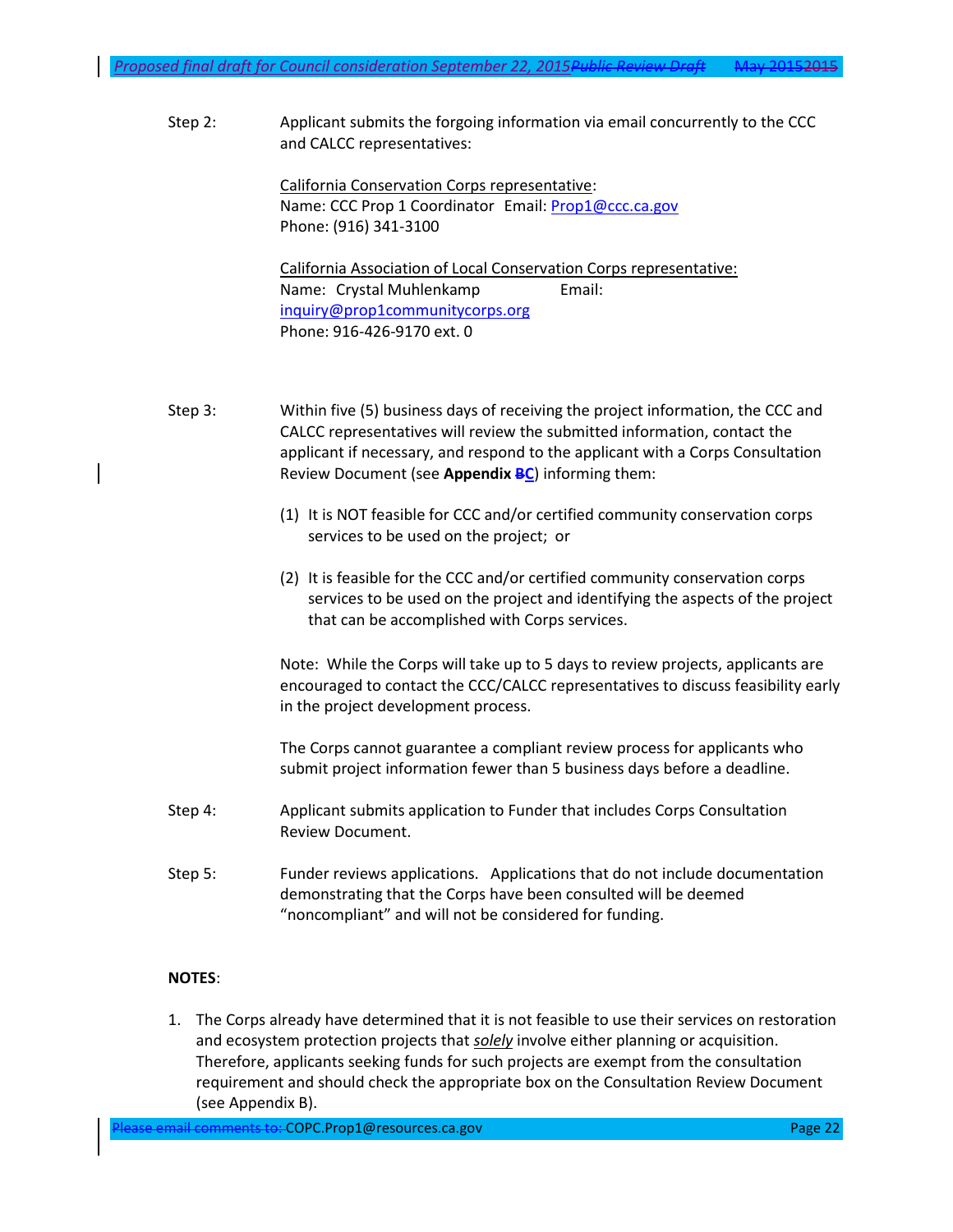Step 2: Applicant submits the forgoing information via email concurrently to the CCC and CALCC representatives:

> California Conservation Corps representative: Name: CCC Prop 1 Coordinator Email: [Prop1@ccc.ca.gov](mailto:Prop1@ccc.ca.gov) Phone: (916) 341-3100

California Association of Local Conservation Corps representative: Name: Crystal Muhlenkamp Email: [inquiry@prop1communitycorps.org](mailto:inquiry@prop1communitycorps.org) Phone: 916-426-9170 ext. 0

Step 3: Within five (5) business days of receiving the project information, the CCC and CALCC representatives will review the submitted information, contact the applicant if necessary, and respond to the applicant with a Corps Consultation Review Document (see **Appendix BC**) informing them:

- <span id="page-21-0"></span>(1) It is NOT feasible for CCC and/or certified community conservation corps services to be used on the project; or
- (2) It is feasible for the CCC and/or certified community conservation corps services to be used on the project and identifying the aspects of the project that can be accomplished with Corps services.

Note: While the Corps will take up to 5 days to review projects, applicants are encouraged to contact the CCC/CALCC representatives to discuss feasibility early in the project development process.

The Corps cannot guarantee a compliant review process for applicants who submit project information fewer than 5 business days before a deadline.

- Step 4: Applicant submits application to Funder that includes Corps Consultation Review Document.
- Step 5: Funder reviews applications. Applications that do not include documentation demonstrating that the Corps have been consulted will be deemed "noncompliant" and will not be considered for funding.

#### **NOTES**:

1. The Corps already have determined that it is not feasible to use their services on restoration and ecosystem protection projects that *solely* involve either planning or acquisition. Therefore, applicants seeking funds for such projects are exempt from the consultation requirement and should check the appropriate box on the Consultation Review Document (see Appendix B).

Please email comments to: COPC.Prop1@resources.ca.gov Page 22 Page 22 Page 22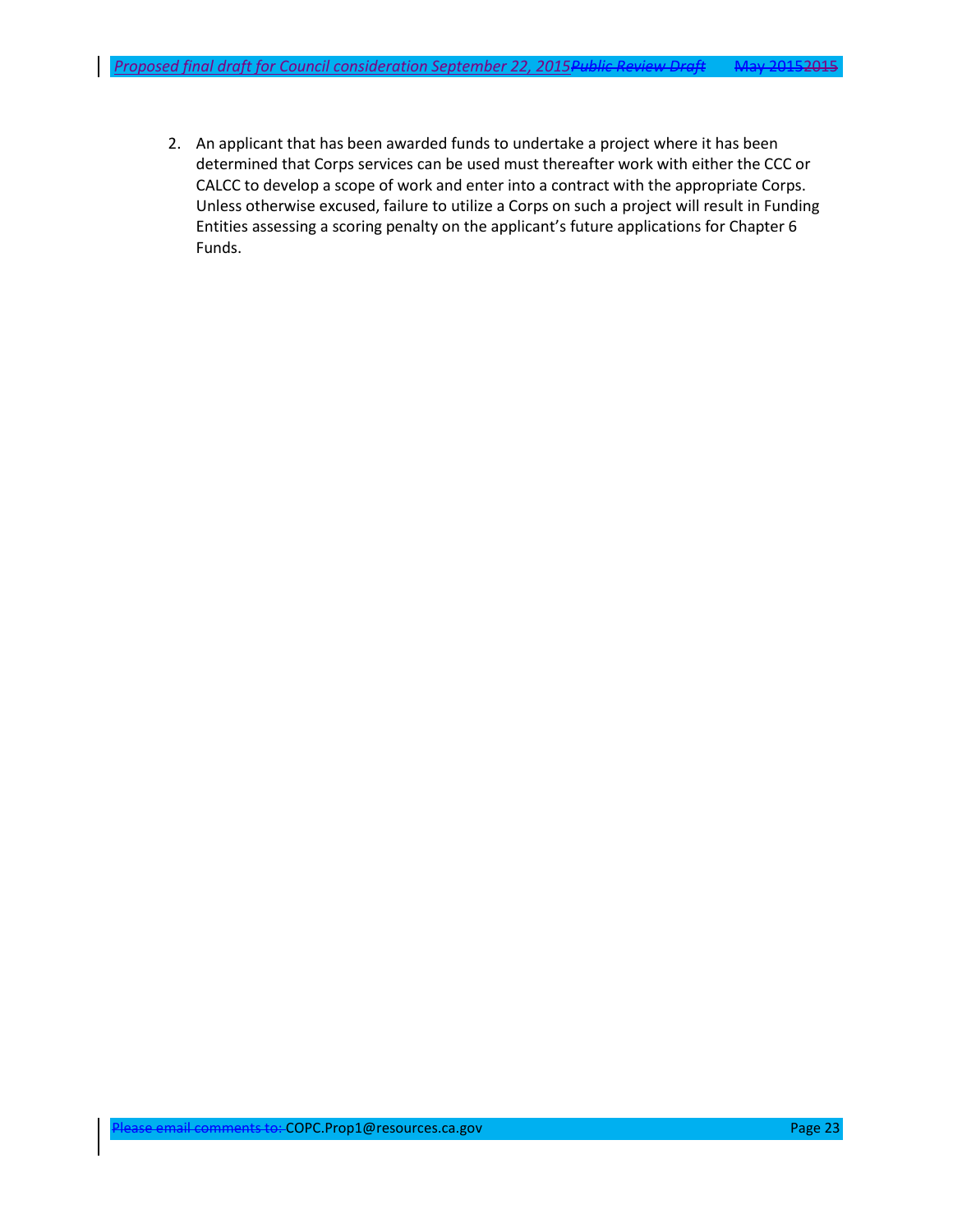2. An applicant that has been awarded funds to undertake a project where it has been determined that Corps services can be used must thereafter work with either the CCC or CALCC to develop a scope of work and enter into a contract with the appropriate Corps. Unless otherwise excused, failure to utilize a Corps on such a project will result in Funding Entities assessing a scoring penalty on the applicant's future applications for Chapter 6 Funds.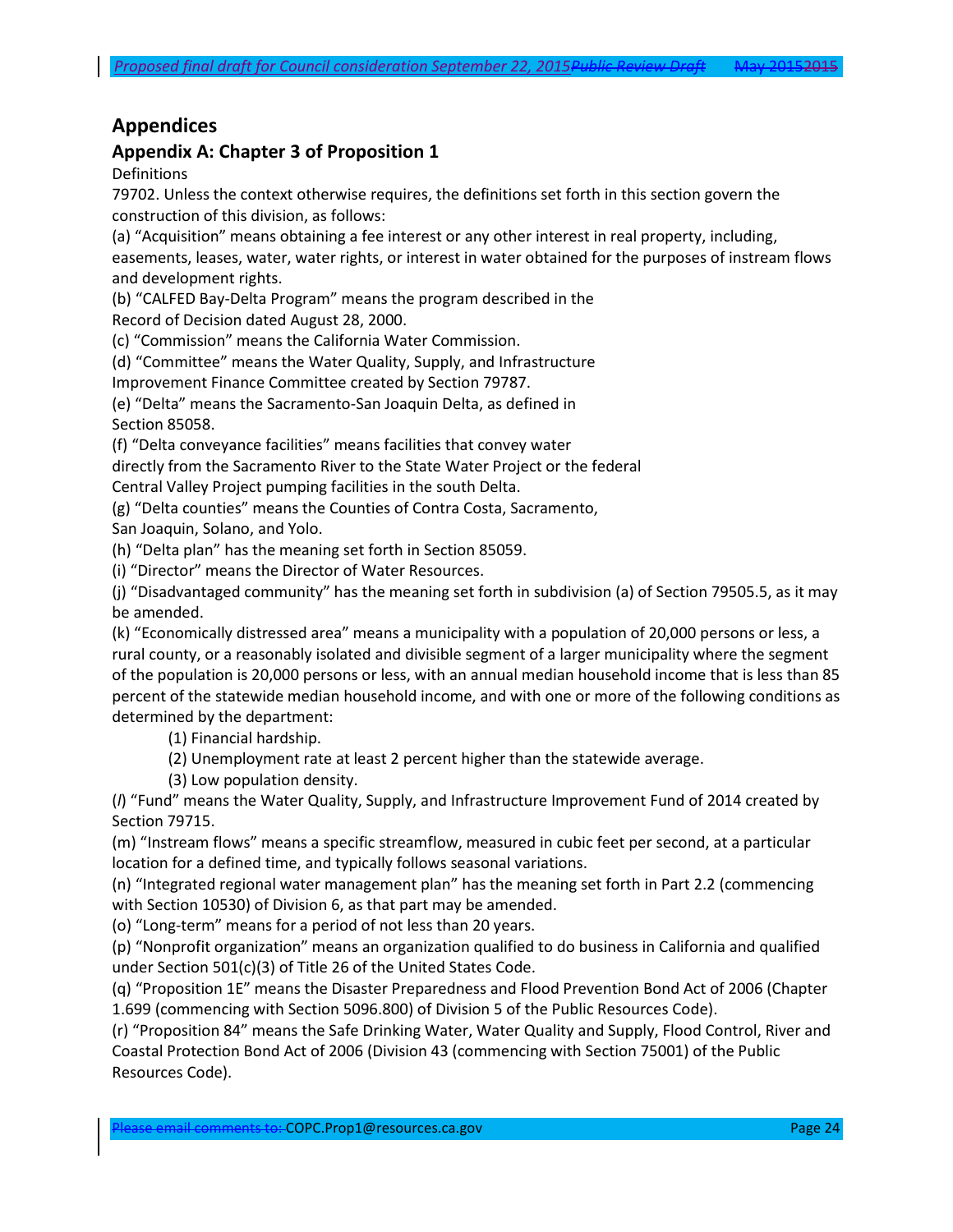# **Appendices**

# <span id="page-23-0"></span>**Appendix A: Chapter 3 of Proposition 1**

Definitions

79702. Unless the context otherwise requires, the definitions set forth in this section govern the construction of this division, as follows:

(a) "Acquisition" means obtaining a fee interest or any other interest in real property, including, easements, leases, water, water rights, or interest in water obtained for the purposes of instream flows and development rights.

(b) "CALFED Bay-Delta Program" means the program described in the Record of Decision dated August 28, 2000.

(c) "Commission" means the California Water Commission.

(d) "Committee" means the Water Quality, Supply, and Infrastructure

Improvement Finance Committee created by Section 79787.

(e) "Delta" means the Sacramento-San Joaquin Delta, as defined in Section 85058.

(f) "Delta conveyance facilities" means facilities that convey water

directly from the Sacramento River to the State Water Project or the federal Central Valley Project pumping facilities in the south Delta.

(g) "Delta counties" means the Counties of Contra Costa, Sacramento,

San Joaquin, Solano, and Yolo.

(h) "Delta plan" has the meaning set forth in Section 85059.

(i) "Director" means the Director of Water Resources.

(j) "Disadvantaged community" has the meaning set forth in subdivision (a) of Section 79505.5, as it may be amended.

(k) "Economically distressed area" means a municipality with a population of 20,000 persons or less, a rural county, or a reasonably isolated and divisible segment of a larger municipality where the segment of the population is 20,000 persons or less, with an annual median household income that is less than 85 percent of the statewide median household income, and with one or more of the following conditions as determined by the department:

(1) Financial hardship.

(2) Unemployment rate at least 2 percent higher than the statewide average.

(3) Low population density.

(*l*) "Fund" means the Water Quality, Supply, and Infrastructure Improvement Fund of 2014 created by Section 79715.

(m) "Instream flows" means a specific streamflow, measured in cubic feet per second, at a particular location for a defined time, and typically follows seasonal variations.

(n) "Integrated regional water management plan" has the meaning set forth in Part 2.2 (commencing with Section 10530) of Division 6, as that part may be amended.

(o) "Long-term" means for a period of not less than 20 years.

(p) "Nonprofit organization" means an organization qualified to do business in California and qualified under Section 501(c)(3) of Title 26 of the United States Code.

(q) "Proposition 1E" means the Disaster Preparedness and Flood Prevention Bond Act of 2006 (Chapter 1.699 (commencing with Section 5096.800) of Division 5 of the Public Resources Code).

(r) "Proposition 84" means the Safe Drinking Water, Water Quality and Supply, Flood Control, River and Coastal Protection Bond Act of 2006 (Division 43 (commencing with Section 75001) of the Public Resources Code).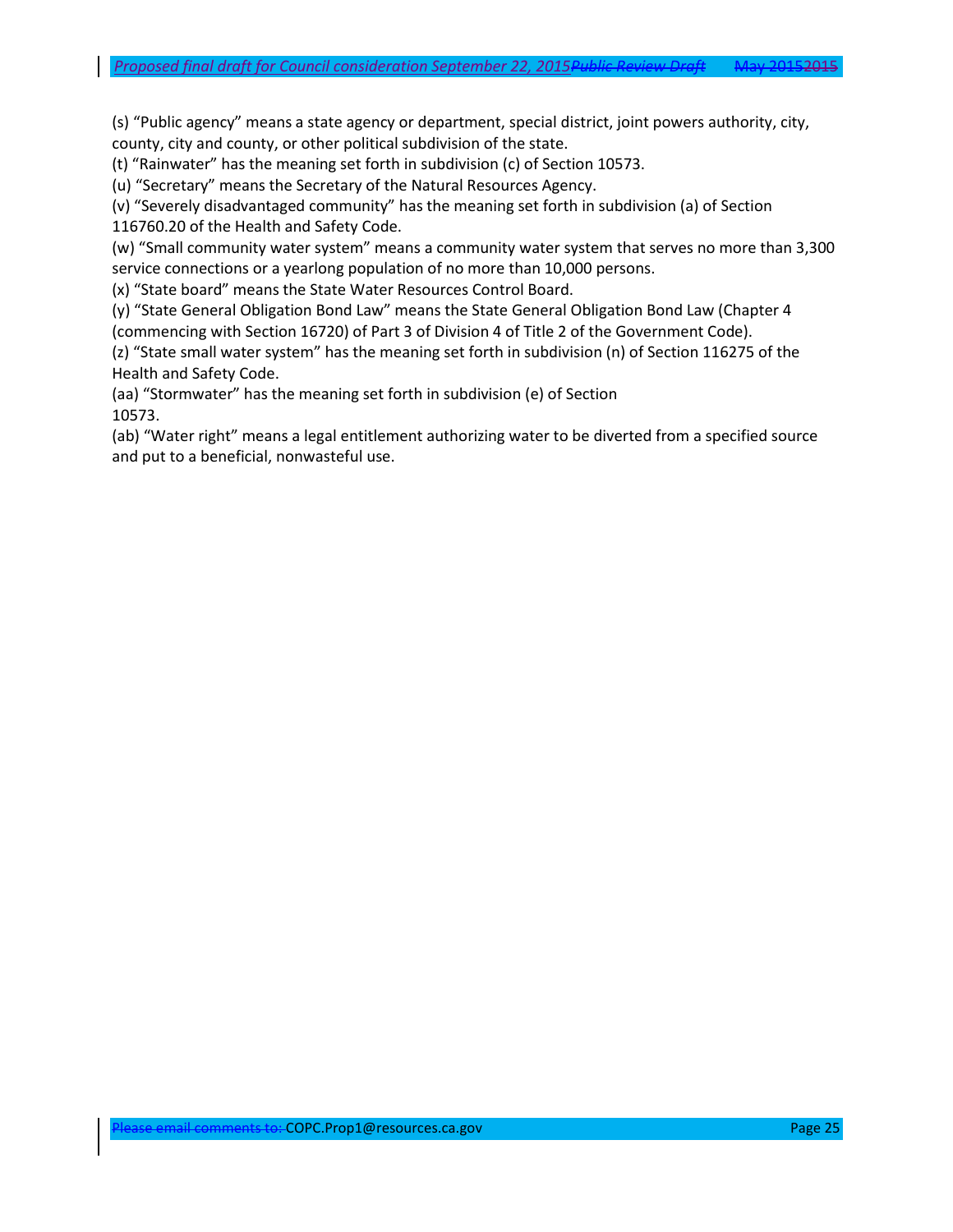(s) "Public agency" means a state agency or department, special district, joint powers authority, city, county, city and county, or other political subdivision of the state.

(t) "Rainwater" has the meaning set forth in subdivision (c) of Section 10573.

(u) "Secretary" means the Secretary of the Natural Resources Agency.

(v) "Severely disadvantaged community" has the meaning set forth in subdivision (a) of Section 116760.20 of the Health and Safety Code.

(w) "Small community water system" means a community water system that serves no more than 3,300 service connections or a yearlong population of no more than 10,000 persons.

(x) "State board" means the State Water Resources Control Board.

(y) "State General Obligation Bond Law" means the State General Obligation Bond Law (Chapter 4 (commencing with Section 16720) of Part 3 of Division 4 of Title 2 of the Government Code).

(z) "State small water system" has the meaning set forth in subdivision (n) of Section 116275 of the Health and Safety Code.

(aa) "Stormwater" has the meaning set forth in subdivision (e) of Section 10573.

(ab) "Water right" means a legal entitlement authorizing water to be diverted from a specified source and put to a beneficial, nonwasteful use.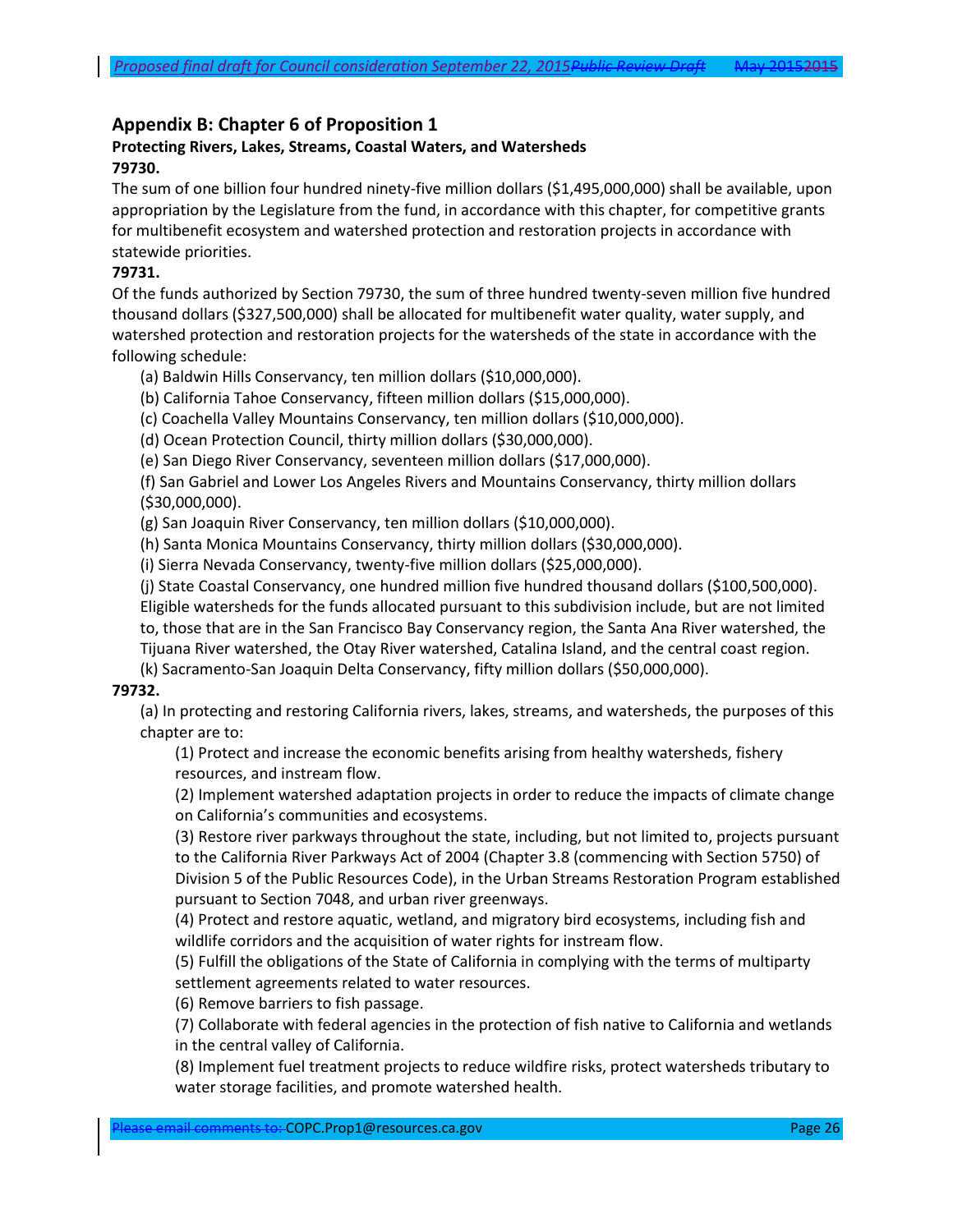## **Appendix B: Chapter 6 of Proposition 1**

#### **Protecting Rivers, Lakes, Streams, Coastal Waters, and Watersheds 79730.**

The sum of one billion four hundred ninety-five million dollars (\$1,495,000,000) shall be available, upon appropriation by the Legislature from the fund, in accordance with this chapter, for competitive grants for multibenefit ecosystem and watershed protection and restoration projects in accordance with statewide priorities.

#### **79731.**

Of the funds authorized by Section 79730, the sum of three hundred twenty-seven million five hundred thousand dollars (\$327,500,000) shall be allocated for multibenefit water quality, water supply, and watershed protection and restoration projects for the watersheds of the state in accordance with the following schedule:

(a) Baldwin Hills Conservancy, ten million dollars (\$10,000,000).

(b) California Tahoe Conservancy, fifteen million dollars (\$15,000,000).

(c) Coachella Valley Mountains Conservancy, ten million dollars (\$10,000,000).

(d) Ocean Protection Council, thirty million dollars (\$30,000,000).

(e) San Diego River Conservancy, seventeen million dollars (\$17,000,000).

(f) San Gabriel and Lower Los Angeles Rivers and Mountains Conservancy, thirty million dollars (\$30,000,000).

(g) San Joaquin River Conservancy, ten million dollars (\$10,000,000).

(h) Santa Monica Mountains Conservancy, thirty million dollars (\$30,000,000).

(i) Sierra Nevada Conservancy, twenty-five million dollars (\$25,000,000).

(j) State Coastal Conservancy, one hundred million five hundred thousand dollars (\$100,500,000). Eligible watersheds for the funds allocated pursuant to this subdivision include, but are not limited to, those that are in the San Francisco Bay Conservancy region, the Santa Ana River watershed, the Tijuana River watershed, the Otay River watershed, Catalina Island, and the central coast region.

(k) Sacramento-San Joaquin Delta Conservancy, fifty million dollars (\$50,000,000).

#### <span id="page-25-0"></span>**79732.**

(a) In protecting and restoring California rivers, lakes, streams, and watersheds, the purposes of this chapter are to:

(1) Protect and increase the economic benefits arising from healthy watersheds, fishery resources, and instream flow.

(2) Implement watershed adaptation projects in order to reduce the impacts of climate change on California's communities and ecosystems.

(3) Restore river parkways throughout the state, including, but not limited to, projects pursuant to the California River Parkways Act of 2004 (Chapter 3.8 (commencing with Section 5750) of Division 5 of the Public Resources Code), in the Urban Streams Restoration Program established pursuant to Section 7048, and urban river greenways.

(4) Protect and restore aquatic, wetland, and migratory bird ecosystems, including fish and wildlife corridors and the acquisition of water rights for instream flow.

(5) Fulfill the obligations of the State of California in complying with the terms of multiparty settlement agreements related to water resources.

(6) Remove barriers to fish passage.

(7) Collaborate with federal agencies in the protection of fish native to California and wetlands in the central valley of California.

(8) Implement fuel treatment projects to reduce wildfire risks, protect watersheds tributary to water storage facilities, and promote watershed health.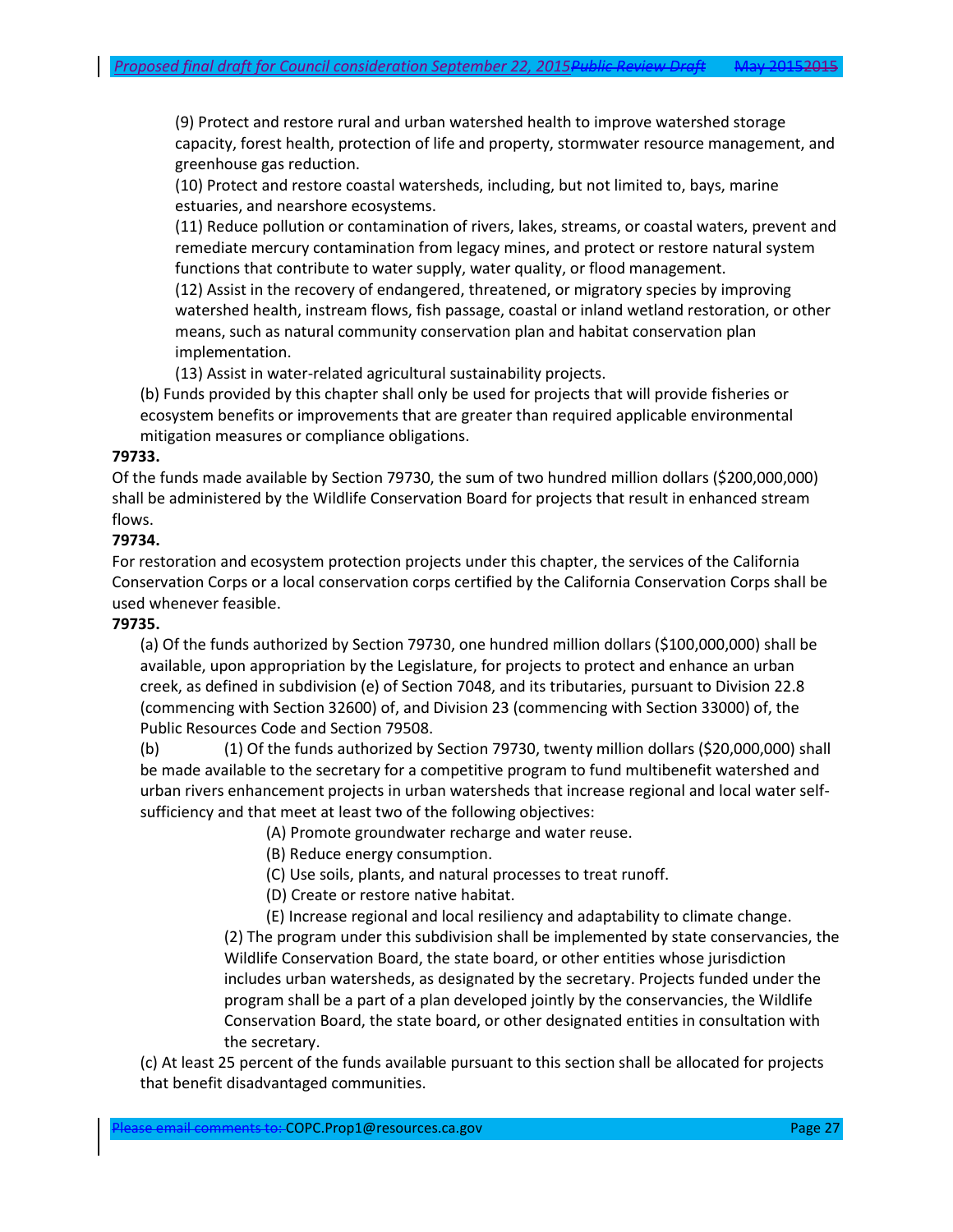(9) Protect and restore rural and urban watershed health to improve watershed storage capacity, forest health, protection of life and property, stormwater resource management, and greenhouse gas reduction.

(10) Protect and restore coastal watersheds, including, but not limited to, bays, marine estuaries, and nearshore ecosystems.

(11) Reduce pollution or contamination of rivers, lakes, streams, or coastal waters, prevent and remediate mercury contamination from legacy mines, and protect or restore natural system functions that contribute to water supply, water quality, or flood management.

(12) Assist in the recovery of endangered, threatened, or migratory species by improving watershed health, instream flows, fish passage, coastal or inland wetland restoration, or other means, such as natural community conservation plan and habitat conservation plan implementation.

(13) Assist in water-related agricultural sustainability projects.

(b) Funds provided by this chapter shall only be used for projects that will provide fisheries or ecosystem benefits or improvements that are greater than required applicable environmental mitigation measures or compliance obligations.

#### **79733.**

Of the funds made available by Section 79730, the sum of two hundred million dollars (\$200,000,000) shall be administered by the Wildlife Conservation Board for projects that result in enhanced stream flows.

### **79734.**

For restoration and ecosystem protection projects under this chapter, the services of the California Conservation Corps or a local conservation corps certified by the California Conservation Corps shall be used whenever feasible.

#### **79735.**

(a) Of the funds authorized by Section 79730, one hundred million dollars (\$100,000,000) shall be available, upon appropriation by the Legislature, for projects to protect and enhance an urban creek, as defined in subdivision (e) of Section 7048, and its tributaries, pursuant to Division 22.8 (commencing with Section 32600) of, and Division 23 (commencing with Section 33000) of, the Public Resources Code and Section 79508.

(b) (1) Of the funds authorized by Section 79730, twenty million dollars (\$20,000,000) shall be made available to the secretary for a competitive program to fund multibenefit watershed and urban rivers enhancement projects in urban watersheds that increase regional and local water selfsufficiency and that meet at least two of the following objectives:

(A) Promote groundwater recharge and water reuse.

(B) Reduce energy consumption.

(C) Use soils, plants, and natural processes to treat runoff.

(D) Create or restore native habitat.

(E) Increase regional and local resiliency and adaptability to climate change.

(2) The program under this subdivision shall be implemented by state conservancies, the Wildlife Conservation Board, the state board, or other entities whose jurisdiction includes urban watersheds, as designated by the secretary. Projects funded under the program shall be a part of a plan developed jointly by the conservancies, the Wildlife Conservation Board, the state board, or other designated entities in consultation with the secretary.

(c) At least 25 percent of the funds available pursuant to this section shall be allocated for projects that benefit disadvantaged communities.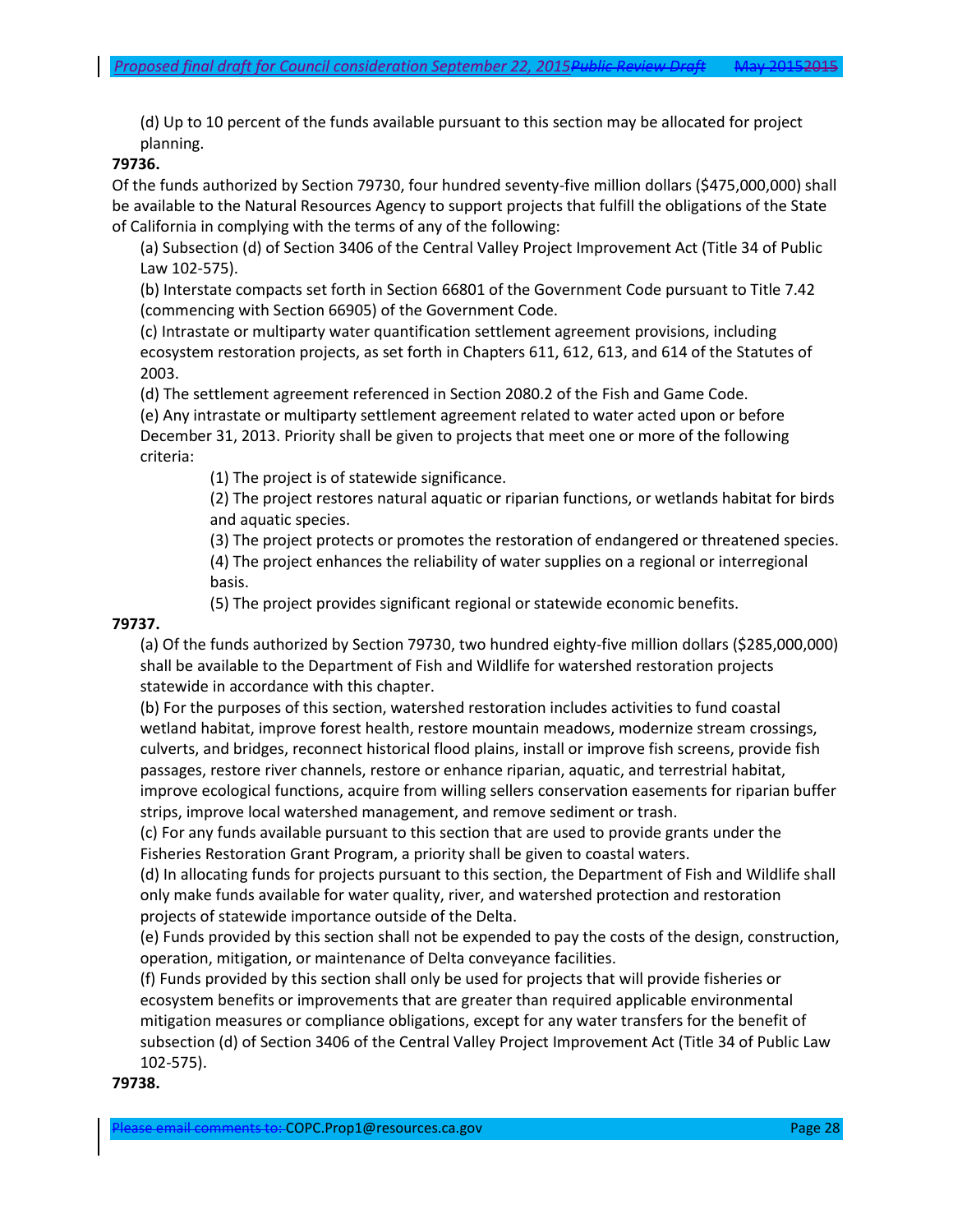(d) Up to 10 percent of the funds available pursuant to this section may be allocated for project planning.

#### **79736.**

Of the funds authorized by Section 79730, four hundred seventy-five million dollars (\$475,000,000) shall be available to the Natural Resources Agency to support projects that fulfill the obligations of the State of California in complying with the terms of any of the following:

(a) Subsection (d) of Section 3406 of the Central Valley Project Improvement Act (Title 34 of Public Law 102-575).

(b) Interstate compacts set forth in Section 66801 of the Government Code pursuant to Title 7.42 (commencing with Section 66905) of the Government Code.

(c) Intrastate or multiparty water quantification settlement agreement provisions, including ecosystem restoration projects, as set forth in Chapters 611, 612, 613, and 614 of the Statutes of 2003.

(d) The settlement agreement referenced in Section 2080.2 of the Fish and Game Code.

(e) Any intrastate or multiparty settlement agreement related to water acted upon or before December 31, 2013. Priority shall be given to projects that meet one or more of the following criteria:

(1) The project is of statewide significance.

(2) The project restores natural aquatic or riparian functions, or wetlands habitat for birds and aquatic species.

(3) The project protects or promotes the restoration of endangered or threatened species. (4) The project enhances the reliability of water supplies on a regional or interregional basis.

(5) The project provides significant regional or statewide economic benefits.

#### **79737.**

(a) Of the funds authorized by Section 79730, two hundred eighty-five million dollars (\$285,000,000) shall be available to the Department of Fish and Wildlife for watershed restoration projects statewide in accordance with this chapter.

(b) For the purposes of this section, watershed restoration includes activities to fund coastal wetland habitat, improve forest health, restore mountain meadows, modernize stream crossings, culverts, and bridges, reconnect historical flood plains, install or improve fish screens, provide fish passages, restore river channels, restore or enhance riparian, aquatic, and terrestrial habitat, improve ecological functions, acquire from willing sellers conservation easements for riparian buffer strips, improve local watershed management, and remove sediment or trash.

(c) For any funds available pursuant to this section that are used to provide grants under the Fisheries Restoration Grant Program, a priority shall be given to coastal waters.

(d) In allocating funds for projects pursuant to this section, the Department of Fish and Wildlife shall only make funds available for water quality, river, and watershed protection and restoration projects of statewide importance outside of the Delta.

(e) Funds provided by this section shall not be expended to pay the costs of the design, construction, operation, mitigation, or maintenance of Delta conveyance facilities.

(f) Funds provided by this section shall only be used for projects that will provide fisheries or ecosystem benefits or improvements that are greater than required applicable environmental mitigation measures or compliance obligations, except for any water transfers for the benefit of subsection (d) of Section 3406 of the Central Valley Project Improvement Act (Title 34 of Public Law 102-575).

#### **79738.**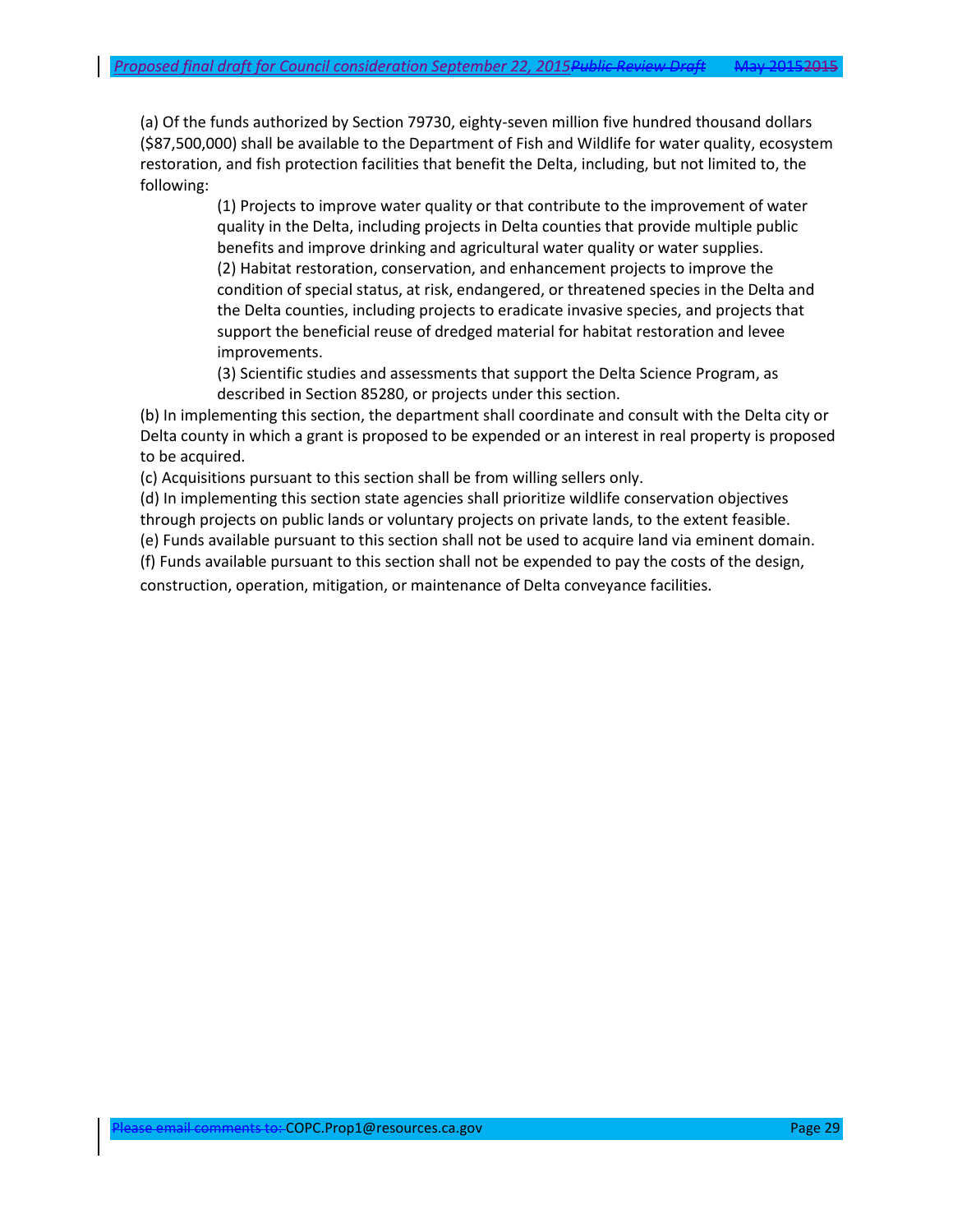(a) Of the funds authorized by Section 79730, eighty-seven million five hundred thousand dollars (\$87,500,000) shall be available to the Department of Fish and Wildlife for water quality, ecosystem restoration, and fish protection facilities that benefit the Delta, including, but not limited to, the following:

> (1) Projects to improve water quality or that contribute to the improvement of water quality in the Delta, including projects in Delta counties that provide multiple public benefits and improve drinking and agricultural water quality or water supplies. (2) Habitat restoration, conservation, and enhancement projects to improve the condition of special status, at risk, endangered, or threatened species in the Delta and the Delta counties, including projects to eradicate invasive species, and projects that support the beneficial reuse of dredged material for habitat restoration and levee improvements.

(3) Scientific studies and assessments that support the Delta Science Program, as described in Section 85280, or projects under this section.

(b) In implementing this section, the department shall coordinate and consult with the Delta city or Delta county in which a grant is proposed to be expended or an interest in real property is proposed to be acquired.

(c) Acquisitions pursuant to this section shall be from willing sellers only.

(d) In implementing this section state agencies shall prioritize wildlife conservation objectives through projects on public lands or voluntary projects on private lands, to the extent feasible.

(e) Funds available pursuant to this section shall not be used to acquire land via eminent domain.

(f) Funds available pursuant to this section shall not be expended to pay the costs of the design,

construction, operation, mitigation, or maintenance of Delta conveyance facilities.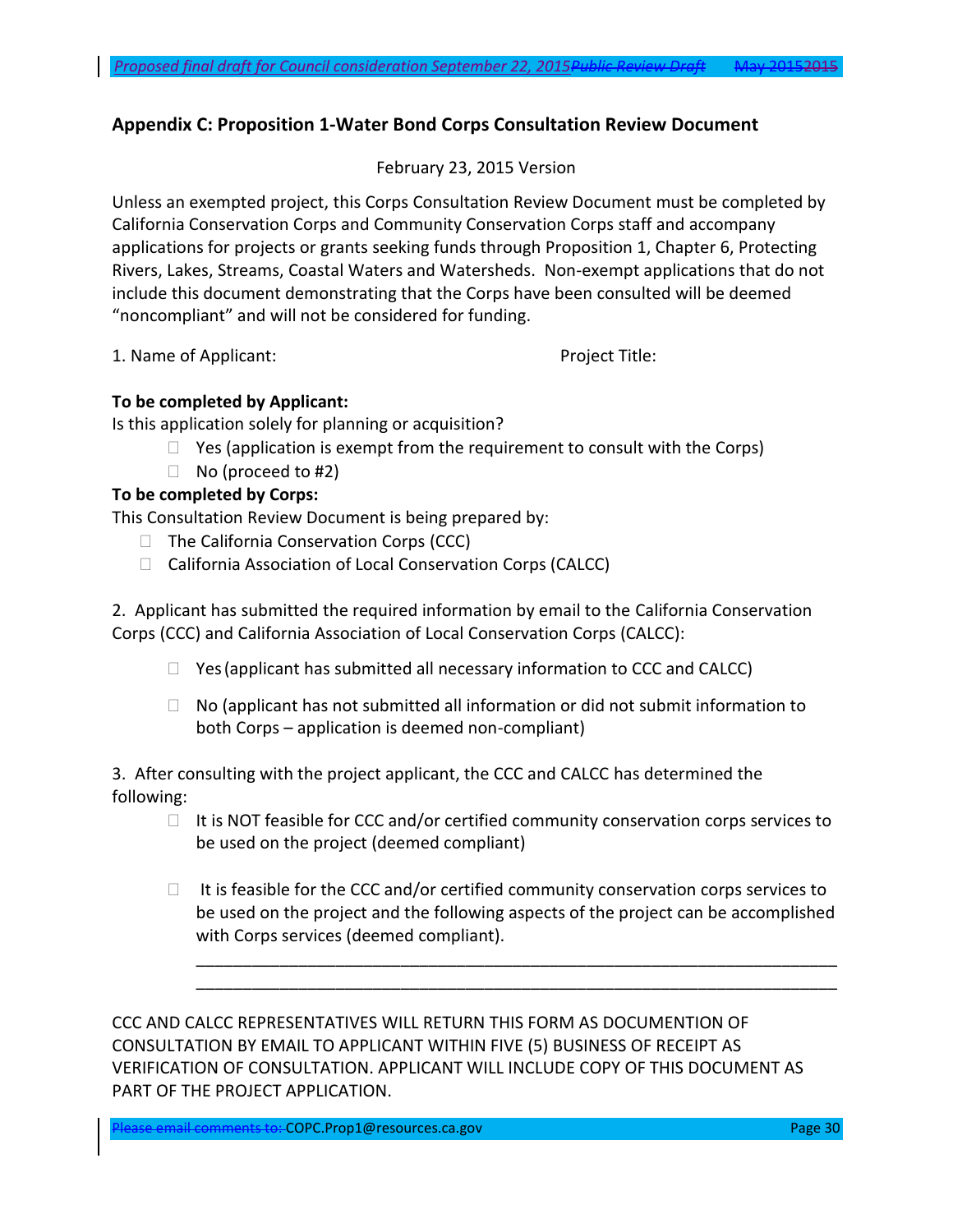# **Appendix C: Proposition 1-Water Bond Corps Consultation Review Document**

## February 23, 2015 Version

Unless an exempted project, this Corps Consultation Review Document must be completed by California Conservation Corps and Community Conservation Corps staff and accompany applications for projects or grants seeking funds through Proposition 1, Chapter 6, Protecting Rivers, Lakes, Streams, Coastal Waters and Watersheds. Non-exempt applications that do not include this document demonstrating that the Corps have been consulted will be deemed "noncompliant" and will not be considered for funding.

1. Name of Applicant: Project Title:

# **To be completed by Applicant:**

Is this application solely for planning or acquisition?

- $\Box$  Yes (application is exempt from the requirement to consult with the Corps)
- $\Box$  No (proceed to #2)

# **To be completed by Corps:**

This Consultation Review Document is being prepared by:

- $\Box$  The California Conservation Corps (CCC)
- □ California Association of Local Conservation Corps (CALCC)

2. Applicant has submitted the required information by email to the California Conservation Corps (CCC) and California Association of Local Conservation Corps (CALCC):

- $\Box$  Yes (applicant has submitted all necessary information to CCC and CALCC)
- $\Box$  No (applicant has not submitted all information or did not submit information to both Corps – application is deemed non-compliant)

3. After consulting with the project applicant, the CCC and CALCC has determined the following:

- $\Box$  It is NOT feasible for CCC and/or certified community conservation corps services to be used on the project (deemed compliant)
- $\Box$  It is feasible for the CCC and/or certified community conservation corps services to be used on the project and the following aspects of the project can be accomplished with Corps services (deemed compliant).

\_\_\_\_\_\_\_\_\_\_\_\_\_\_\_\_\_\_\_\_\_\_\_\_\_\_\_\_\_\_\_\_\_\_\_\_\_\_\_\_\_\_\_\_\_\_\_\_\_\_\_\_\_\_\_\_\_\_\_\_\_\_\_\_\_\_\_\_\_ \_\_\_\_\_\_\_\_\_\_\_\_\_\_\_\_\_\_\_\_\_\_\_\_\_\_\_\_\_\_\_\_\_\_\_\_\_\_\_\_\_\_\_\_\_\_\_\_\_\_\_\_\_\_\_\_\_\_\_\_\_\_\_\_\_\_\_\_\_

CCC AND CALCC REPRESENTATIVES WILL RETURN THIS FORM AS DOCUMENTION OF CONSULTATION BY EMAIL TO APPLICANT WITHIN FIVE (5) BUSINESS OF RECEIPT AS VERIFICATION OF CONSULTATION. APPLICANT WILL INCLUDE COPY OF THIS DOCUMENT AS PART OF THE PROJECT APPLICATION.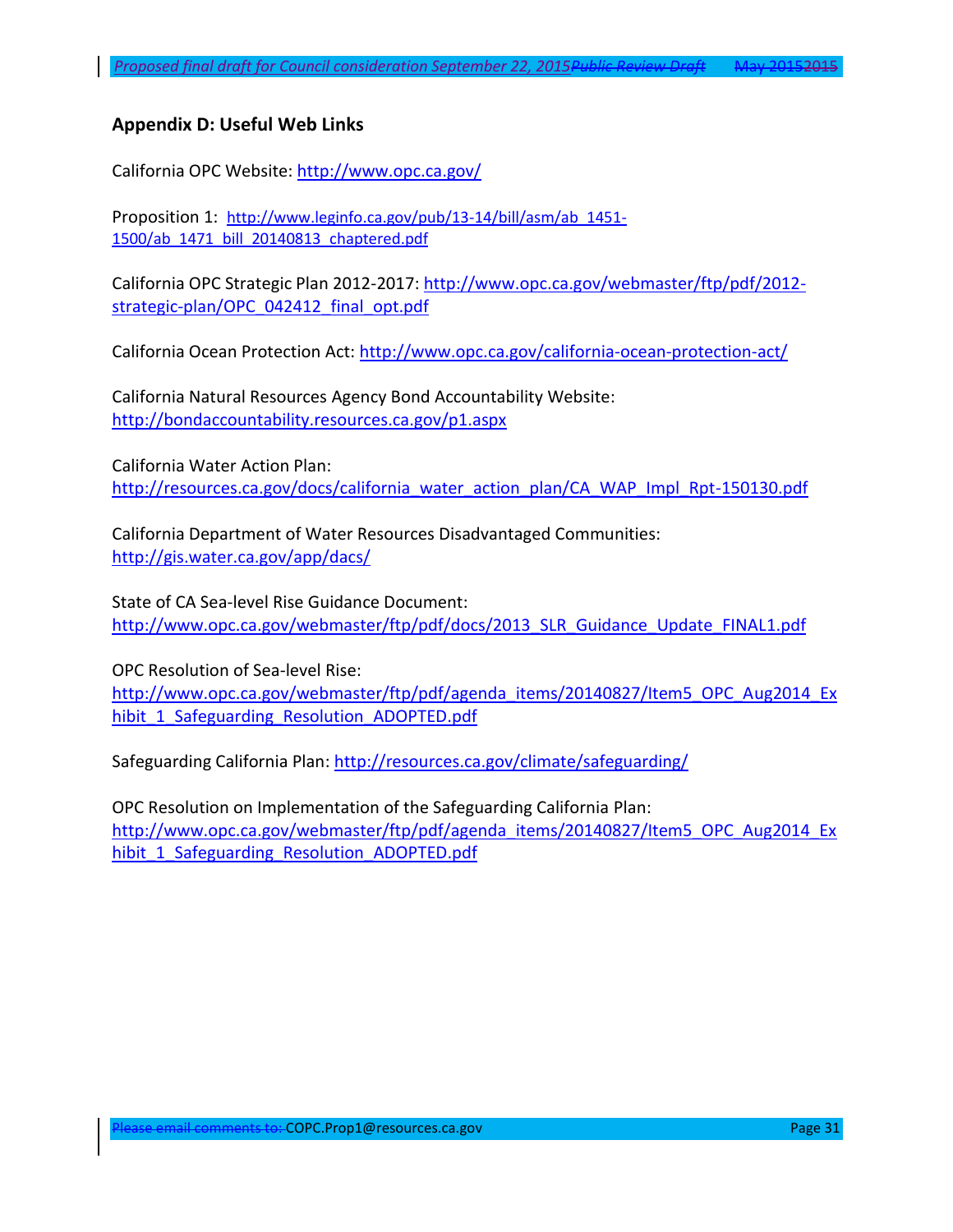# <span id="page-30-0"></span>**Appendix D: Useful Web Links**

California OPC Website:<http://www.opc.ca.gov/>

Proposition 1: [http://www.leginfo.ca.gov/pub/13-14/bill/asm/ab\\_1451-](http://www.leginfo.ca.gov/pub/13-14/bill/asm/ab_1451-1500/ab_1471_bill_20140813_chaptered.pdf) [1500/ab\\_1471\\_bill\\_20140813\\_chaptered.pdf](http://www.leginfo.ca.gov/pub/13-14/bill/asm/ab_1451-1500/ab_1471_bill_20140813_chaptered.pdf)

California OPC Strategic Plan 2012-2017: [http://www.opc.ca.gov/webmaster/ftp/pdf/2012](http://www.opc.ca.gov/webmaster/ftp/pdf/2012-strategic-plan/OPC_042412_final_opt.pdf) [strategic-plan/OPC\\_042412\\_final\\_opt.pdf](http://www.opc.ca.gov/webmaster/ftp/pdf/2012-strategic-plan/OPC_042412_final_opt.pdf)

California Ocean Protection Act:<http://www.opc.ca.gov/california-ocean-protection-act/>

California Natural Resources Agency Bond Accountability Website: <http://bondaccountability.resources.ca.gov/p1.aspx>

California Water Action Plan: [http://resources.ca.gov/docs/california\\_water\\_action\\_plan/CA\\_WAP\\_Impl\\_Rpt-150130.pdf](http://resources.ca.gov/docs/california_water_action_plan/CA_WAP_Impl_Rpt-150130.pdf)

California Department of Water Resources Disadvantaged Communities: <http://gis.water.ca.gov/app/dacs/>

State of CA Sea-level Rise Guidance Document: [http://www.opc.ca.gov/webmaster/ftp/pdf/docs/2013\\_SLR\\_Guidance\\_Update\\_FINAL1.pdf](http://www.opc.ca.gov/webmaster/ftp/pdf/docs/2013_SLR_Guidance_Update_FINAL1.pdf)

OPC Resolution of Sea-level Rise: [http://www.opc.ca.gov/webmaster/ftp/pdf/agenda\\_items/20140827/Item5\\_OPC\\_Aug2014\\_Ex](http://www.opc.ca.gov/webmaster/ftp/pdf/agenda_items/20140827/Item5_OPC_Aug2014_Exhibit_1_Safeguarding_Resolution_ADOPTED.pdf) [hibit\\_1\\_Safeguarding\\_Resolution\\_ADOPTED.pdf](http://www.opc.ca.gov/webmaster/ftp/pdf/agenda_items/20140827/Item5_OPC_Aug2014_Exhibit_1_Safeguarding_Resolution_ADOPTED.pdf)

Safeguarding California Plan:<http://resources.ca.gov/climate/safeguarding/>

OPC Resolution on Implementation of the Safeguarding California Plan: [http://www.opc.ca.gov/webmaster/ftp/pdf/agenda\\_items/20140827/Item5\\_OPC\\_Aug2014\\_Ex](http://www.opc.ca.gov/webmaster/ftp/pdf/agenda_items/20140827/Item5_OPC_Aug2014_Exhibit_1_Safeguarding_Resolution_ADOPTED.pdf) [hibit\\_1\\_Safeguarding\\_Resolution\\_ADOPTED.pdf](http://www.opc.ca.gov/webmaster/ftp/pdf/agenda_items/20140827/Item5_OPC_Aug2014_Exhibit_1_Safeguarding_Resolution_ADOPTED.pdf)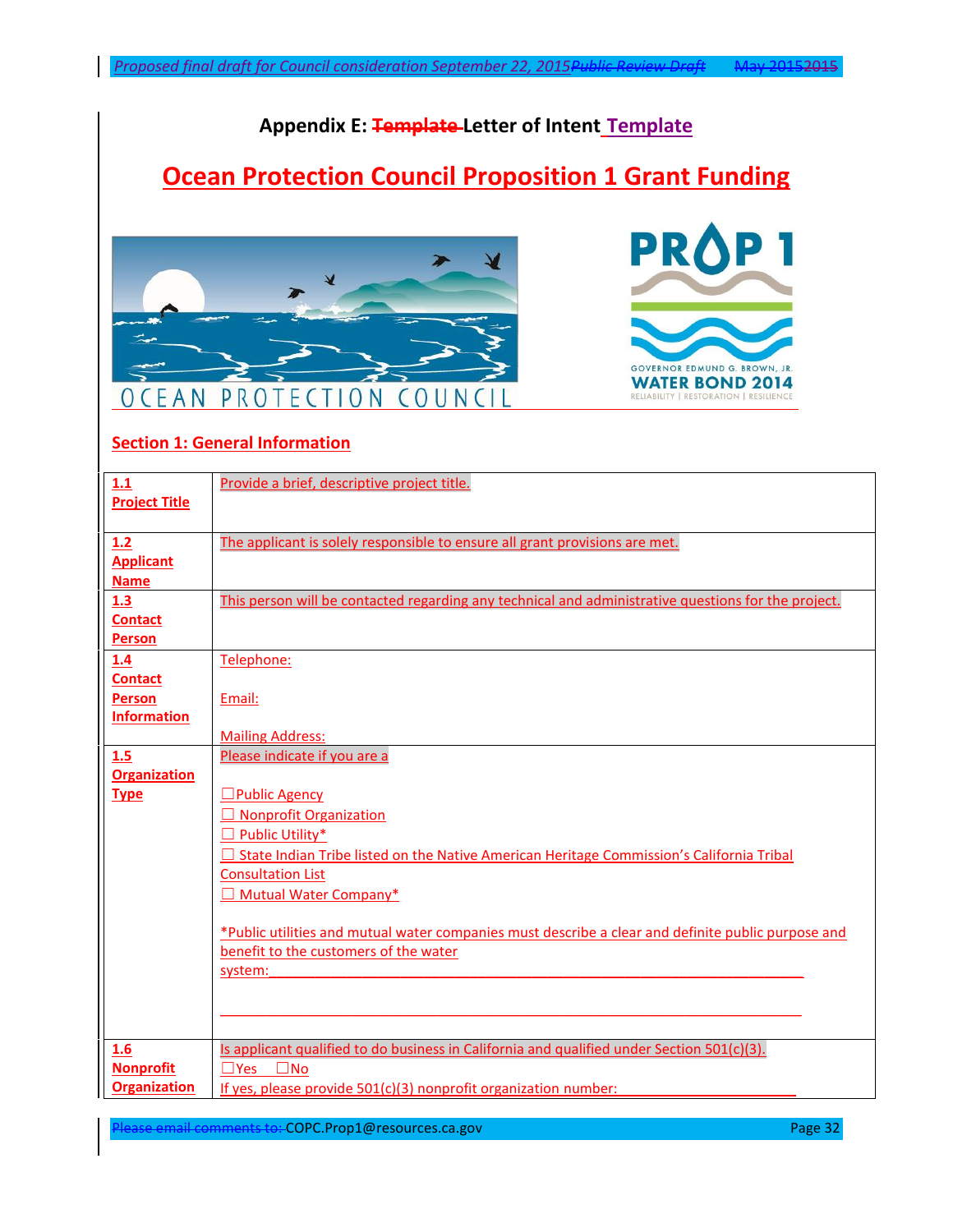# **Appendix E: Template Letter of Intent Template**

# **Ocean Protection Council Proposition 1 Grant Funding**





# **Section 1: General Information**

| 1.1                          | Provide a brief, descriptive project title.                                                         |
|------------------------------|-----------------------------------------------------------------------------------------------------|
| <b>Project Title</b>         |                                                                                                     |
|                              |                                                                                                     |
| 1.2                          | The applicant is solely responsible to ensure all grant provisions are met.                         |
| <b>Applicant</b>             |                                                                                                     |
| <b>Name</b>                  |                                                                                                     |
| 1.3                          | This person will be contacted regarding any technical and administrative questions for the project. |
| <b>Contact</b>               |                                                                                                     |
| Person                       |                                                                                                     |
| 1.4                          | Telephone:                                                                                          |
| <b>Contact</b>               |                                                                                                     |
| Person<br><b>Information</b> | Email:                                                                                              |
|                              | <b>Mailing Address:</b>                                                                             |
| 1.5                          | Please indicate if you are a                                                                        |
| <b>Organization</b>          |                                                                                                     |
| <b>Type</b>                  | <b>Public Agency</b>                                                                                |
|                              | □ Nonprofit Organization                                                                            |
|                              | $\Box$ Public Utility*                                                                              |
|                              | $\Box$ State Indian Tribe listed on the Native American Heritage Commission's California Tribal     |
|                              | <b>Consultation List</b>                                                                            |
|                              | □ Mutual Water Company*                                                                             |
|                              |                                                                                                     |
|                              | *Public utilities and mutual water companies must describe a clear and definite public purpose and  |
|                              | benefit to the customers of the water                                                               |
|                              | system:                                                                                             |
|                              |                                                                                                     |
|                              |                                                                                                     |
|                              |                                                                                                     |
| 1.6                          | Is applicant qualified to do business in California and qualified under Section 501(c)(3).          |
| <b>Nonprofit</b>             | $\square$ Yes $\square$ No                                                                          |
| <b>Organization</b>          | If yes, please provide 501(c)(3) nonprofit organization number:                                     |

ease email comments to: COPC.Prop1@resources.ca.gov Page 32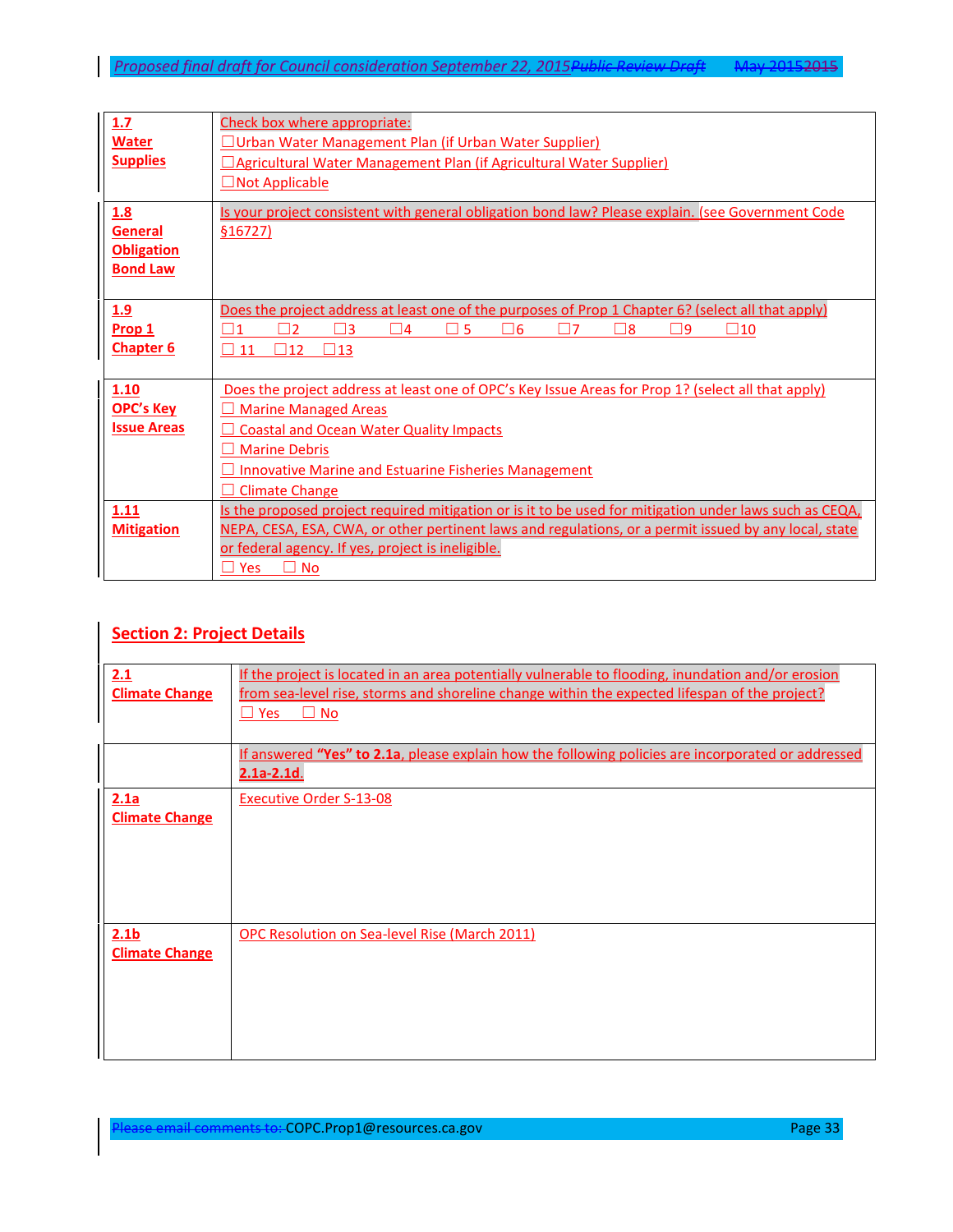| 1.7<br><b>Water</b><br><b>Supplies</b>                        | Check box where appropriate:<br>JUrban Water Management Plan (if Urban Water Supplier)<br><b>Agricultural Water Management Plan (if Agricultural Water Supplier)</b><br>$\Box$ Not Applicable                                                                                                       |
|---------------------------------------------------------------|-----------------------------------------------------------------------------------------------------------------------------------------------------------------------------------------------------------------------------------------------------------------------------------------------------|
| 1.8<br><b>General</b><br><b>Obligation</b><br><b>Bond Law</b> | Is your project consistent with general obligation bond law? Please explain. (see Government Code<br>$$16727$ )                                                                                                                                                                                     |
| <u>1.9</u><br>Prop 1<br><b>Chapter 6</b>                      | Does the project address at least one of the purposes of Prop 1 Chapter 6? (select all that apply)<br>כר<br>$ 11\rangle$<br>دΓ<br>▔ 4<br>5<br>∃6<br>∃8<br>פר<br>$\sqcup$ 10<br>$\square$ 12<br>$\square$ 13<br>11                                                                                   |
| 1.10<br><b>OPC's Key</b><br><b>Issue Areas</b>                | Does the project address at least one of OPC's Key Issue Areas for Prop 1? (select all that apply)<br><b>Marine Managed Areas</b><br><b>Coastal and Ocean Water Quality Impacts</b><br><b>Marine Debris</b><br><b>Innovative Marine and Estuarine Fisheries Management</b><br><b>Climate Change</b> |
| 1.11<br><b>Mitigation</b>                                     | Is the proposed project required mitigation or is it to be used for mitigation under laws such as CEQA,<br>NEPA, CESA, ESA, CWA, or other pertinent laws and regulations, or a permit issued by any local, state<br>or federal agency. If yes, project is ineligible.<br>Yes<br><b>No</b>           |

## **Section 2: Project Details**

| 2.1                   | If the project is located in an area potentially vulnerable to flooding, inundation and/or erosion                          |
|-----------------------|-----------------------------------------------------------------------------------------------------------------------------|
| <b>Climate Change</b> | from sea-level rise, storms and shoreline change within the expected lifespan of the project?<br>No<br>$\Box$ Yes<br>$\Box$ |
|                       |                                                                                                                             |
|                       | If answered "Yes" to 2.1a, please explain how the following policies are incorporated or addressed                          |
|                       | $2.1a-2.1d.$                                                                                                                |
| 2.1a                  | <b>Executive Order S-13-08</b>                                                                                              |
| <b>Climate Change</b> |                                                                                                                             |
|                       |                                                                                                                             |
|                       |                                                                                                                             |
|                       |                                                                                                                             |
|                       |                                                                                                                             |
| 2.1 <sub>b</sub>      | OPC Resolution on Sea-level Rise (March 2011)                                                                               |
| <b>Climate Change</b> |                                                                                                                             |
|                       |                                                                                                                             |
|                       |                                                                                                                             |
|                       |                                                                                                                             |
|                       |                                                                                                                             |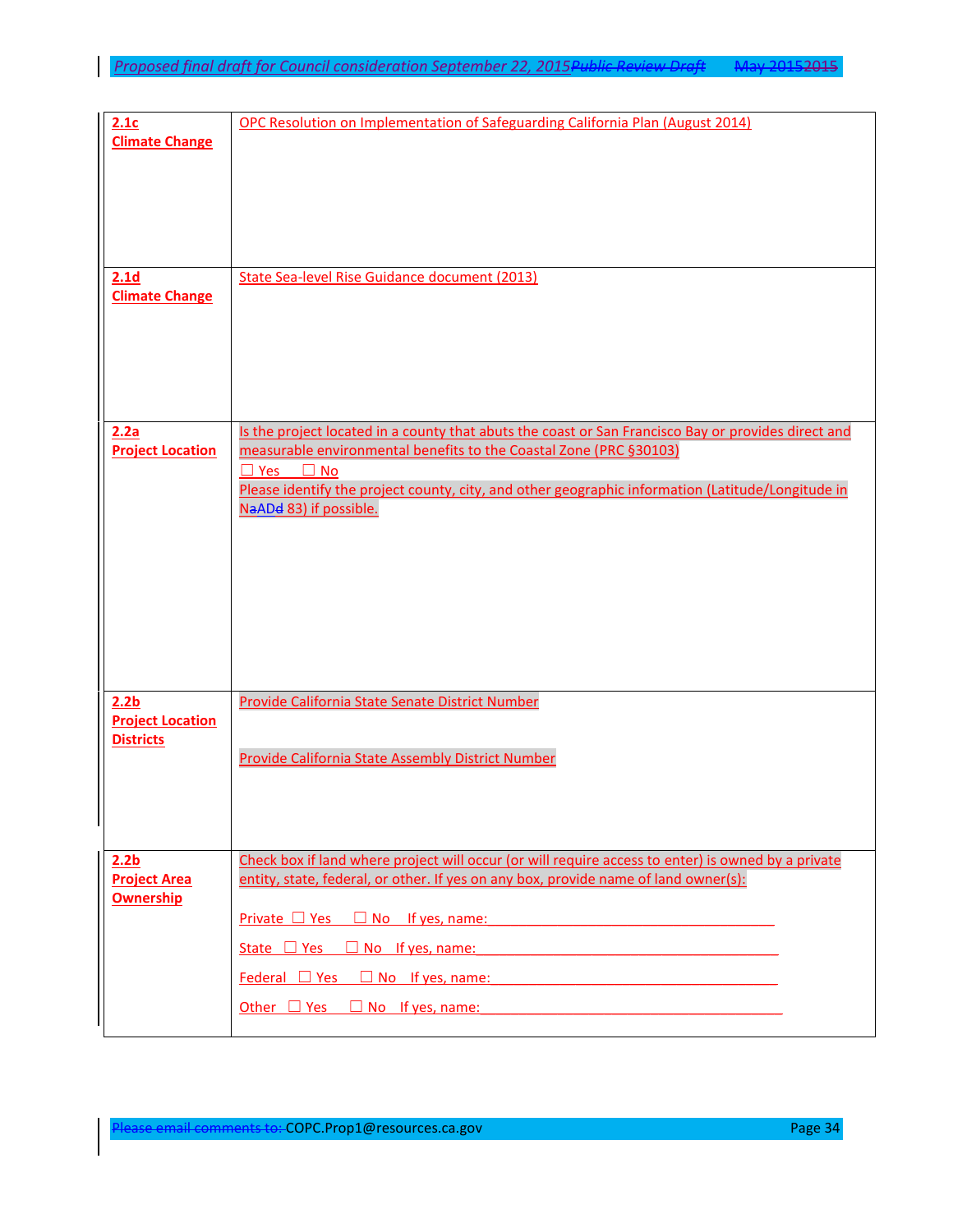| 2.1c<br><b>Climate Change</b>               | OPC Resolution on Implementation of Safeguarding California Plan (August 2014)                                                                                                                    |
|---------------------------------------------|---------------------------------------------------------------------------------------------------------------------------------------------------------------------------------------------------|
|                                             |                                                                                                                                                                                                   |
|                                             |                                                                                                                                                                                                   |
| 2.1 <sub>d</sub><br><b>Climate Change</b>   | State Sea-level Rise Guidance document (2013)                                                                                                                                                     |
|                                             |                                                                                                                                                                                                   |
| 2.2a<br><b>Project Location</b>             | Is the project located in a county that abuts the coast or San Francisco Bay or provides direct and<br>measurable environmental benefits to the Coastal Zone (PRC §30103)<br>$\Box$ Yes $\Box$ No |
|                                             | Please identify the project county, city, and other geographic information (Latitude/Longitude in<br>NaADd 83) if possible.                                                                       |
|                                             |                                                                                                                                                                                                   |
|                                             |                                                                                                                                                                                                   |
|                                             |                                                                                                                                                                                                   |
| 2.2 <sub>b</sub><br><b>Project Location</b> | Provide California State Senate District Number                                                                                                                                                   |
| <b>Districts</b>                            | Provide California State Assembly District Number                                                                                                                                                 |
|                                             |                                                                                                                                                                                                   |
| 2.2 <sub>b</sub><br><b>Project Area</b>     | Check box if land where project will occur (or will require access to enter) is owned by a private<br>entity, state, federal, or other. If yes on any box, provide name of land owner(s):         |
| <b>Ownership</b>                            | $Private \square Yes \square No$ If yes, name:                                                                                                                                                    |
|                                             | State $\Box$ Yes $\Box$ No If yes, name:                                                                                                                                                          |
|                                             | $Federal \Box Yes \Box No$ If yes, name:                                                                                                                                                          |
|                                             | Other $\Box$ Yes $\Box$ No If yes, name:                                                                                                                                                          |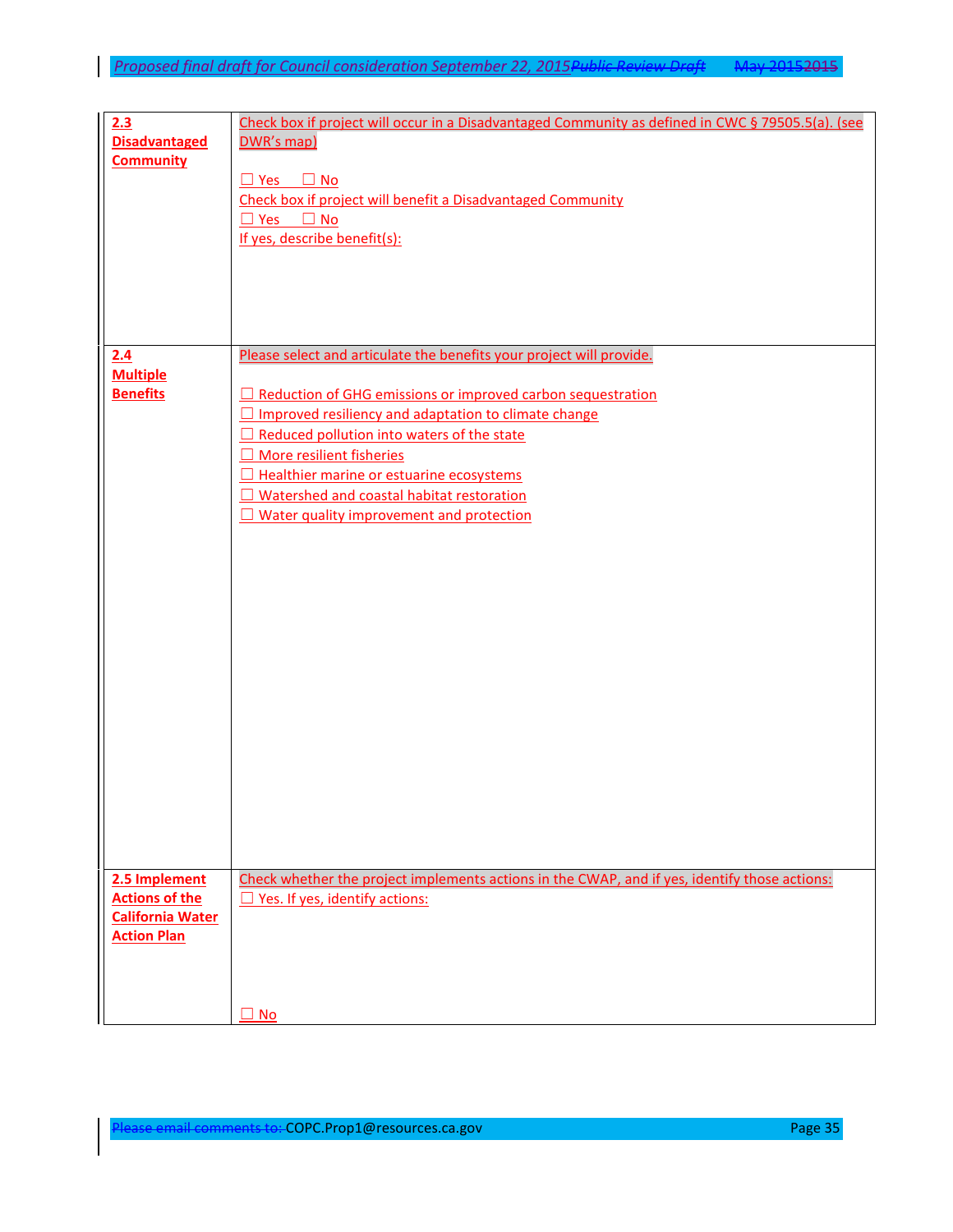| 2.3<br><b>Disadvantaged</b><br><b>Community</b>                   | Check box if project will occur in a Disadvantaged Community as defined in CWC § 79505.5(a). (see<br>DWR's map)<br>$\Box$ Yes $\Box$ No<br>Check box if project will benefit a Disadvantaged Community<br>$\Box$ Yes $\Box$ No<br>If yes, describe benefit(s): |
|-------------------------------------------------------------------|----------------------------------------------------------------------------------------------------------------------------------------------------------------------------------------------------------------------------------------------------------------|
|                                                                   |                                                                                                                                                                                                                                                                |
| 2.4                                                               | Please select and articulate the benefits your project will provide.                                                                                                                                                                                           |
| <b>Multiple</b>                                                   |                                                                                                                                                                                                                                                                |
| <b>Benefits</b>                                                   | Reduction of GHG emissions or improved carbon sequestration                                                                                                                                                                                                    |
|                                                                   | □ Improved resiliency and adaptation to climate change                                                                                                                                                                                                         |
|                                                                   | $\Box$ Reduced pollution into waters of the state                                                                                                                                                                                                              |
|                                                                   | More resilient fisheries                                                                                                                                                                                                                                       |
|                                                                   | Healthier marine or estuarine ecosystems                                                                                                                                                                                                                       |
|                                                                   | □ Watershed and coastal habitat restoration                                                                                                                                                                                                                    |
|                                                                   | □ Water quality improvement and protection                                                                                                                                                                                                                     |
|                                                                   |                                                                                                                                                                                                                                                                |
|                                                                   |                                                                                                                                                                                                                                                                |
|                                                                   |                                                                                                                                                                                                                                                                |
|                                                                   |                                                                                                                                                                                                                                                                |
|                                                                   |                                                                                                                                                                                                                                                                |
|                                                                   |                                                                                                                                                                                                                                                                |
|                                                                   |                                                                                                                                                                                                                                                                |
|                                                                   |                                                                                                                                                                                                                                                                |
|                                                                   |                                                                                                                                                                                                                                                                |
|                                                                   |                                                                                                                                                                                                                                                                |
|                                                                   |                                                                                                                                                                                                                                                                |
|                                                                   |                                                                                                                                                                                                                                                                |
|                                                                   |                                                                                                                                                                                                                                                                |
|                                                                   |                                                                                                                                                                                                                                                                |
|                                                                   |                                                                                                                                                                                                                                                                |
|                                                                   |                                                                                                                                                                                                                                                                |
| 2.5 Implement<br><b>Actions of the</b><br><b>California Water</b> | Check whether the project implements actions in the CWAP, and if yes, identify those actions:<br>$\Box$ Yes. If yes, identify actions:                                                                                                                         |
| <b>Action Plan</b>                                                |                                                                                                                                                                                                                                                                |
|                                                                   | <b>No</b>                                                                                                                                                                                                                                                      |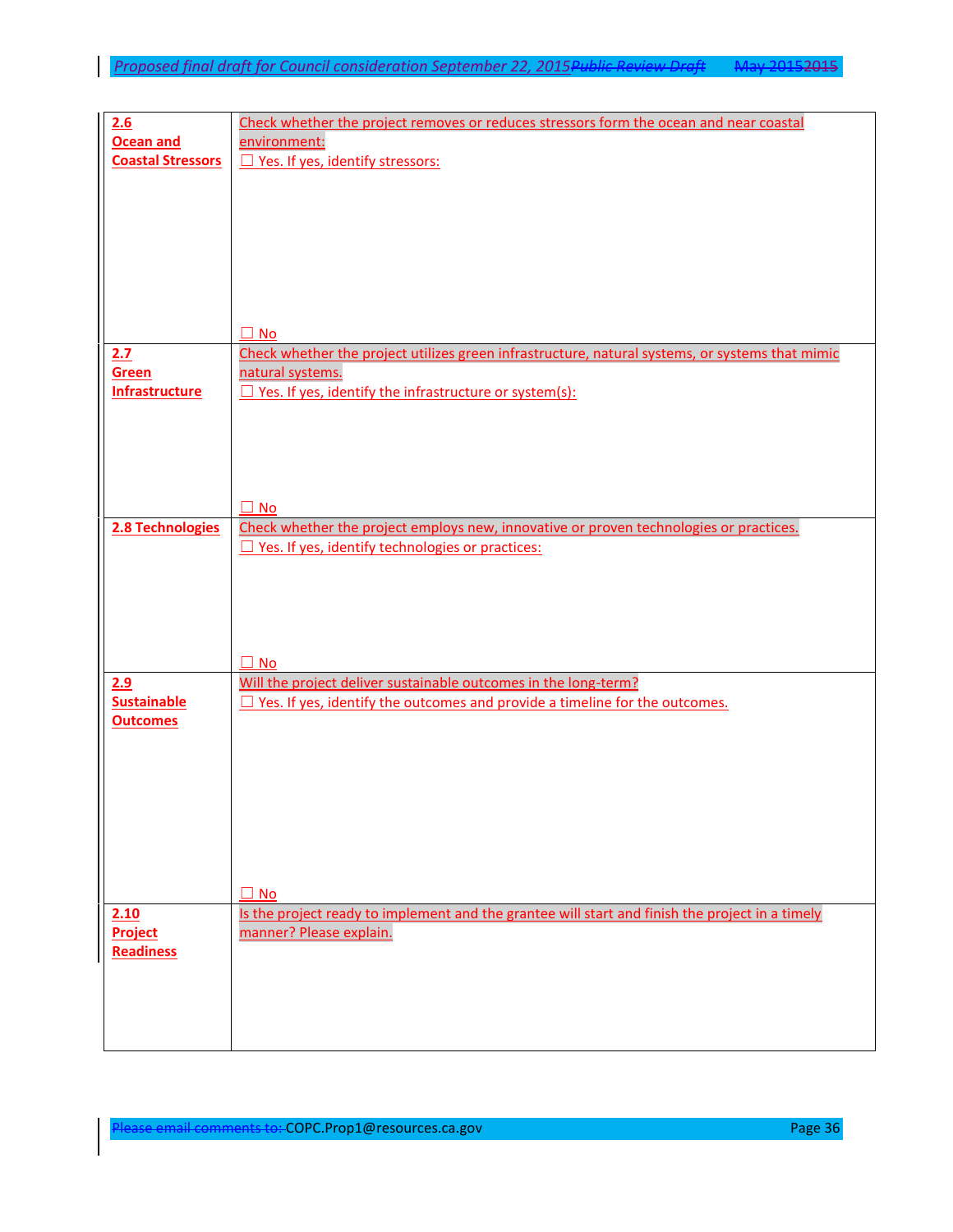| 2.6                      | Check whether the project removes or reduces stressors form the ocean and near coastal          |
|--------------------------|-------------------------------------------------------------------------------------------------|
| <b>Ocean and</b>         | environment:                                                                                    |
| <b>Coastal Stressors</b> |                                                                                                 |
|                          | □ Yes. If yes, identify stressors:                                                              |
|                          |                                                                                                 |
|                          |                                                                                                 |
|                          |                                                                                                 |
|                          |                                                                                                 |
|                          |                                                                                                 |
|                          |                                                                                                 |
|                          |                                                                                                 |
|                          |                                                                                                 |
|                          |                                                                                                 |
|                          |                                                                                                 |
|                          | $\Box$ No                                                                                       |
| 2.7                      | Check whether the project utilizes green infrastructure, natural systems, or systems that mimic |
| Green                    |                                                                                                 |
|                          | natural systems.                                                                                |
| <b>Infrastructure</b>    | $\Box$ Yes. If yes, identify the infrastructure or system(s):                                   |
|                          |                                                                                                 |
|                          |                                                                                                 |
|                          |                                                                                                 |
|                          |                                                                                                 |
|                          |                                                                                                 |
|                          |                                                                                                 |
|                          | $\square$ No                                                                                    |
|                          |                                                                                                 |
| 2.8 Technologies         | Check whether the project employs new, innovative or proven technologies or practices.          |
|                          | $\Box$ Yes. If yes, identify technologies or practices:                                         |
|                          |                                                                                                 |
|                          |                                                                                                 |
|                          |                                                                                                 |
|                          |                                                                                                 |
|                          |                                                                                                 |
|                          |                                                                                                 |
|                          | $\square$ No                                                                                    |
|                          |                                                                                                 |
| 2.9                      | Will the project deliver sustainable outcomes in the long-term?                                 |
| <b>Sustainable</b>       | $\Box$ Yes. If yes, identify the outcomes and provide a timeline for the outcomes.              |
| <b>Outcomes</b>          |                                                                                                 |
|                          |                                                                                                 |
|                          |                                                                                                 |
|                          |                                                                                                 |
|                          |                                                                                                 |
|                          |                                                                                                 |
|                          |                                                                                                 |
|                          |                                                                                                 |
|                          |                                                                                                 |
|                          |                                                                                                 |
|                          |                                                                                                 |
|                          | $\Box$ No                                                                                       |
| 2.10                     | Is the project ready to implement and the grantee will start and finish the project in a timely |
|                          |                                                                                                 |
| <b>Project</b>           | manner? Please explain.                                                                         |
| <b>Readiness</b>         |                                                                                                 |
|                          |                                                                                                 |
|                          |                                                                                                 |
|                          |                                                                                                 |
|                          |                                                                                                 |
|                          |                                                                                                 |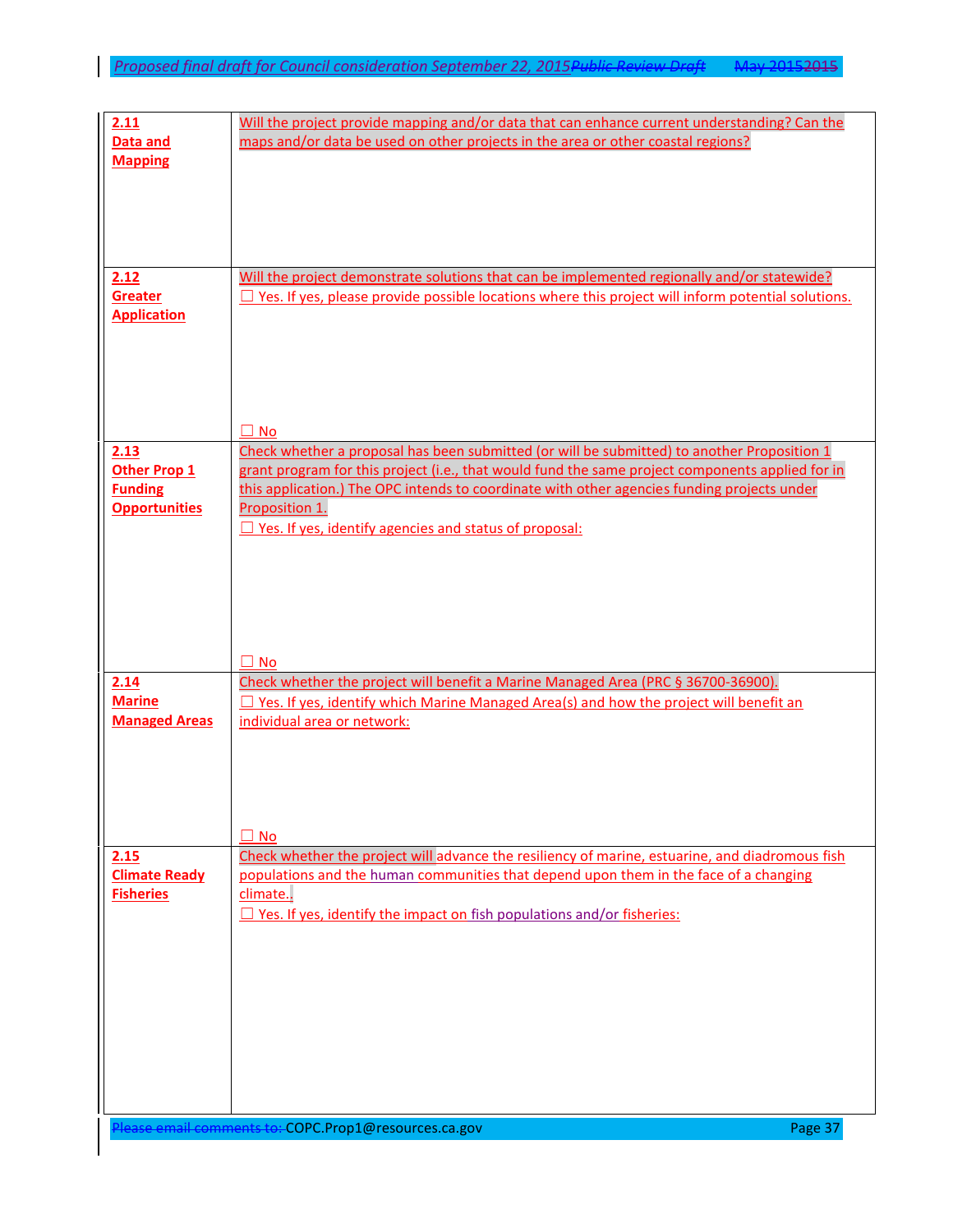| 2.11                                   | Will the project provide mapping and/or data that can enhance current understanding? Can the                    |
|----------------------------------------|-----------------------------------------------------------------------------------------------------------------|
| Data and<br><b>Mapping</b>             | maps and/or data be used on other projects in the area or other coastal regions?                                |
|                                        |                                                                                                                 |
|                                        |                                                                                                                 |
|                                        |                                                                                                                 |
| 2.12                                   | Will the project demonstrate solutions that can be implemented regionally and/or statewide?                     |
| <b>Greater</b>                         | $\Box$ Yes. If yes, please provide possible locations where this project will inform potential solutions.       |
| <b>Application</b>                     |                                                                                                                 |
|                                        |                                                                                                                 |
|                                        |                                                                                                                 |
|                                        |                                                                                                                 |
| 2.13                                   | $\Box$ No<br>Check whether a proposal has been submitted (or will be submitted) to another Proposition 1        |
| Other Prop 1                           | grant program for this project (i.e., that would fund the same project components applied for in                |
| <b>Funding</b><br><b>Opportunities</b> | this application.) The OPC intends to coordinate with other agencies funding projects under<br>Proposition 1.   |
|                                        | $\Box$ Yes. If yes, identify agencies and status of proposal:                                                   |
|                                        |                                                                                                                 |
|                                        |                                                                                                                 |
|                                        |                                                                                                                 |
|                                        |                                                                                                                 |
| 2.14                                   | $\Box$ No<br>Check whether the project will benefit a Marine Managed Area (PRC § 36700-36900).                  |
| <b>Marine</b>                          | $\Box$ Yes. If yes, identify which Marine Managed Area(s) and how the project will benefit an                   |
| <b>Managed Areas</b>                   | individual area or network:                                                                                     |
|                                        |                                                                                                                 |
|                                        |                                                                                                                 |
|                                        |                                                                                                                 |
| 2.15                                   | $\square$ No<br>Check whether the project will advance the resiliency of marine, estuarine, and diadromous fish |
| <b>Climate Ready</b>                   | populations and the human communities that depend upon them in the face of a changing                           |
| <b>Fisheries</b>                       | climate<br>$\Box$ Yes. If yes, identify the impact on fish populations and/or fisheries:                        |
|                                        |                                                                                                                 |
|                                        |                                                                                                                 |
|                                        |                                                                                                                 |
|                                        |                                                                                                                 |
|                                        |                                                                                                                 |
|                                        |                                                                                                                 |
|                                        |                                                                                                                 |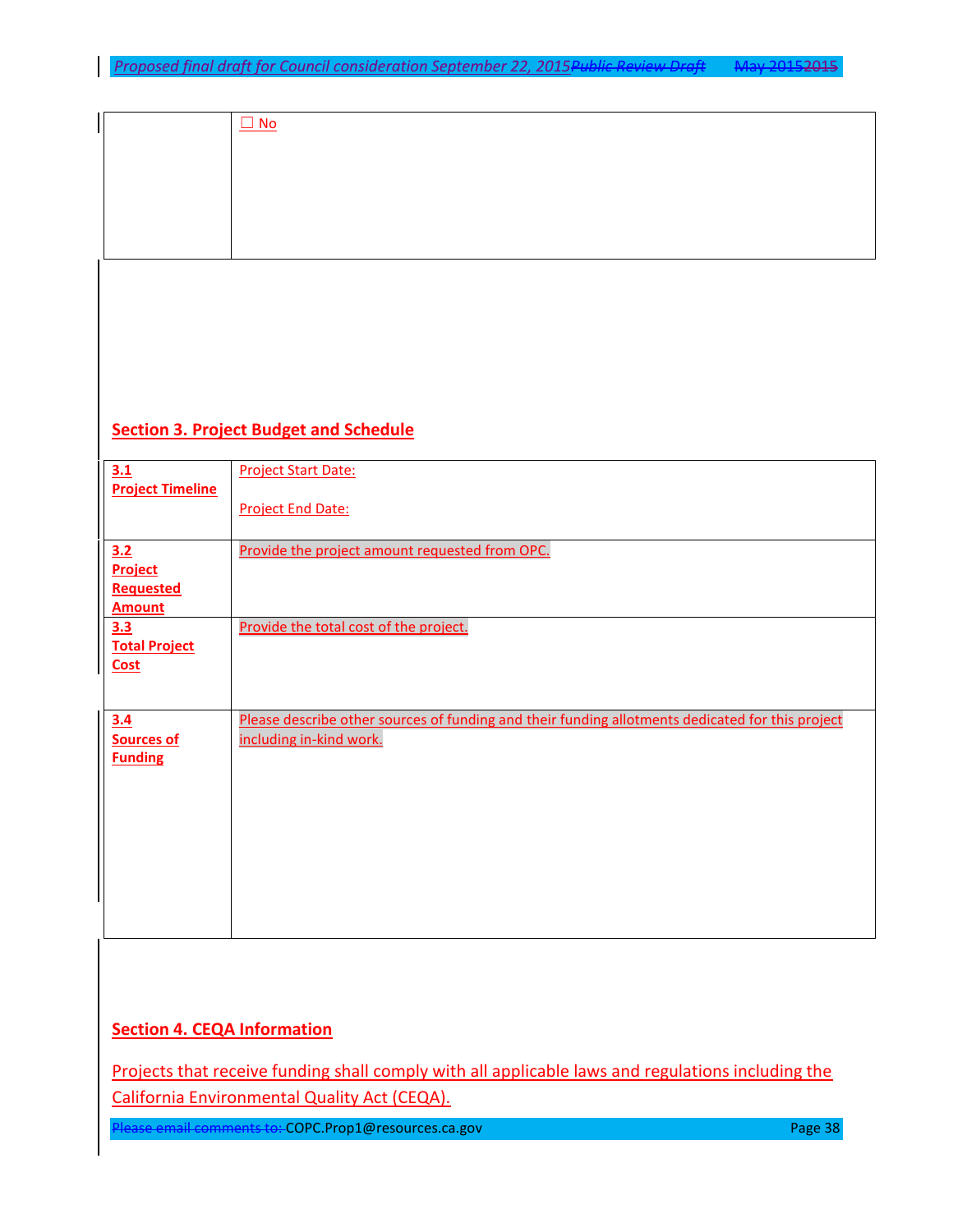| $\Box$ No |
|-----------|
|           |
|           |
|           |
|           |

# **Section 3. Project Budget and Schedule**

 $\overline{\phantom{a}}$ 

| 3.1                     | <b>Project Start Date:</b>                                                                       |
|-------------------------|--------------------------------------------------------------------------------------------------|
| <b>Project Timeline</b> |                                                                                                  |
|                         | <b>Project End Date:</b>                                                                         |
| 3.2                     | Provide the project amount requested from OPC.                                                   |
| Project                 |                                                                                                  |
| <b>Requested</b>        |                                                                                                  |
| <b>Amount</b>           |                                                                                                  |
| 3.3                     | Provide the total cost of the project.                                                           |
| <b>Total Project</b>    |                                                                                                  |
| <b>Cost</b>             |                                                                                                  |
|                         |                                                                                                  |
| 3.4                     | Please describe other sources of funding and their funding allotments dedicated for this project |
| <b>Sources of</b>       | including in-kind work.                                                                          |
| <b>Funding</b>          |                                                                                                  |
|                         |                                                                                                  |
|                         |                                                                                                  |
|                         |                                                                                                  |
|                         |                                                                                                  |
|                         |                                                                                                  |
|                         |                                                                                                  |
|                         |                                                                                                  |
|                         |                                                                                                  |

# **Section 4. CEQA Information**

Projects that receive funding shall comply with all applicable laws and regulations including the California Environmental Quality Act (CEQA).

Please email comments to: COPC.Prop1@resources.ca.gov Please and Page 38 Page 38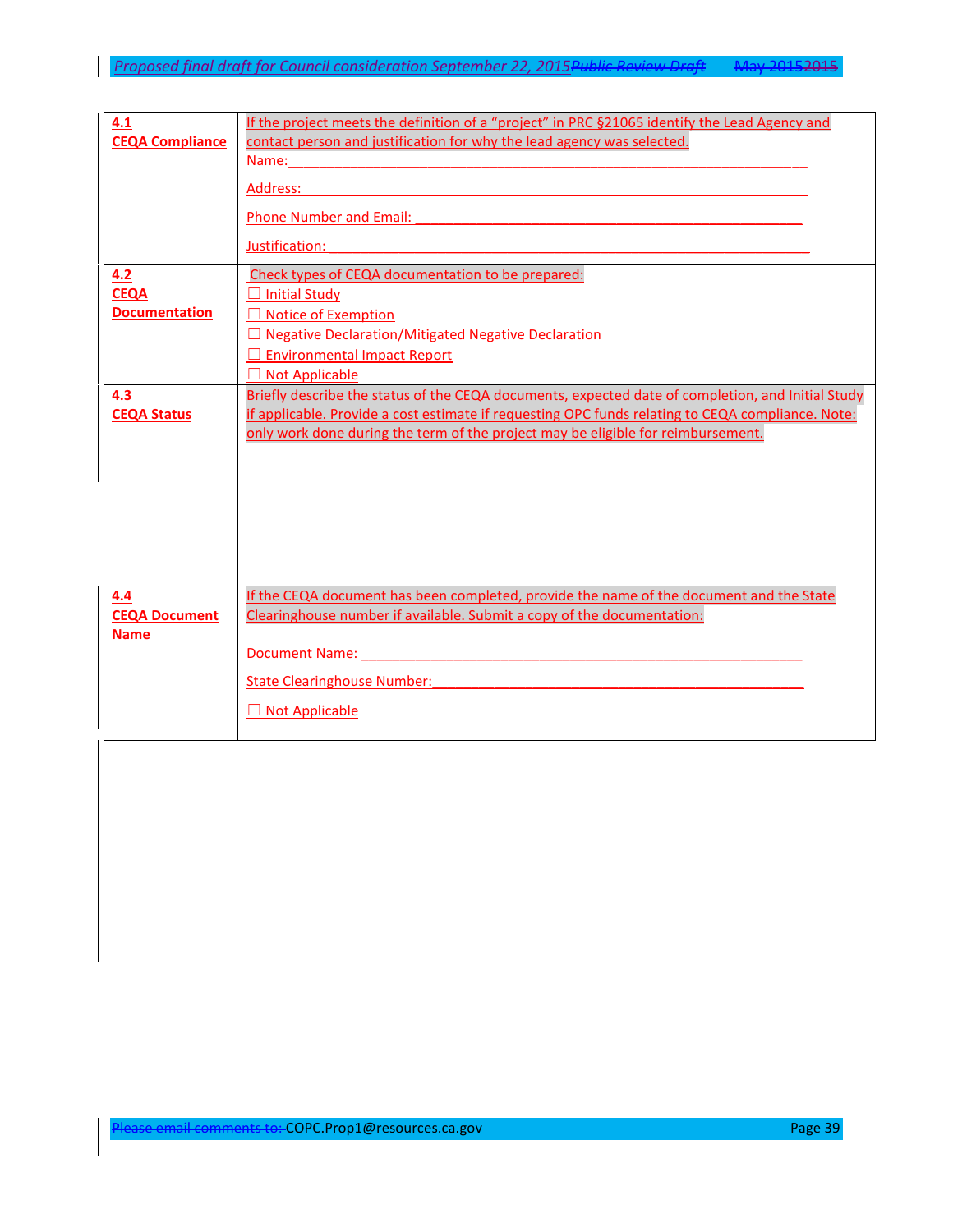| 4.1                    | If the project meets the definition of a "project" in PRC §21065 identify the Lead Agency and     |
|------------------------|---------------------------------------------------------------------------------------------------|
| <b>CEQA Compliance</b> | contact person and justification for why the lead agency was selected.                            |
|                        | Name:                                                                                             |
|                        |                                                                                                   |
|                        | Address:                                                                                          |
|                        |                                                                                                   |
|                        | <b>Phone Number and Email:</b>                                                                    |
|                        |                                                                                                   |
|                        | Justification:                                                                                    |
| 4.2                    | Check types of CEQA documentation to be prepared:                                                 |
| <b>CEQA</b>            | Initial Study                                                                                     |
| <b>Documentation</b>   |                                                                                                   |
|                        | $\Box$ Notice of Exemption                                                                        |
|                        | <b>Negative Declaration/Mitigated Negative Declaration</b>                                        |
|                        | $\Box$ Environmental Impact Report                                                                |
|                        | □ Not Applicable                                                                                  |
| 4.3                    | Briefly describe the status of the CEQA documents, expected date of completion, and Initial Study |
|                        |                                                                                                   |
| <b>CEQA Status</b>     | if applicable. Provide a cost estimate if requesting OPC funds relating to CEQA compliance. Note: |
|                        | only work done during the term of the project may be eligible for reimbursement.                  |
|                        |                                                                                                   |
|                        |                                                                                                   |
|                        |                                                                                                   |
|                        |                                                                                                   |
|                        |                                                                                                   |
|                        |                                                                                                   |
|                        |                                                                                                   |
|                        |                                                                                                   |
|                        |                                                                                                   |
| 4.4                    | If the CEQA document has been completed, provide the name of the document and the State           |
| <b>CEQA Document</b>   | Clearinghouse number if available. Submit a copy of the documentation:                            |
| <b>Name</b>            |                                                                                                   |
|                        | <b>Document Name:</b>                                                                             |
|                        |                                                                                                   |
|                        | <b>State Clearinghouse Number:</b>                                                                |
|                        |                                                                                                   |
|                        | $\Box$ Not Applicable                                                                             |
|                        |                                                                                                   |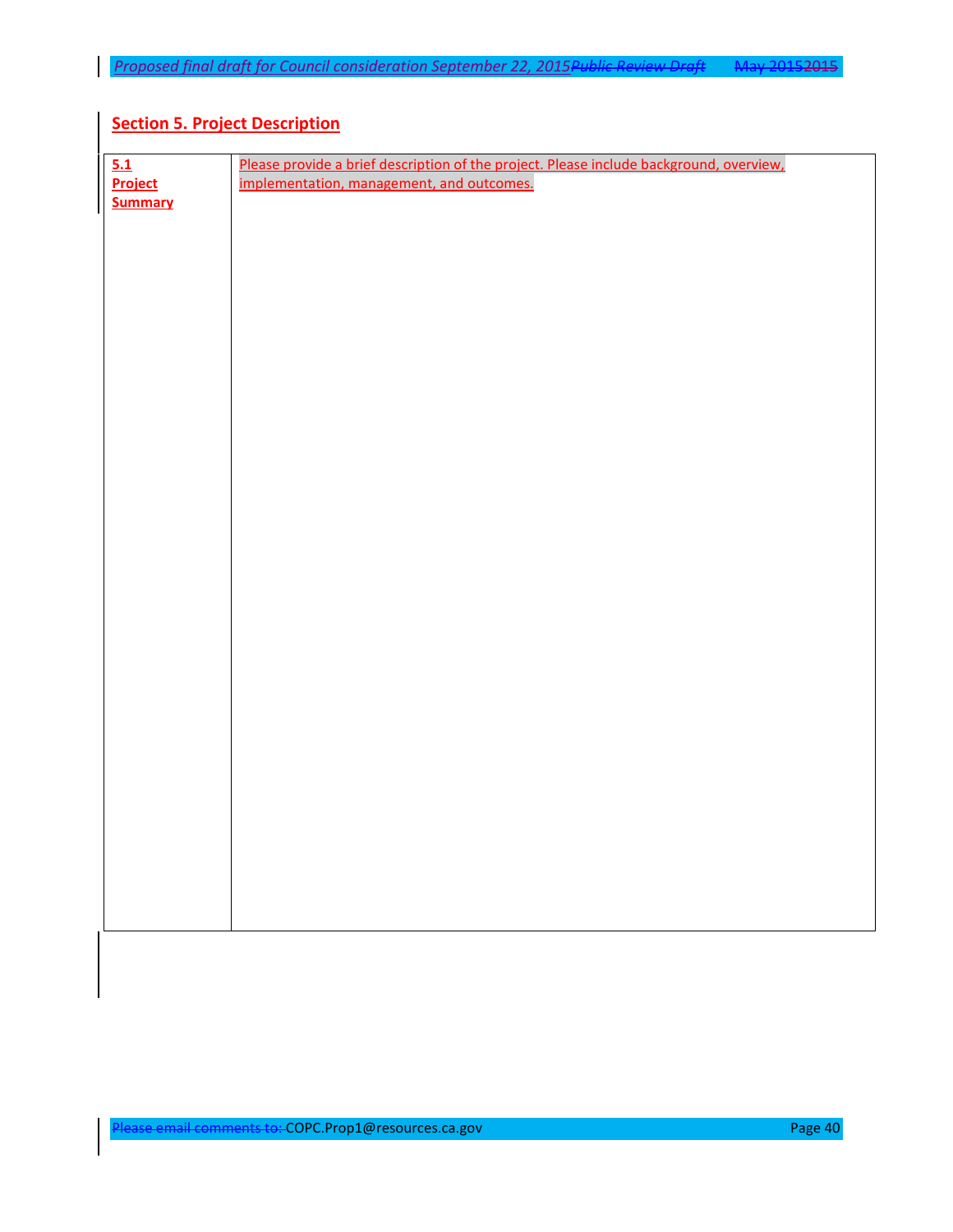# **Section 5. Project Description**

| 5.1            | Please provide a brief description of the project. Please include background, overview, |
|----------------|-----------------------------------------------------------------------------------------|
| Project        | implementation, management, and outcomes.                                               |
| <b>Summary</b> |                                                                                         |
|                |                                                                                         |
|                |                                                                                         |
|                |                                                                                         |
|                |                                                                                         |
|                |                                                                                         |
|                |                                                                                         |
|                |                                                                                         |
|                |                                                                                         |
|                |                                                                                         |
|                |                                                                                         |
|                |                                                                                         |
|                |                                                                                         |
|                |                                                                                         |
|                |                                                                                         |
|                |                                                                                         |
|                |                                                                                         |
|                |                                                                                         |
|                |                                                                                         |
|                |                                                                                         |
|                |                                                                                         |
|                |                                                                                         |
|                |                                                                                         |
|                |                                                                                         |
|                |                                                                                         |
|                |                                                                                         |
|                |                                                                                         |
|                |                                                                                         |
|                |                                                                                         |
|                |                                                                                         |
|                |                                                                                         |
|                |                                                                                         |
|                |                                                                                         |
|                |                                                                                         |
|                |                                                                                         |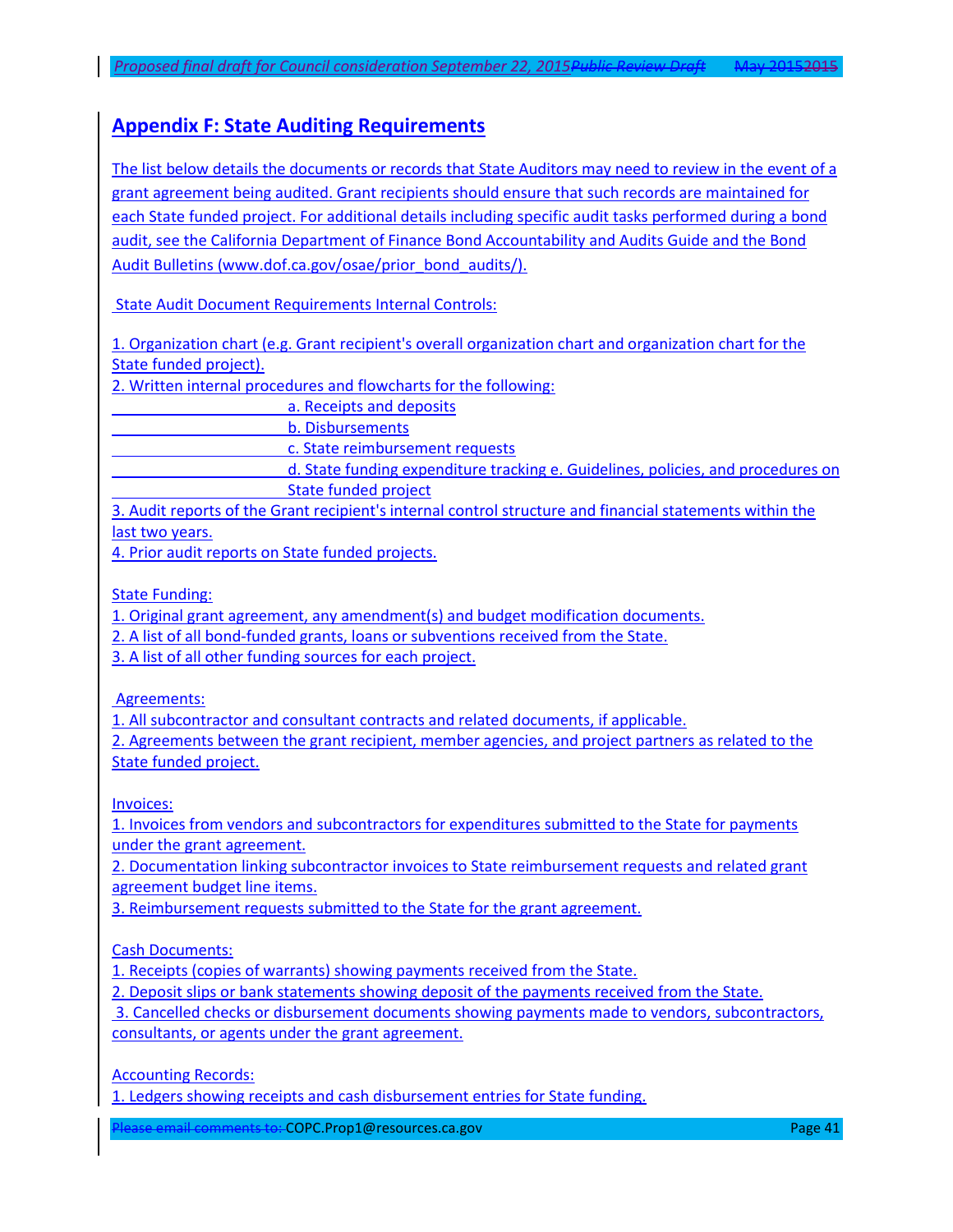# **Appendix F: State Auditing Requirements**

The list below details the documents or records that State Auditors may need to review in the event of a grant agreement being audited. Grant recipients should ensure that such records are maintained for each State funded project. For additional details including specific audit tasks performed during a bond audit, see the California Department of Finance Bond Accountability and Audits Guide and the Bond Audit Bulletins [\(www.dof.ca.gov/osae/prior\\_bond\\_audits/\)](http://www.dof.ca.gov/osae/prior_bond_audits/).

State Audit Document Requirements Internal Controls:

1. Organization chart (e.g. Grant recipient's overall organization chart and organization chart for the State funded project).

2. Written internal procedures and flowcharts for the following:

a. Receipts and deposits

b. Disbursements

c. State reimbursement requests

d. State funding expenditure tracking e. Guidelines, policies, and procedures on State funded project

3. Audit reports of the Grant recipient's internal control structure and financial statements within the last two years.

4. Prior audit reports on State funded projects.

State Funding:

1. Original grant agreement, any amendment(s) and budget modification documents.

2. A list of all bond-funded grants, loans or subventions received from the State.

3. A list of all other funding sources for each project.

Agreements:

1. All subcontractor and consultant contracts and related documents, if applicable.

2. Agreements between the grant recipient, member agencies, and project partners as related to the State funded project.

Invoices:

1. Invoices from vendors and subcontractors for expenditures submitted to the State for payments under the grant agreement.

2. Documentation linking subcontractor invoices to State reimbursement requests and related grant agreement budget line items.

3. Reimbursement requests submitted to the State for the grant agreement.

Cash Documents:

1. Receipts (copies of warrants) showing payments received from the State.

2. Deposit slips or bank statements showing deposit of the payments received from the State.

3. Cancelled checks or disbursement documents showing payments made to vendors, subcontractors, consultants, or agents under the grant agreement.

Accounting Records:

1. Ledgers showing receipts and cash disbursement entries for State funding.

Please email comments to: COPC.Prop1@resources.ca.gov Page 21 Page 41 Page 41